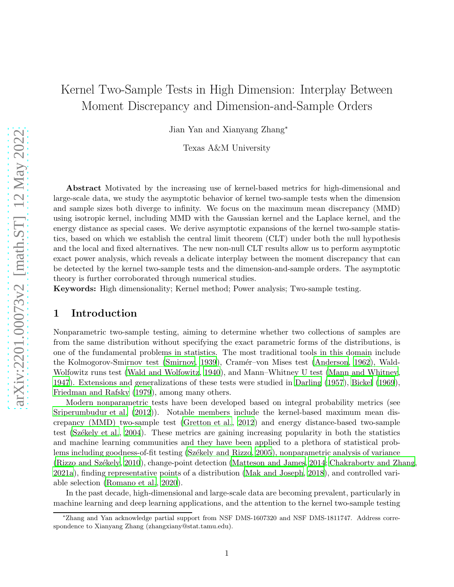# Kernel Two-Sample Tests in High Dimension: Interplay Between Moment Discrepancy and Dimension-and-Sample Orders

Jian Yan and Xianyang Zhang<sup>∗</sup>

Texas A&M University

Abstract Motivated by the increasing use of kernel-based metrics for high-dimensional and large-scale data, we study the asymptotic behavior of kernel two-sample tests when the dimension and sample sizes both diverge to infinity. We focus on the maximum mean discrepancy (MMD) using isotropic kernel, including MMD with the Gaussian kernel and the Laplace kernel, and the energy distance as special cases. We derive asymptotic expansions of the kernel two-sample statistics, based on which we establish the central limit theorem (CLT) under both the null hypothesis and the local and fixed alternatives. The new non-null CLT results allow us to perform asymptotic exact power analysis, which reveals a delicate interplay between the moment discrepancy that can be detected by the kernel two-sample tests and the dimension-and-sample orders. The asymptotic theory is further corroborated through numerical studies.

Keywords: High dimensionality; Kernel method; Power analysis; Two-sample testing.

# 1 Introduction

Nonparametric two-sample testing, aiming to determine whether two collections of samples are from the same distribution without specifying the exact parametric forms of the distributions, is one of the fundamental problems in statistics. The most traditional tools in this domain include the Kolmogorov-Smirnov test [\(Smirnov, 1939](#page-40-0)), Cramér–von Mises test [\(Anderson](#page-39-0), [1962](#page-39-0)), Wald-Wolfowitz runs test [\(Wald and Wolfowitz, 1940](#page-41-0)), and Mann–Whitney U test [\(Mann and Whitney](#page-40-1), [1947\)](#page-40-1). Extensions and generalizations of these tests were studied in [Darling \(1957](#page-39-1)), [Bickel \(1969](#page-39-2)), [Friedman and Rafsky \(1979](#page-39-3)), among many others.

Modern nonparametric tests have been developed based on integral probability metrics (see [Sriperumbudur et al. \(2012](#page-40-2))). Notable members include the kernel-based maximum mean discrepancy (MMD) two-sample test [\(Gretton et al., 2012](#page-39-4)) and energy distance-based two-sample test (Székely et al., 2004). These metrics are gaining increasing popularity in both the statistics and machine learning communities and they have been applied to a plethora of statistical prob-lems including goodness-of-fit testing (Székely and Rizzo, [2005\)](#page-41-2), nonparametric analysis of variance (Rizzo and Székely, [2010](#page-40-3)), change-point detection [\(Matteson and James, 2014](#page-40-4); [Chakraborty and Zhang,](#page-39-5) [2021a](#page-39-5)), finding representative points of a distribution [\(Mak and Joseph](#page-40-5), [2018](#page-40-5)), and controlled variable selection [\(Romano et al., 2020](#page-40-6)).

In the past decade, high-dimensional and large-scale data are becoming prevalent, particularly in machine learning and deep learning applications, and the attention to the kernel two-sample testing

<sup>∗</sup>Zhang and Yan acknowledge partial support from NSF DMS-1607320 and NSF DMS-1811747. Address correspondence to Xianyang Zhang (zhangxiany@stat.tamu.edu).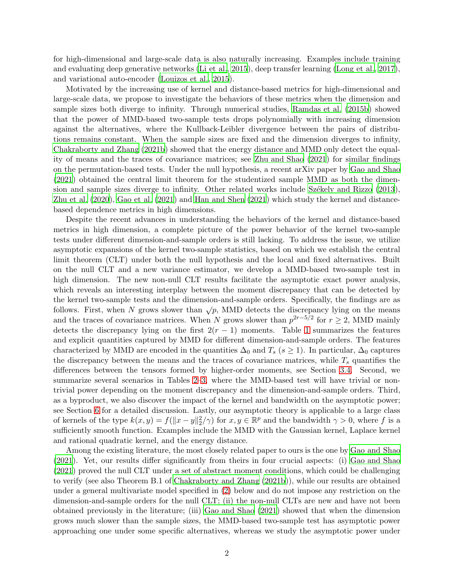for high-dimensional and large-scale data is also naturally increasing. Examples include training and evaluating deep generative networks [\(Li et al.](#page-40-7), [2015](#page-40-7)), deep transfer learning [\(Long et al.](#page-40-8), [2017\)](#page-40-8), and variational auto-encoder [\(Louizos et al., 2015](#page-40-9)).

Motivated by the increasing use of kernel and distance-based metrics for high-dimensional and large-scale data, we propose to investigate the behaviors of these metrics when the dimension and sample sizes both diverge to infinity. Through numerical studies, [Ramdas et al. \(2015b](#page-40-10)) showed that the power of MMD-based two-sample tests drops polynomially with increasing dimension against the alternatives, where the Kullback-Leibler divergence between the pairs of distributions remains constant. When the sample sizes are fixed and the dimension diverges to infinity, [Chakraborty and Zhang \(2021b](#page-39-6)) showed that the energy distance and MMD only detect the equality of means and the traces of covariance matrices; see [Zhu and Shao \(2021](#page-41-3)) for similar findings on the permutation-based tests. Under the null hypothesis, a recent arXiv paper by [Gao and Shao](#page-39-7) [\(2021](#page-39-7)) obtained the central limit theorem for the studentized sample MMD as both the dimension and sample sizes diverge to infinity. Other related works include Székely and Rizzo (2013), [Zhu et al. \(2020](#page-41-5)), [Gao et al. \(2021](#page-39-8)) and [Han and Shen \(2021](#page-40-11)) which study the kernel and distancebased dependence metrics in high dimensions.

Despite the recent advances in understanding the behaviors of the kernel and distance-based metrics in high dimension, a complete picture of the power behavior of the kernel two-sample tests under different dimension-and-sample orders is still lacking. To address the issue, we utilize asymptotic expansions of the kernel two-sample statistics, based on which we establish the central limit theorem (CLT) under both the null hypothesis and the local and fixed alternatives. Built on the null CLT and a new variance estimator, we develop a MMD-based two-sample test in high dimension. The new non-null CLT results facilitate the asymptotic exact power analysis, which reveals an interesting interplay between the moment discrepancy that can be detected by the kernel two-sample tests and the dimension-and-sample orders. Specifically, the findings are as follows. First, when N grows slower than  $\sqrt{p}$ , MMD detects the discrepancy lying on the means and the traces of covariance matrices. When N grows slower than  $p^{2r-5/2}$  for  $r \ge 2$ , MMD mainly detects the discrepancy lying on the first  $2(r - 1)$  $2(r - 1)$  $2(r - 1)$  moments. Table 1 summarizes the features and explicit quantities captured by MMD for different dimension-and-sample orders. The features characterized by MMD are encoded in the quantities  $\Delta_0$  and  $T_s$  ( $s \ge 1$ ). In particular,  $\Delta_0$  captures the discrepancy between the means and the traces of covariance matrices, while  $T_s$  quantifies the differences between the tensors formed by higher-order moments, see Section [3.4.](#page-8-0) Second, we summarize several scenarios in Tables [2](#page-11-0)[–3,](#page-12-0) where the MMD-based test will have trivial or nontrivial power depending on the moment discrepancy and the dimension-and-sample orders. Third, as a byproduct, we also discover the impact of the kernel and bandwidth on the asymptotic power; see Section [6](#page-14-0) for a detailed discussion. Lastly, our asymptotic theory is applicable to a large class of kernels of the type  $k(x, y) = f(||x - y||_2^2/\gamma)$  for  $x, y \in \mathbb{R}^p$  and the bandwidth  $\gamma > 0$ , where f is a sufficiently smooth function. Examples include the MMD with the Gaussian kernel, Laplace kernel and rational quadratic kernel, and the energy distance.

Among the existing literature, the most closely related paper to ours is the one by [Gao and Shao](#page-39-7) [\(2021](#page-39-7)). Yet, our results differ significantly from theirs in four crucial aspects: (i) [Gao and Shao](#page-39-7) [\(2021](#page-39-7)) proved the null CLT under a set of abstract moment conditions, which could be challenging to verify (see also Theorem B.1 of [Chakraborty and Zhang \(2021b](#page-39-6))), while our results are obtained under a general multivariate model specified in [\(2\)](#page-3-0) below and do not impose any restriction on the dimension-and-sample orders for the null CLT; (ii) the non-null CLTs are new and have not been obtained previously in the literature; (iii) [Gao and Shao \(2021](#page-39-7)) showed that when the dimension grows much slower than the sample sizes, the MMD-based two-sample test has asymptotic power approaching one under some specific alternatives, whereas we study the asymptotic power under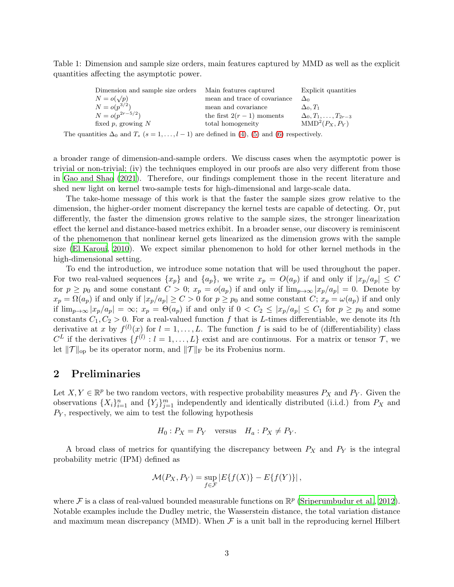Table 1: Dimension and sample size orders, main features captured by MMD as well as the explicit quantities affecting the asymptotic power.

<span id="page-2-0"></span>

| Dimension and sample size orders | Main features captured       | Explicit quantities               |
|----------------------------------|------------------------------|-----------------------------------|
| $N = o(\sqrt{p})$                | mean and trace of covariance | $\Delta_0$                        |
| $N = o(p^{3/2})$                 | mean and covariance          | $\Delta_0, T_1$                   |
| $N = o(p^{2r-5/2})$              | the first $2(r-1)$ moments   | $\Delta_0, T_1, \ldots, T_{2r-3}$ |
| fixed $p$ , growing $N$          | total homogeneity            | $MMD2(P_X, P_Y)$                  |
|                                  |                              |                                   |

The quantities  $\Delta_0$  and  $T_s$  (s = 1, ..., l - 1) are defined in [\(4\)](#page-4-0), [\(5\)](#page-5-0) and [\(6\)](#page-9-0) respectively.

a broader range of dimension-and-sample orders. We discuss cases when the asymptotic power is trivial or non-trivial; (iv) the techniques employed in our proofs are also very different from those in [Gao and Shao \(2021\)](#page-39-7). Therefore, our findings complement those in the recent literature and shed new light on kernel two-sample tests for high-dimensional and large-scale data.

The take-home message of this work is that the faster the sample sizes grow relative to the dimension, the higher-order moment discrepancy the kernel tests are capable of detecting. Or, put differently, the faster the dimension grows relative to the sample sizes, the stronger linearization effect the kernel and distance-based metrics exhibit. In a broader sense, our discovery is reminiscent of the phenomenon that nonlinear kernel gets linearized as the dimension grows with the sample size [\(El Karoui, 2010](#page-39-9)). We expect similar phenomenon to hold for other kernel methods in the high-dimensional setting.

To end the introduction, we introduce some notation that will be used throughout the paper. For two real-valued sequences  $\{x_p\}$  and  $\{a_p\}$ , we write  $x_p = O(a_p)$  if and only if  $|x_p/a_p| \leq C$ for  $p \geq p_0$  and some constant  $C > 0$ ;  $x_p = o(a_p)$  if and only if  $\lim_{p\to\infty} |x_p/a_p| = 0$ . Denote by  $x_p = \Omega(a_p)$  if and only if  $|x_p/a_p| \ge C > 0$  for  $p \ge p_0$  and some constant  $C; x_p = \omega(a_p)$  if and only if  $\lim_{p\to\infty} |x_p/a_p| = \infty$ ;  $x_p = \Theta(a_p)$  if and only if  $0 < C_2 \leq |x_p/a_p| \leq C_1$  for  $p \geq p_0$  and some constants  $C_1, C_2 > 0$ . For a real-valued function f that is L-times differentiable, we denote its lth derivative at x by  $f^{(l)}(x)$  for  $l = 1, ..., L$ . The function f is said to be of (differentiability) class  $C^L$  if the derivatives  $\{f^{(l)}: l = 1, \ldots, L\}$  exist and are continuous. For a matrix or tensor  $\mathcal{T}$ , we let  $\|\mathcal{T}\|_{\text{op}}$  be its operator norm, and  $\|\mathcal{T}\|_{\text{F}}$  be its Frobenius norm.

### 2 Preliminaries

Let  $X, Y \in \mathbb{R}^p$  be two random vectors, with respective probability measures  $P_X$  and  $P_Y$ . Given the observations  $\{X_i\}_{i=1}^n$  and  $\{Y_j\}_{j=1}^m$  independently and identically distributed (i.i.d.) from  $P_X$  and  $P_Y$ , respectively, we aim to test the following hypothesis

$$
H_0: P_X = P_Y \quad \text{versus} \quad H_a: P_X \neq P_Y.
$$

A broad class of metrics for quantifying the discrepancy between  $P_X$  and  $P_Y$  is the integral probability metric (IPM) defined as

$$
\mathcal{M}(P_X, P_Y) = \sup_{f \in \mathcal{F}} |E\{f(X)\} - E\{f(Y)\}\|,
$$

where  $\mathcal F$  is a class of real-valued bounded measurable functions on  $\mathbb R^p$  [\(Sriperumbudur et al., 2012\)](#page-40-2). Notable examples include the Dudley metric, the Wasserstein distance, the total variation distance and maximum mean discrepancy (MMD). When  $\mathcal F$  is a unit ball in the reproducing kernel Hilbert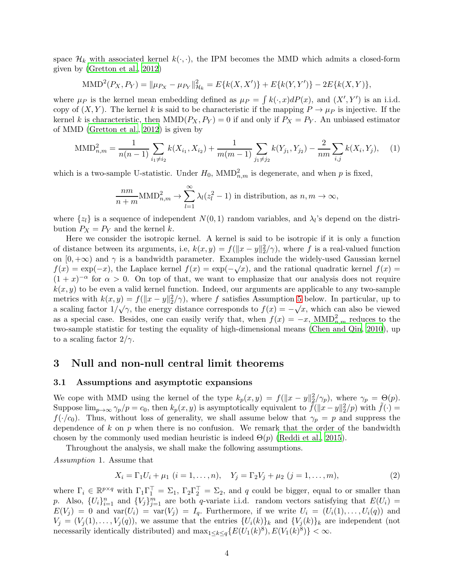space  $\mathcal{H}_k$  with associated kernel  $k(\cdot, \cdot)$ , the IPM becomes the MMD which admits a closed-form given by [\(Gretton et al.](#page-39-4), [2012\)](#page-39-4)

$$
\text{MMD}^{2}(P_{X}, P_{Y}) = \|\mu_{P_{X}} - \mu_{P_{Y}}\|_{\mathcal{H}_{k}}^{2} = E\{k(X, X')\} + E\{k(Y, Y')\} - 2E\{k(X, Y)\},
$$

where  $\mu_P$  is the kernel mean embedding defined as  $\mu_P = \int k(\cdot, x) dP(x)$ , and  $(X', Y')$  is an i.i.d. copy of  $(X, Y)$ . The kernel k is said to be characteristic if the mapping  $P \to \mu_P$  is injective. If the kernel k is characteristic, then  $MMD(P_X, P_Y) = 0$  if and only if  $P_X = P_Y$ . An unbiased estimator of MMD [\(Gretton et al.](#page-39-4), [2012](#page-39-4)) is given by

<span id="page-3-2"></span>
$$
\text{MMD}_{n,m}^2 = \frac{1}{n(n-1)} \sum_{i_1 \neq i_2} k(X_{i_1}, X_{i_2}) + \frac{1}{m(m-1)} \sum_{j_1 \neq j_2} k(Y_{j_1}, Y_{j_2}) - \frac{2}{nm} \sum_{i,j} k(X_i, Y_j), \quad (1)
$$

which is a two-sample U-statistic. Under  $H_0$ ,  $\text{MMD}_{n,m}^2$  is degenerate, and when p is fixed,

$$
\frac{nm}{n+m} \text{MMD}_{n,m}^2 \to \sum_{l=1}^{\infty} \lambda_l (z_l^2 - 1) \text{ in distribution, as } n, m \to \infty,
$$

where  $\{z_l\}$  is a sequence of independent  $N(0, 1)$  random variables, and  $\lambda_l$ 's depend on the distribution  $P_X = P_Y$  and the kernel k.

Here we consider the isotropic kernel. A kernel is said to be isotropic if it is only a function of distance between its arguments, i.e,  $k(x, y) = f(||x - y||_2^2/\gamma)$ , where f is a real-valued function on  $[0, +\infty)$  and  $\gamma$  is a bandwidth parameter. Examples include the widely-used Gaussian kernel  $f(x) = \exp(-x)$ , the Laplace kernel  $f(x) = \exp(-\sqrt{x})$ , and the rational quadratic kernel  $f(x) =$  $(1+x)^{-\alpha}$  for  $\alpha > 0$ . On top of that, we want to emphasize that our analysis does not require  $k(x, y)$  to be even a valid kernel function. Indeed, our arguments are applicable to any two-sample metrics with  $k(x, y) = f(||x - y||_2^2/\gamma)$ , where f satisfies Assumption [5](#page-4-1) below. In particular, up to a scaling factor  $1/\sqrt{\gamma}$ , the energy distance corresponds to  $f(x) = -\sqrt{x}$ , which can also be viewed as a special case. Besides, one can easily verify that, when  $f(x) = -x$ , MMD<sub>n,m</sub> reduces to the two-sample statistic for testing the equality of high-dimensional means [\(Chen and Qin, 2010](#page-39-10)), up to a scaling factor  $2/\gamma$ .

### 3 Null and non-null central limit theorems

#### 3.1 Assumptions and asymptotic expansions

We cope with MMD using the kernel of the type  $k_p(x, y) = f(||x - y||_2^2 / \gamma_p)$ , where  $\gamma_p = \Theta(p)$ . Suppose  $\lim_{p\to\infty} \gamma_p/p = c_0$ , then  $k_p(x, y)$  is asymptotically equivalent to  $\tilde{f}(\|x-y\|_2^2/p)$  with  $\tilde{f}(\cdot) =$  $f(\cdot/c_0)$ . Thus, without loss of generality, we shall assume below that  $\gamma_p = p$  and suppress the dependence of k on  $p$  when there is no confusion. We remark that the order of the bandwidth chosen by the commonly used median heuristic is indeed  $\Theta(p)$  [\(Reddi et al.](#page-40-12), [2015\)](#page-40-12).

Throughout the analysis, we shall make the following assumptions.

<span id="page-3-1"></span>*Assumption* 1*.* Assume that

<span id="page-3-0"></span>
$$
X_i = \Gamma_1 U_i + \mu_1 \ (i = 1, \dots, n), \quad Y_j = \Gamma_2 V_j + \mu_2 \ (j = 1, \dots, m), \tag{2}
$$

where  $\Gamma_i \in \mathbb{R}^{p \times q}$  with  $\Gamma_1 \Gamma_1^{\top} = \Sigma_1$ ,  $\Gamma_2 \Gamma_2^{\top} = \Sigma_2$ , and q could be bigger, equal to or smaller than p. Also,  $\{U_i\}_{i=1}^n$  and  $\{V_j\}_{j=1}^m$  are both q-variate i.i.d. random vectors satisfying that  $E(U_i)$  =  $E(V_i) = 0$  and  $var(U_i) = var(V_j) = I_q$ . Furthermore, if we write  $U_i = (U_i(1), \ldots, U_i(q))$  and  $V_j = (V_j(1), \ldots, V_j(q)),$  we assume that the entries  $\{U_i(k)\}_k$  and  $\{V_j(k)\}_k$  are independent (not necessarily identically distributed) and  $\max_{1 \leq k \leq q} \{E(U_1(k)^8), E(V_1(k)^8)\} < \infty$ .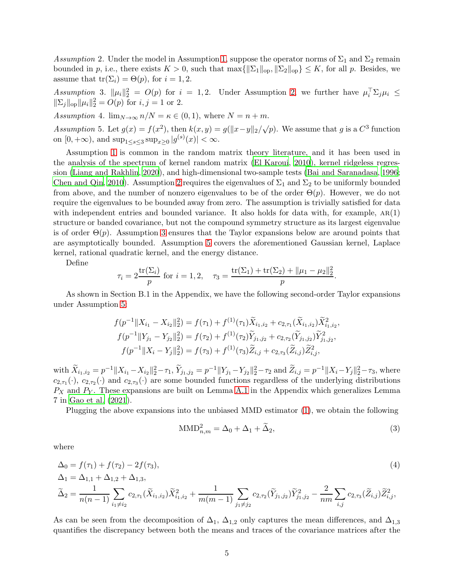<span id="page-4-2"></span>*Assumption* 2. Under the model in Assumption [1,](#page-3-1) suppose the operator norms of  $\Sigma_1$  and  $\Sigma_2$  remain bounded in p, i.e., there exists  $K > 0$ , such that  $\max\{\|\Sigma_1\|_{op}, \|\Sigma_2\|_{op}\} \leq K$ , for all p. Besides, we assume that  $tr(\Sigma_i) = \Theta(p)$ , for  $i = 1, 2$ .

<span id="page-4-3"></span>Assumption 3.  $\|\mu_i\|_2^2 = O(p)$  for  $i = 1, 2$ . Under Assumption [2,](#page-4-2) we further have  $\mu_i^T \Sigma_j \mu_i \leq$  $\|\Sigma_j\|_{\text{op}} \|\mu_i\|_2^2 = O(p) \text{ for } i, j = 1 \text{ or } 2.$ 

<span id="page-4-5"></span>*Assumption* 4*.*  $\lim_{N\to\infty} n/N = \kappa \in (0,1)$ , where  $N = n + m$ .

<span id="page-4-1"></span>*Assumption* 5. Let  $g(x) = f(x^2)$ , then  $k(x, y) = g(||x - y||_2 / \sqrt{p})$ . We assume that g is a  $C^3$  function on  $[0, +\infty)$ , and  $\sup_{1 \le s \le 3} \sup_{x \ge 0} |g^{(s)}(x)| < \infty$ .

Assumption [1](#page-3-1) is common in the random matrix theory literature, and it has been used in the analysis of the spectrum of kernel random matrix [\(El Karoui](#page-39-9), [2010\)](#page-39-9), kernel ridgeless regression [\(Liang and Rakhlin](#page-40-13), [2020](#page-40-13)), and high-dimensional two-sample tests [\(Bai and Saranadasa](#page-39-11), [1996](#page-39-11); [Chen and Qin](#page-39-10), [2010\)](#page-39-10). Assumption [2](#page-4-2) requires the eigenvalues of  $\Sigma_1$  and  $\Sigma_2$  to be uniformly bounded from above, and the number of nonzero eigenvalues to be of the order  $\Theta(p)$ . However, we do not require the eigenvalues to be bounded away from zero. The assumption is trivially satisfied for data with independent entries and bounded variance. It also holds for data with, for example,  $AR(1)$ structure or banded covariance, but not the compound symmetry structure as its largest eigenvalue is of order  $\Theta(p)$ . Assumption [3](#page-4-3) ensures that the Taylor expansions below are around points that are asymptotically bounded. Assumption [5](#page-4-1) covers the aforementioned Gaussian kernel, Laplace kernel, rational quadratic kernel, and the energy distance.

Define

$$
\tau_i = 2 \frac{\text{tr}(\Sigma_i)}{p}
$$
 for  $i = 1, 2$ ,  $\tau_3 = \frac{\text{tr}(\Sigma_1) + \text{tr}(\Sigma_2) + ||\mu_1 - \mu_2||_2^2}{p}$ .

As shown in Section B.1 in the Appendix, we have the following second-order Taylor expansions under Assumption [5:](#page-4-1)

$$
f(p^{-1}||X_{i_1} - X_{i_2}||_2^2) = f(\tau_1) + f^{(1)}(\tau_1)\tilde{X}_{i_1, i_2} + c_{2, \tau_1}(\tilde{X}_{i_1, i_2})\tilde{X}_{i_1, i_2}^2,
$$
  

$$
f(p^{-1}||Y_{j_1} - Y_{j_2}||_2^2) = f(\tau_2) + f^{(1)}(\tau_2)\tilde{Y}_{j_1, j_2} + c_{2, \tau_2}(\tilde{Y}_{j_1, j_2})\tilde{Y}_{j_1, j_2}^2,
$$
  

$$
f(p^{-1}||X_i - Y_j||_2^2) = f(\tau_3) + f^{(1)}(\tau_3)\tilde{Z}_{i, j} + c_{2, \tau_3}(\tilde{Z}_{i, j})\tilde{Z}_{i, j}^2,
$$

with  $\widetilde{X}_{i_1,i_2} = p^{-1} \|X_{i_1} - X_{i_2}\|_2^2 - \tau_1$ ,  $\widetilde{Y}_{j_1,j_2} = p^{-1} \|Y_{j_1} - Y_{j_2}\|_2^2 - \tau_2$  and  $\widetilde{Z}_{i,j} = p^{-1} \|X_i - Y_j\|_2^2 - \tau_3$ , where  $c_{2,\tau_1}(\cdot)$ ,  $c_{2,\tau_2}(\cdot)$  and  $c_{2,\tau_3}(\cdot)$  are some bounded functions regardless of the underlying distributions  $P_X$  and  $P_Y$ . These expansions are built on Lemma [A.1](#page-17-0) in the Appendix which generalizes Lemma 7 in [Gao et al. \(2021\)](#page-39-8).

Plugging the above expansions into the unbiased MMD estimator [\(1\)](#page-3-2), we obtain the following

<span id="page-4-4"></span><span id="page-4-0"></span>
$$
\text{MMD}_{n,m}^2 = \Delta_0 + \Delta_1 + \widetilde{\Delta}_2,\tag{3}
$$

where

$$
\Delta_0 = f(\tau_1) + f(\tau_2) - 2f(\tau_3),
$$
\n
$$
\Delta_1 = \Delta_{1,1} + \Delta_{1,2} + \Delta_{1,3},
$$
\n
$$
\tilde{\Delta}_2 = \frac{1}{n(n-1)} \sum_{i_1 \neq i_2} c_{2,\tau_1}(\tilde{X}_{i_1,i_2}) \tilde{X}_{i_1,i_2}^2 + \frac{1}{m(m-1)} \sum_{j_1 \neq j_2} c_{2,\tau_2}(\tilde{Y}_{j_1,j_2}) \tilde{Y}_{j_1,j_2}^2 - \frac{2}{nm} \sum_{i,j} c_{2,\tau_3}(\tilde{Z}_{i,j}) \tilde{Z}_{i,j}^2,
$$
\n(4)

As can be seen from the decomposition of  $\Delta_1$ ,  $\Delta_{1,2}$  only captures the mean differences, and  $\Delta_{1,3}$ quantifies the discrepancy between both the means and traces of the covariance matrices after the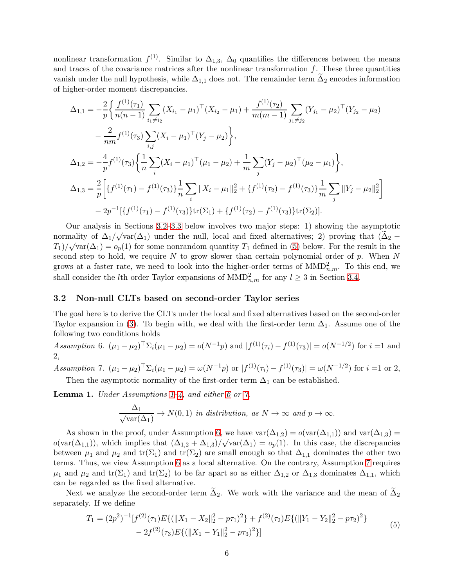nonlinear transformation  $f^{(1)}$ . Similar to  $\Delta_{1,3}$ ,  $\Delta_0$  quantifies the differences between the means and traces of the covariance matrices after the nonlinear transformation  $f$ . These three quantities vanish under the null hypothesis, while  $\Delta_{1,1}$  does not. The remainder term  $\Delta_2$  encodes information of higher-order moment discrepancies.

$$
\Delta_{1,1} = -\frac{2}{p} \Biggl\{ \frac{f^{(1)}(\tau_1)}{n(n-1)} \sum_{i_1 \neq i_2} (X_{i_1} - \mu_1)^{\top} (X_{i_2} - \mu_1) + \frac{f^{(1)}(\tau_2)}{m(m-1)} \sum_{j_1 \neq j_2} (Y_{j_1} - \mu_2)^{\top} (Y_{j_2} - \mu_2) - \frac{2}{nm} f^{(1)}(\tau_3) \sum_{i,j} (X_i - \mu_1)^{\top} (Y_j - \mu_2) \Biggr\},\
$$
  
\n
$$
\Delta_{1,2} = -\frac{4}{p} f^{(1)}(\tau_3) \Biggl\{ \frac{1}{n} \sum_i (X_i - \mu_1)^{\top} (\mu_1 - \mu_2) + \frac{1}{m} \sum_j (Y_j - \mu_2)^{\top} (\mu_2 - \mu_1) \Biggr\},\
$$
  
\n
$$
\Delta_{1,3} = \frac{2}{p} \Biggl[ \{ f^{(1)}(\tau_1) - f^{(1)}(\tau_3) \} \frac{1}{n} \sum_i ||X_i - \mu_1||_2^2 + \{ f^{(1)}(\tau_2) - f^{(1)}(\tau_3) \} \frac{1}{m} \sum_j ||Y_j - \mu_2||_2^2 \Biggr] - 2p^{-1} \biggl[ \{ f^{(1)}(\tau_1) - f^{(1)}(\tau_3) \} \text{tr}(\Sigma_1) + \{ f^{(1)}(\tau_2) - f^{(1)}(\tau_3) \} \text{tr}(\Sigma_2) \biggr].
$$

Our analysis in Sections [3.2](#page-5-1)[–3.3](#page-6-0) below involves two major steps: 1) showing the asymptotic normality of  $\Delta_1/\sqrt{\text{var}(\Delta_1)}$  under the null, local and fixed alternatives; 2) proving that  $(\widetilde{\Delta}_2 (T_1)/\sqrt{\text{var}(\Delta_1)} = o_p(1)$  for some nonrandom quantity  $T_1$  defined in [\(5\)](#page-5-0) below. For the result in the second step to hold, we require  $N$  to grow slower than certain polynomial order of  $p$ . When  $N$ grows at a faster rate, we need to look into the higher-order terms of  $\text{MMD}_{n,m}^2$ . To this end, we shall consider the *l*th order Taylor expansions of  $\text{MMD}_{n,m}^2$  for any  $l \geq 3$  in Section [3.4.](#page-8-0)

#### <span id="page-5-1"></span>3.2 Non-null CLTs based on second-order Taylor series

The goal here is to derive the CLTs under the local and fixed alternatives based on the second-order Taylor expansion in [\(3\)](#page-4-4). To begin with, we deal with the first-order term  $\Delta_1$ . Assume one of the following two conditions holds

<span id="page-5-2"></span>*Assumption* 6*.*  $(\mu_1 - \mu_2)^{\top} \Sigma_i (\mu_1 - \mu_2) = o(N^{-1}p)$  and  $|f^{(1)}(\tau_i) - f^{(1)}(\tau_3)| = o(N^{-1/2})$  for  $i = 1$  and 2,

*Assumption* 7*.*  $(\mu_1 - \mu_2)^{\top} \Sigma_i (\mu_1 - \mu_2) = \omega(N^{-1}p)$  or  $|f^{(1)}(\tau_i) - f^{(1)}(\tau_3)| = \omega(N^{-1/2})$  for  $i = 1$  or 2, Then the asymptotic normality of the first-order term  $\Delta_1$  can be established.

<span id="page-5-3"></span>Lemma 1. *Under Assumptions [1–](#page-3-1)[4,](#page-4-5) and either [6](#page-5-2) or [7,](#page-8-1)*

$$
\frac{\Delta_1}{\sqrt{\text{var}(\Delta_1)}} \to N(0, 1) \text{ in distribution, as } N \to \infty \text{ and } p \to \infty.
$$

As shown in the proof, under Assumption [6,](#page-5-2) we have  $\text{var}(\Delta_{1,2}) = o(\text{var}(\Delta_{1,1}))$  and  $\text{var}(\Delta_{1,3}) =$  $o(\text{var}(\Delta_{1,1}))$ , which implies that  $(\Delta_{1,2} + \Delta_{1,3})/\sqrt{\text{var}(\Delta_1)} = o_p(1)$ . In this case, the discrepancies between  $\mu_1$  and  $\mu_2$  and  $tr(\Sigma_1)$  and  $tr(\Sigma_2)$  are small enough so that  $\Delta_{1,1}$  dominates the other two terms. Thus, we view Assumption [6](#page-5-2) as a local alternative. On the contrary, Assumption [7](#page-8-1) requires  $\mu_1$  and  $\mu_2$  and tr( $\Sigma_1$ ) and tr( $\Sigma_2$ ) to be far apart so as either  $\Delta_{1,2}$  or  $\Delta_{1,3}$  dominates  $\Delta_{1,1}$ , which can be regarded as the fixed alternative.

<span id="page-5-0"></span>Next we analyze the second-order term  $\tilde{\Delta}_2$ . We work with the variance and the mean of  $\tilde{\Delta}_2$ separately. If we define

$$
T_1 = (2p^2)^{-1} [f^{(2)}(\tau_1) E\{ (\|X_1 - X_2\|_2^2 - p\tau_1)^2 \} + f^{(2)}(\tau_2) E\{ (\|Y_1 - Y_2\|_2^2 - p\tau_2)^2 \} - 2f^{(2)}(\tau_3) E\{ (\|X_1 - Y_1\|_2^2 - p\tau_3)^2 \} ]
$$
\n
$$
(5)
$$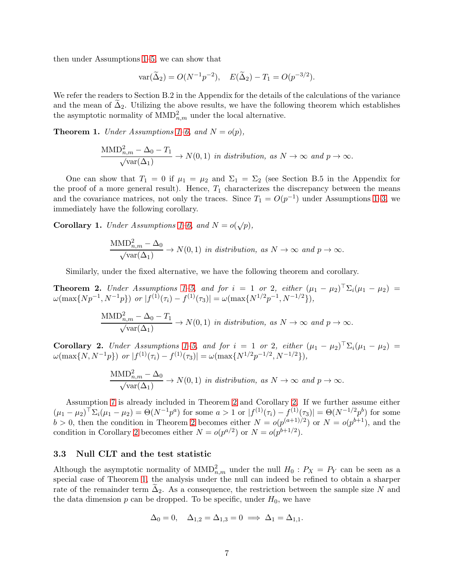then under Assumptions [1](#page-3-1)[–5,](#page-4-1) we can show that

$$
var(\tilde{\Delta}_2) = O(N^{-1}p^{-2}), \quad E(\tilde{\Delta}_2) - T_1 = O(p^{-3/2}).
$$

We refer the readers to Section B.2 in the Appendix for the details of the calculations of the variance and the mean of  $\Delta_2$ . Utilizing the above results, we have the following theorem which establishes the asymptotic normality of  $\text{MMD}_{n,m}^2$  under the local alternative.

<span id="page-6-3"></span>**Theorem [1](#page-3-1).** *Under Assumptions*  $1-6$ *, and*  $N = o(p)$ 

$$
\frac{\text{MMD}_{n,m}^2 - \Delta_0 - T_1}{\sqrt{\text{var}(\Delta_1)}} \to N(0,1) \text{ in distribution, as } N \to \infty \text{ and } p \to \infty.
$$

One can show that  $T_1 = 0$  if  $\mu_1 = \mu_2$  and  $\Sigma_1 = \Sigma_2$  (see Section B.5 in the Appendix for the proof of a more general result). Hence,  $T_1$  characterizes the discrepancy between the means and the covariance matrices, not only the traces. Since  $T_1 = O(p^{-1})$  under Assumptions [1–](#page-3-1)[3,](#page-4-3) we immediately have the following corollary.

<span id="page-6-4"></span>Corollary 1. *Under Assumptions*  $1-6$ *, and*  $N = o(\sqrt{p})$ *,* 

$$
\frac{\text{MMD}_{n,m}^2 - \Delta_0}{\sqrt{\text{var}(\Delta_1)}} \to N(0,1) \text{ in distribution, as } N \to \infty \text{ and } p \to \infty.
$$

Similarly, under the fixed alternative, we have the following theorem and corollary.

<span id="page-6-1"></span>**Theorem 2.** *Under Assumptions*  $1-5$ *, and for*  $i = 1$  $i = 1$  *or* 2*, either*  $(\mu_1 - \mu_2)^{\top} \Sigma_i (\mu_1 - \mu_2) =$  $\omega(\max\{Np^{-1}, N^{-1}p\})$  or  $|f^{(1)}(\tau_i) - f^{(1)}(\tau_3)| = \omega(\max\{N^{1/2}p^{-1}, N^{-1/2}\}),$ 

$$
\frac{\text{MMD}_{n,m}^2 - \Delta_0 - T_1}{\sqrt{\text{var}(\Delta_1)}} \to N(0,1) \text{ in distribution, as } N \to \infty \text{ and } p \to \infty.
$$

<span id="page-6-2"></span>**Corollary 2.** *Under Assumptions* [1](#page-3-1)[–5,](#page-4-1) and for  $i = 1$  or 2, either  $(\mu_1 - \mu_2)^{\top} \Sigma_i (\mu_1 - \mu_2) =$  $\omega(\max\{N, N^{-1}p\})$  *or*  $|f^{(1)}(\tau_i) - f^{(1)}(\tau_3)| = \omega(\max\{N^{1/2}p^{-1/2}, N^{-1/2}\}),$ 

$$
\frac{\text{MMD}_{n,m}^2 - \Delta_0}{\sqrt{\text{var}(\Delta_1)}} \to N(0,1) \text{ in distribution, as } N \to \infty \text{ and } p \to \infty.
$$

Assumption [7](#page-8-1) is already included in Theorem [2](#page-6-1) and Corollary [2.](#page-6-2) If we further assume either  $(\mu_1 - \mu_2)^\top \Sigma_i (\mu_1 - \mu_2) = \Theta(N^{-1}p^a)$  for some  $a > 1$  or  $|f^{(1)}(\tau_i) - f^{(1)}(\tau_3)| = \Theta(N^{-1/2}p^b)$  for some  $b > 0$ , then the condition in Theorem [2](#page-6-1) becomes either  $N = o(p^{(a+1)/2})$  or  $N = o(p^{b+1})$ , and the condition in Corollary [2](#page-6-2) becomes either  $N = o(p^{a/2})$  or  $N = o(p^{b+1/2})$ .

### <span id="page-6-0"></span>3.3 Null CLT and the test statistic

Although the asymptotic normality of  $MMD_{n,m}^2$  under the null  $H_0: P_X = P_Y$  can be seen as a special case of Theorem [1,](#page-6-3) the analysis under the null can indeed be refined to obtain a sharper rate of the remainder term  $\Delta_2$ . As a consequence, the restriction between the sample size N and the data dimension  $p$  can be dropped. To be specific, under  $H_0$ , we have

$$
\Delta_0 = 0, \quad \Delta_{1,2} = \Delta_{1,3} = 0 \implies \Delta_1 = \Delta_{1,1}.
$$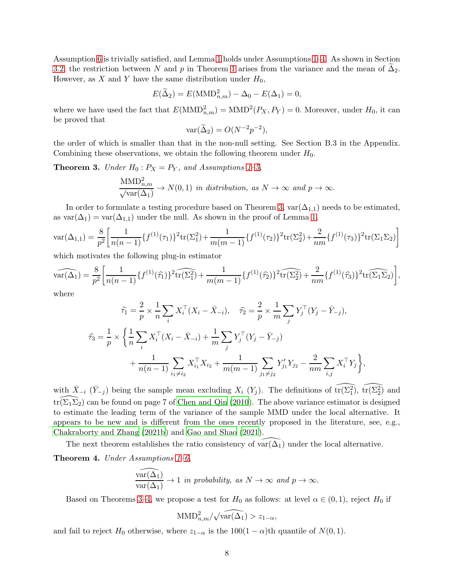Assumption [6](#page-5-2) is trivially satisfied, and Lemma [1](#page-5-3) holds under Assumptions [1](#page-3-1)[–4.](#page-4-5) As shown in Section [3.2,](#page-5-1) the restriction between N and p in Theorem [1](#page-6-3) arises from the variance and the mean of  $\Delta_2$ . However, as X and Y have the same distribution under  $H_0$ ,

$$
E(\widetilde{\Delta}_2) = E(\text{MMD}_{n,m}^2) - \Delta_0 - E(\Delta_1) = 0,
$$

where we have used the fact that  $E(\text{MMD}_{n,m}^2) = \text{MMD}^2(P_X, P_Y) = 0$ . Moreover, under  $H_0$ , it can be proved that

$$
\text{var}(\widetilde{\Delta}_2) = O(N^{-2}p^{-2}),
$$

the order of which is smaller than that in the non-null setting. See Section B.3 in the Appendix. Combining these observations, we obtain the following theorem under  $H_0$ .

<span id="page-7-0"></span>**Theorem 3.** *Under*  $H_0: P_X = P_Y$ *, and Assumptions [1–](#page-3-1)[5,](#page-4-1)* 

$$
\frac{\text{MMD}_{n,m}^2}{\sqrt{\text{var}(\Delta_1)}} \to N(0,1) \text{ in distribution, as } N \to \infty \text{ and } p \to \infty.
$$

In order to formulate a testing procedure based on Theorem [3,](#page-7-0)  $var(\Delta_{1,1})$  needs to be estimated, as  $\text{var}(\Delta_1) = \text{var}(\Delta_{1,1})$  under the null. As shown in the proof of Lemma [1,](#page-5-3)

$$
\text{var}(\Delta_{1,1}) = \frac{8}{p^2} \left[ \frac{1}{n(n-1)} \{ f^{(1)}(\tau_1) \}^2 \text{tr}(\Sigma_1^2) + \frac{1}{m(m-1)} \{ f^{(1)}(\tau_2) \}^2 \text{tr}(\Sigma_2^2) + \frac{2}{nm} \{ f^{(1)}(\tau_3) \}^2 \text{tr}(\Sigma_1 \Sigma_2) \right]
$$

which motivates the following plug-in estimator

$$
\widehat{\text{var}(\Delta_1)} = \frac{8}{p^2} \left[ \frac{1}{n(n-1)} \{ f^{(1)}(\hat{\tau}_1) \}^2 \widehat{\text{tr}(\Sigma_1^2)} + \frac{1}{m(m-1)} \{ f^{(1)}(\hat{\tau}_2) \}^2 \widehat{\text{tr}(\Sigma_2^2)} + \frac{2}{nm} \{ f^{(1)}(\hat{\tau}_3) \}^2 \widehat{\text{tr}(\Sigma_1 \Sigma_2)} \right],
$$

where

$$
\hat{\tau}_1 = \frac{2}{p} \times \frac{1}{n} \sum_i X_i^{\top} (X_i - \bar{X}_{-i}), \quad \hat{\tau}_2 = \frac{2}{p} \times \frac{1}{m} \sum_j Y_j^{\top} (Y_j - \bar{Y}_{-j}),
$$
  

$$
\hat{\tau}_3 = \frac{1}{p} \times \left\{ \frac{1}{n} \sum_i X_i^{\top} (X_i - \bar{X}_{-i}) + \frac{1}{m} \sum_j Y_j^{\top} (Y_j - \bar{Y}_{-j}) + \frac{1}{n(n-1)} \sum_{i_1 \neq i_2} X_{i_1}^{\top} X_{i_2} + \frac{1}{m(m-1)} \sum_{j_1 \neq j_2} Y_{j_1}' Y_{j_2} - \frac{2}{nm} \sum_{i,j} X_i^{\top} Y_j \right\},
$$

with  $\bar{X}_{-i}$  ( $\bar{Y}_{-j}$ ) being the sample mean excluding  $X_i$  ( $Y_j$ ). The definitions of  $\widehat{\text{tr}(\Sigma_1^2)}$ ,  $\widehat{\text{tr}(\Sigma_2^2)}$  and  $tr(\Sigma_1\overline{\Sigma_2})$  can be found on page 7 of [Chen and Qin \(2010](#page-39-10)). The above variance estimator is designed to estimate the leading term of the variance of the sample MMD under the local alternative. It appears to be new and is different from the ones recently proposed in the literature, see, e.g., [Chakraborty and Zhang \(2021b\)](#page-39-6) and [Gao and Shao \(2021](#page-39-7)).

The next theorem establishes the ratio consistency of var $(\Delta_1)$  under the local alternative.

<span id="page-7-1"></span>Theorem 4. *Under Assumptions [1](#page-3-1)[–6,](#page-5-2)*

$$
\frac{\widehat{\text{var}(\Delta_1)}}{\text{var}(\Delta_1)} \to 1 \text{ in probability, as } N \to \infty \text{ and } p \to \infty.
$$

Based on Theorems [3](#page-7-0)[–4,](#page-7-1) we propose a test for  $H_0$  as follows: at level  $\alpha \in (0,1)$ , reject  $H_0$  if

$$
\text{MMD}_{n,m}^2/\sqrt{\text{var}(\Delta_1)} > z_{1-\alpha},
$$

and fail to reject H<sub>0</sub> otherwise, where  $z_{1-\alpha}$  is the  $100(1-\alpha)$ th quantile of  $N(0, 1)$ .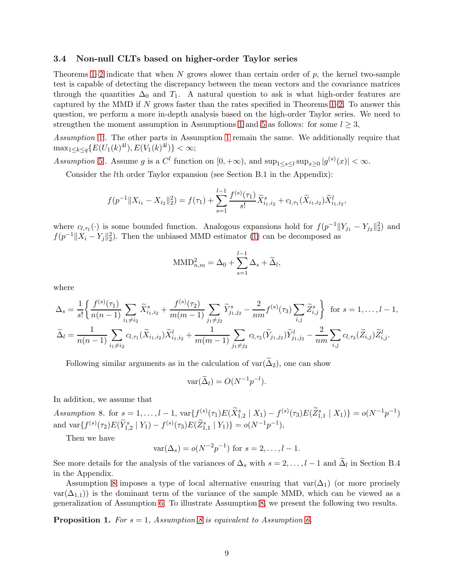### <span id="page-8-0"></span>3.4 Non-null CLTs based on higher-order Taylor series

Theorems  $1-2$  indicate that when N grows slower than certain order of p, the kernel two-sample test is capable of detecting the discrepancy between the mean vectors and the covariance matrices through the quantities  $\Delta_0$  and  $T_1$ . A natural question to ask is what high-order features are captured by the MMD if  $N$  grows faster than the rates specified in Theorems [1](#page-6-3)[–2.](#page-6-1) To answer this question, we perform a more in-depth analysis based on the high-order Taylor series. We need to strengthen the moment assumption in Assumptions [1](#page-3-1) and [5](#page-4-1) as follows: for some  $l \geq 3$ ,

*Assumption* [1](#page-3-1) ′ *.* The other parts in Assumption [1](#page-3-1) remain the same. We additionally require that  $\max_{1 \leq k \leq q} \{ E(U_1(k)^{4l}), E(V_1(k)^{4l}) \} < \infty;$ 

<span id="page-8-1"></span>Assumption [5](#page-4-1)'. Assume g is a  $C^l$  function on  $[0, +\infty)$ , and  $\sup_{1 \le s \le l} \sup_{x \ge 0} |g^{(s)}(x)| < \infty$ .

Consider the lth order Taylor expansion (see Section B.1 in the Appendix):

$$
f(p^{-1}||X_{i_1} - X_{i_2}||_2^2) = f(\tau_1) + \sum_{s=1}^{l-1} \frac{f^{(s)}(\tau_1)}{s!} \tilde{X}_{i_1, i_2}^s + c_{l, \tau_1}(\tilde{X}_{i_1, i_2}) \tilde{X}_{i_1, i_2}^l,
$$

where  $c_{l,\tau_1}(\cdot)$  is some bounded function. Analogous expansions hold for  $f(p^{-1}||Y_{j_1} - Y_{j_2}||_2^2)$  and  $f(p^{-1}||X_i - Y_j||_2^2)$ . Then the unbiased MMD estimator [\(1\)](#page-3-2) can be decomposed as

$$
\text{MMD}_{n,m}^2 = \Delta_0 + \sum_{s=1}^{l-1} \Delta_s + \widetilde{\Delta}_l,
$$

where

$$
\Delta_{s} = \frac{1}{s!} \left\{ \frac{f^{(s)}(\tau_{1})}{n(n-1)} \sum_{i_{1} \neq i_{2}} \tilde{X}_{i_{1},i_{2}}^{s} + \frac{f^{(s)}(\tau_{2})}{m(m-1)} \sum_{j_{1} \neq j_{2}} \tilde{Y}_{j_{1},j_{2}}^{s} - \frac{2}{nm} f^{(s)}(\tau_{3}) \sum_{i,j} \tilde{Z}_{i,j}^{s} \right\} \text{ for } s = 1, \ldots, l-1,
$$
  

$$
\tilde{\Delta}_{l} = \frac{1}{n(n-1)} \sum_{i_{1} \neq i_{2}} c_{l,\tau_{1}} (\tilde{X}_{i_{1},i_{2}}) \tilde{X}_{i_{1},i_{2}}^{l} + \frac{1}{m(m-1)} \sum_{j_{1} \neq j_{2}} c_{l,\tau_{2}} (\tilde{Y}_{j_{1},j_{2}}) \tilde{Y}_{j_{1},j_{2}}^{l} - \frac{2}{nm} \sum_{i,j} c_{l,\tau_{3}} (\tilde{Z}_{i,j}) \tilde{Z}_{i,j}^{l}.
$$

Following similar arguments as in the calculation of var( $\tilde{\Delta}_2$ ), one can show

$$
\text{var}(\widetilde{\Delta}_l) = O(N^{-1}p^{-l}).
$$

In addition, we assume that

<span id="page-8-2"></span>*Assumption* 8. for  $s = 1, ..., l - 1$ ,  $var{f^{(s)}(\tau_1)E(\tilde{X}_{1,2}^s | X_1)} - f^{(s)}(\tau_3)E(\tilde{Z}_{1,1}^s | X_1)} = o(N^{-1}p^{-1})$ and  $\text{var}\{f^{(s)}(\tau_2)E(\tilde{Y}_{1,2}^s | Y_1) - f^{(s)}(\tau_3)E(\tilde{Z}_{1,1}^s | Y_1)\} = o(N^{-1}p^{-1}),$ 

Then we have

$$
var(\Delta_s) = o(N^{-2}p^{-1})
$$
 for  $s = 2, ..., l - 1$ .

See more details for the analysis of the variances of  $\Delta_s$  with  $s = 2, \ldots, l-1$  and  $\Delta_l$  in Section B.4 in the Appendix.

Assumption [8](#page-8-2) imposes a type of local alternative ensuring that  $var(\Delta_1)$  (or more precisely  $var(\Delta_{1,1})$  is the dominant term of the variance of the sample MMD, which can be viewed as a generalization of Assumption [6.](#page-5-2) To illustrate Assumption [8,](#page-8-2) we present the following two results.

<span id="page-8-3"></span>**Proposition 1.** For  $s = 1$ , Assumption [8](#page-8-2) is equivalent to Assumption [6.](#page-5-2)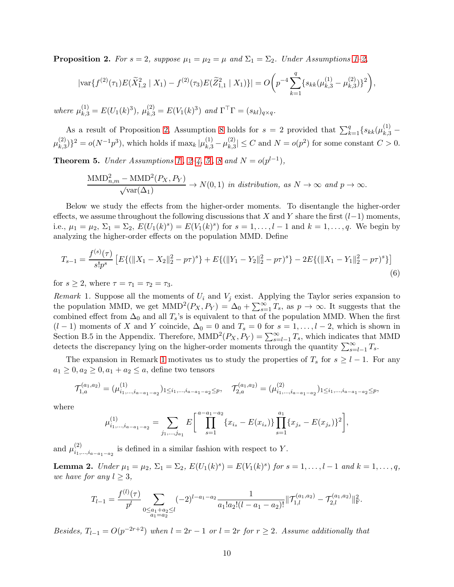<span id="page-9-1"></span>**Proposition 2.** For  $s = 2$ , suppose  $\mu_1 = \mu_2 = \mu$  and  $\Sigma_1 = \Sigma_2$ . Under Assumptions [1–](#page-3-1)[2,](#page-4-2)

$$
|\text{var}\{f^{(2)}(\tau_1)E(\tilde{X}_{1,2}^2 \mid X_1) - f^{(2)}(\tau_3)E(\tilde{Z}_{1,1}^2 \mid X_1)\}| = O\bigg(p^{-4}\sum_{k=1}^q \{s_{kk}(\mu_{k,3}^{(1)} - \mu_{k,3}^{(2)})\}^2\bigg),
$$

 $where \mu_{k,3}^{(1)} = E(U_1(k)^3), \mu_{k,3}^{(2)} = E(V_1(k)^3) \text{ and } \Gamma^{\top} \Gamma = (s_{kl})_{q \times q}.$ 

As a result of Proposition [2,](#page-9-1) Assumption [8](#page-8-2) holds for  $s = 2$  provided that  $\sum_{k=1}^{q} \{s_{kk}(\mu_{k,3}^{(1)} \mu_{k\,\,3}^{(2)}$  $\{\mu_{k,3}^{(2)}\}^2 = o(N^{-1}p^3)$ , which holds if  $\max_k |\mu_{k,3}^{(1)} - \mu_{k,3}^{(2)}|$  $|k_{k,3}^{(2)}| \leq C$  and  $N = o(p^2)$  for some constant  $C > 0$ .

<span id="page-9-3"></span>**Theorem [5](#page-8-1).** *Under Assumptions*  $1'$ ,  $2-4$ ,  $5'$ ,  $8$  and  $N = o(p^{l-1})$ ,

$$
\frac{\text{MMD}_{n,m}^2 - \text{MMD}^2(P_X, P_Y)}{\sqrt{\text{var}(\Delta_1)}} \to N(0, 1) \text{ in distribution, as } N \to \infty \text{ and } p \to \infty.
$$

Below we study the effects from the higher-order moments. To disentangle the higher-order effects, we assume throughout the following discussions that X and Y share the first  $(l-1)$  moments, i.e.,  $\mu_1 = \mu_2$ ,  $\Sigma_1 = \Sigma_2$ ,  $E(U_1(k)^s) = E(V_1(k)^s)$  for  $s = 1, ..., l-1$  and  $k = 1, ..., q$ . We begin by analyzing the higher-order effects on the population MMD. Define

<span id="page-9-0"></span>
$$
T_{s-1} = \frac{f^{(s)}(\tau)}{s!p^s} \left[ E\{ (\|X_1 - X_2\|_2^2 - p\tau)^s \} + E\{ (\|Y_1 - Y_2\|_2^2 - p\tau)^s \} - 2E\{ (\|X_1 - Y_1\|_2^2 - p\tau)^s \} \right] \tag{6}
$$

for  $s \geq 2$ , where  $\tau = \tau_1 = \tau_2 = \tau_3$ .

<span id="page-9-2"></span>*Remark* 1. Suppose all the moments of  $U_i$  and  $V_j$  exist. Applying the Taylor series expansion to the population MMD, we get  $MMD^2(P_X, P_Y) = \Delta_0 + \sum_{s=1}^{\infty} T_s$ , as  $p \to \infty$ . It suggests that the combined effect from  $\Delta_0$  and all  $T_s$ 's is equivalent to that of the population MMD. When the first  $(l-1)$  moments of X and Y coincide,  $\Delta_0 = 0$  and  $T_s = 0$  for  $s = 1, \ldots, l-2$ , which is shown in Section B.5 in the Appendix. Therefore,  $MMD^{2}(P_{X}, P_{Y}) = \sum_{s=l-1}^{\infty} T_{s}$ , which indicates that MMD detects the discrepancy lying on the higher-order moments through the quantity  $\sum_{s=l-1}^{\infty} T_s$ .

The expansion in Remark [1](#page-9-2) motivates us to study the properties of  $T_s$  for  $s \geq l - 1$ . For any  $a_1 \geq 0, a_2 \geq 0, a_1 + a_2 \leq a$ , define two tensors

$$
\mathcal{T}_{1,a}^{(a_1,a_2)} = (\mu_{i_1,\ldots,i_{a-a_1-a_2}}^{(1)})_{1 \leq i_1,\ldots,i_{a-a_1-a_2} \leq p}, \quad \mathcal{T}_{2,a}^{(a_1,a_2)} = (\mu_{i_1,\ldots,i_{a-a_1-a_2}}^{(2)})_{1 \leq i_1,\ldots,i_{a-a_1-a_2} \leq p},
$$

where

$$
\mu_{i_1,\dots,i_{a-a_1-a_2}}^{(1)} = \sum_{j_1,\dots,j_{a_1}} E\left[\prod_{s=1}^{a-a_1-a_2} \{x_{i_s} - E(x_{i_s})\}\prod_{s=1}^{a_1} \{x_{j_s} - E(x_{j_s})\}^2\right],
$$

and  $\mu_{i_1}^{(2)}$  $\sum_{i_1,\ldots,i_{a-a_1-a_2}}^{(2)}$  is defined in a similar fashion with respect to Y.

<span id="page-9-4"></span>Lemma 2. *Under*  $\mu_1 = \mu_2$ ,  $\Sigma_1 = \Sigma_2$ ,  $E(U_1(k)^s) = E(V_1(k)^s)$  for  $s = 1, ..., l-1$  and  $k = 1, ..., q$ , *we have for any*  $l \geq 3$ ,

$$
T_{l-1} = \frac{f^{(l)}(\tau)}{p^l} \sum_{\substack{0 \le a_1 + a_2 \le l \\ a_1 = a_2}} (-2)^{l-a_1-a_2} \frac{1}{a_1! a_2! (l - a_1 - a_2)!} ||\mathcal{T}_{1,l}^{(a_1, a_2)} - \mathcal{T}_{2,l}^{(a_1, a_2)}||_{\mathcal{F}}^2.
$$

*Besides,*  $T_{l-1} = O(p^{-2r+2})$  when  $l = 2r - 1$  *or*  $l = 2r$  *for*  $r \geq 2$ *. Assume additionally that*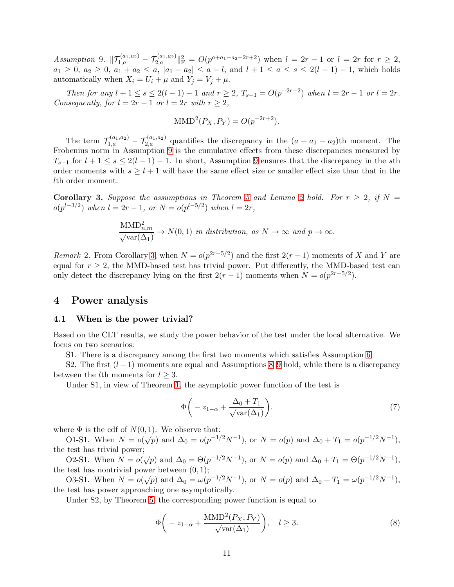<span id="page-10-0"></span> $Assumption 9. \|\mathcal{T}_{1,a}^{(a_1,a_2)} - \mathcal{T}_{2,a}^{(a_1,a_2)}\|_{\mathrm{F}}^2 = O(p^{a+a_1-a_2-2r+2})$  when  $l = 2r - 1$  or  $l = 2r$  for  $r \geq 2$ ,  $a_1 \geq 0$ ,  $a_2 \geq 0$ ,  $a_1 + a_2 \leq a$ ,  $|a_1 - a_2| \leq a - l$ , and  $l + 1 \leq a \leq s \leq 2(l - 1) - 1$ , which holds automatically when  $X_i = U_i + \mu$  and  $Y_j = V_j + \mu$ .

*Then for any*  $l + 1 \leq s \leq 2(l - 1) - 1$  *and*  $r \geq 2$ ,  $T_{s-1} = O(p^{-2r+2})$  *when*  $l = 2r - 1$  *or*  $l = 2r$ *. Consequently, for*  $l = 2r - 1$  *or*  $l = 2r$  *with*  $r > 2$ *,* 

$$
\text{MMD}^{2}(P_X, P_Y) = O(p^{-2r+2}).
$$

The term  $\mathcal{T}_{1,a}^{(a_1,a_2)} - \mathcal{T}_{2,a}^{(a_1,a_2)}$  quantifies the discrepancy in the  $(a + a_1 - a_2)$ th moment. The Frobenius norm in Assumption [9](#page-10-0) is the cumulative effects from these discrepancies measured by  $T_{s-1}$  for  $l+1 \leq s \leq 2(l-1)-1$ . In short, Assumption [9](#page-10-0) ensures that the discrepancy in the sth order moments with  $s \geq l + 1$  will have the same effect size or smaller effect size than that in the lth order moment.

<span id="page-10-1"></span>**Corollary 3.** Suppose the assumptions in Theorem [5](#page-9-3) and Lemma [2](#page-9-4) hold. For  $r \geq 2$ , if  $N =$  $o(p^{l-3/2})$  when  $l = 2r - 1$ , or  $N = o(p^{l-5/2})$  when  $l = 2r$ ,

$$
\frac{\text{MMD}_{n,m}^2}{\sqrt{\text{var}(\Delta_1)}} \to N(0,1) \text{ in distribution, as } N \to \infty \text{ and } p \to \infty.
$$

*Remark* 2. From Corollary [3,](#page-10-1) when  $N = o(p^{2r-5/2})$  and the first  $2(r-1)$  moments of X and Y are equal for  $r > 2$ , the MMD-based test has trivial power. Put differently, the MMD-based test can only detect the discrepancy lying on the first  $2(r-1)$  moments when  $N = o(p^{2r-5/2})$ .

### 4 Power analysis

#### 4.1 When is the power trivial?

Based on the CLT results, we study the power behavior of the test under the local alternative. We focus on two scenarios:

S1. There is a discrepancy among the first two moments which satisfies Assumption [6.](#page-5-2)

S2. The first  $(l-1)$  moments are equal and Assumptions [8–](#page-8-2)[9](#page-10-0) hold, while there is a discrepancy between the *l*th moments for  $l \geq 3$ .

Under S1, in view of Theorem [1,](#page-6-3) the asymptotic power function of the test is

<span id="page-10-2"></span>
$$
\Phi\bigg(-z_{1-\alpha} + \frac{\Delta_0 + T_1}{\sqrt{\text{var}(\Delta_1)}}\bigg). \tag{7}
$$

where  $\Phi$  is the cdf of  $N(0, 1)$ . We observe that:

O1-S1. When  $N = o(\sqrt{p})$  and  $\Delta_0 = o(p^{-1/2}N^{-1})$ , or  $N = o(p)$  and  $\Delta_0 + T_1 = o(p^{-1/2}N^{-1})$ , the test has trivial power;

O2-S1. When  $N = o(\sqrt{p})$  and  $\Delta_0 = \Theta(p^{-1/2}N^{-1})$ , or  $N = o(p)$  and  $\Delta_0 + T_1 = \Theta(p^{-1/2}N^{-1})$ , the test has nontrivial power between  $(0, 1)$ ;

O3-S1. When  $N = o(\sqrt{p})$  and  $\Delta_0 = \omega(p^{-1/2}N^{-1})$ , or  $N = o(p)$  and  $\Delta_0 + T_1 = \omega(p^{-1/2}N^{-1})$ , the test has power approaching one asymptotically.

Under S2, by Theorem [5,](#page-9-3) the corresponding power function is equal to

<span id="page-10-3"></span>
$$
\Phi\left(-z_{1-\alpha} + \frac{\text{MMD}^2(P_X, P_Y)}{\sqrt{\text{var}(\Delta_1)}}\right), \quad l \ge 3. \tag{8}
$$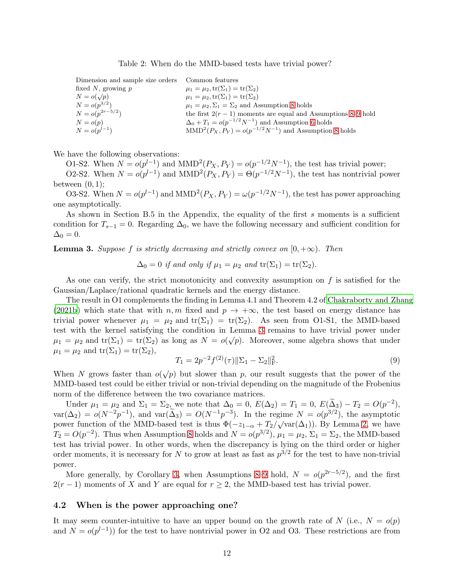#### <span id="page-11-0"></span>Table 2: When do the MMD-based tests have trivial power?

| Dimension and sample size orders Common features              |
|---------------------------------------------------------------|
| $\mu_1 = \mu_2, \text{tr}(\Sigma_1) = \text{tr}(\Sigma_2)$    |
| $\mu_1 = \mu_2, \text{tr}(\Sigma_1) = \text{tr}(\Sigma_2)$    |
| $\mu_1 = \mu_2, \Sigma_1 = \Sigma_2$ and Assumption 8 holds   |
| the first $2(r-1)$ moments are equal and Assumptions 8–9 hold |
| $\Delta_0 + T_1 = o(p^{-1/2}N^{-1})$ and Assumption 6 holds   |
| $MMD2(PX, PY) = o(p-1/2N-1)$ and Assumption 8 holds           |
|                                                               |

We have the following observations:

O1-S2. When  $N = o(p^{l-1})$  and  $MMD<sup>2</sup>(P_X, P_Y) = o(p^{-1/2}N^{-1})$ , the test has trivial power;

O2-S2. When  $N = o(p^{l-1})$  and  $MMD<sup>2</sup>(P_X, P_Y) = \Theta(p^{-1/2}N^{-1})$ , the test has nontrivial power between  $(0, 1)$ ;

O3-S2. When  $N = o(p^{l-1})$  and  $MMD^2(P_X, P_Y) = \omega(p^{-1/2}N^{-1})$ , the test has power approaching one asymptotically.

As shown in Section B.5 in the Appendix, the equality of the first s moments is a sufficient condition for  $T_{s-1} = 0$ . Regarding  $\Delta_0$ , we have the following necessary and sufficient condition for  $\Delta_0 = 0.$ 

<span id="page-11-1"></span>**Lemma 3.** *Suppose* f *is strictly decreasing and strictly convex on*  $[0, +\infty)$ *. Then* 

 $\Delta_0 = 0$  *if and only if*  $\mu_1 = \mu_2$  *and*  $\text{tr}(\Sigma_1) = \text{tr}(\Sigma_2)$ .

As one can verify, the strict monotonicity and convexity assumption on  $f$  is satisfied for the Gaussian/Laplace/rational quadratic kernels and the energy distance.

The result in O1 complements the finding in Lemma 4.1 and Theorem 4.2 of [Chakraborty and Zhang](#page-39-6) [\(2021b](#page-39-6)) which state that with  $n, m$  fixed and  $p \to +\infty$ , the test based on energy distance has trivial power whenever  $\mu_1 = \mu_2$  and  $tr(\Sigma_1) = tr(\Sigma_2)$ . As seen from O1-S1, the MMD-based test with the kernel satisfying the condition in Lemma [3](#page-11-1) remains to have trivial power under  $\mu_1 = \mu_2$  and  $\text{tr}(\Sigma_1) = \text{tr}(\Sigma_2)$  as long as  $N = o(\sqrt{p})$ . Moreover, some algebra shows that under  $\mu_1 = \mu_2$  and  $\text{tr}(\Sigma_1) = \text{tr}(\Sigma_2)$ ,

<span id="page-11-2"></span>
$$
T_1 = 2p^{-2}f^{(2)}(\tau)\|\Sigma_1 - \Sigma_2\|_{\mathcal{F}}^2.
$$
\n(9)

When N grows faster than  $o(\sqrt{p})$  but slower than p, our result suggests that the power of the MMD-based test could be either trivial or non-trivial depending on the magnitude of the Frobenius norm of the difference between the two covariance matrices.

Under  $\mu_1 = \mu_2$  and  $\Sigma_1 = \Sigma_2$ , we note that  $\Delta_0 = 0$ ,  $E(\Delta_2) = T_1 = 0$ ,  $E(\tilde{\Delta}_3) - T_2 = O(p^{-2})$ ,  $var(\Delta_2) = o(N^{-2}p^{-1}),$  and  $var(\Delta_3) = O(N^{-1}p^{-3}).$  In the regime  $N = o(p^{3/2}),$  the asymptotic power function of the MMD-based test is thus  $\Phi(-z_{1-\alpha} + T_2/\sqrt{\text{var}(\Delta_1)})$ . By Lemma [2,](#page-9-4) we have  $T_2 = O(p^{-2})$ . Thus when Assumption [8](#page-8-2) holds and  $N = o(p^{3/2})$ ,  $\mu_1 = \mu_2$ ,  $\Sigma_1 = \Sigma_2$ , the MMD-based test has trivial power. In other words, when the discrepancy is lying on the third order or higher order moments, it is necessary for N to grow at least as fast as  $p^{3/2}$  for the test to have non-trivial power.

More generally, by Corollary [3,](#page-10-1) when Assumptions [8](#page-8-2)[–9](#page-10-0) hold,  $N = o(p^{2r-5/2})$ , and the first  $2(r-1)$  moments of X and Y are equal for  $r \geq 2$ , the MMD-based test has trivial power.

### 4.2 When is the power approaching one?

It may seem counter-intuitive to have an upper bound on the growth rate of N (i.e.,  $N = o(p)$ ) and  $N = o(p^{l-1})$  for the test to have nontrivial power in O2 and O3. These restrictions are from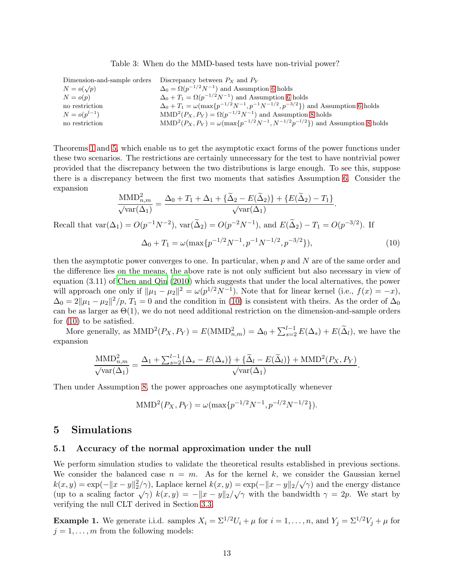<span id="page-12-0"></span>

|  |  |  |  | Table 3: When do the MMD-based tests have non-trivial power? |  |  |  |  |
|--|--|--|--|--------------------------------------------------------------|--|--|--|--|
|--|--|--|--|--------------------------------------------------------------|--|--|--|--|

| Dimension-and-sample orders | Discrepancy between $P_X$ and $P_Y$                                                                |
|-----------------------------|----------------------------------------------------------------------------------------------------|
| $N = o(\sqrt{p})$           | $\Delta_0 = \Omega(p^{-1/2}N^{-1})$ and Assumption 6 holds                                         |
| $N = o(p)$                  | $\Delta_0 + T_1 = \Omega(p^{-1/2}N^{-1})$ and Assumption 6 holds                                   |
| no restriction              | $\Delta_0 + T_1 = \omega(\max\{p^{-1/2}N^{-1}, p^{-1}N^{-1/2}, p^{-3/2}\})$ and Assumption 6 holds |
| $N = o(p^{l-1})$            | $MMD2(PX, PY) = \Omega(p^{-1/2}N^{-1})$ and Assumption 8 holds                                     |
| no restriction              | $MMD^{2}(P_{X}, P_{Y}) = \omega(\max\{p^{-1/2}N^{-1}, N^{-1/2}p^{-l/2}\})$ and Assumption 8 holds  |

Theorems [1](#page-6-3) and [5,](#page-9-3) which enable us to get the asymptotic exact forms of the power functions under these two scenarios. The restrictions are certainly unnecessary for the test to have nontrivial power provided that the discrepancy between the two distributions is large enough. To see this, suppose there is a discrepancy between the first two moments that satisfies Assumption [6.](#page-5-2) Consider the expansion

$$
\frac{\text{MMD}_{n,m}^2}{\sqrt{\text{var}(\Delta_1)}} = \frac{\Delta_0 + T_1 + \Delta_1 + {\{\widetilde{\Delta}_2 - E(\widetilde{\Delta}_2)\} + \{E(\widetilde{\Delta}_2) - T_1\}}}{\sqrt{\text{var}(\Delta_1)}}.
$$
  
Recall that  $\text{var}(\Delta_1) = O(p^{-1}N^{-2})$ ,  $\text{var}(\widetilde{\Delta}_2) = O(p^{-2}N^{-1})$ , and  $E(\widetilde{\Delta}_2) - T_1 = O(p^{-3/2})$ . If

<span id="page-12-1"></span>
$$
\Delta_0 + T_1 = \omega(\max\{p^{-1/2}N^{-1}, p^{-1}N^{-1/2}, p^{-3/2}\}),\tag{10}
$$

then the asymptotic power converges to one. In particular, when  $p$  and  $N$  are of the same order and the difference lies on the means, the above rate is not only sufficient but also necessary in view of equation (3.11) of [Chen and Qin \(2010](#page-39-10)) which suggests that under the local alternatives, the power will approach one only if  $\|\mu_1 - \mu_2\|^2 = \omega(p^{1/2}N^{-1})$ . Note that for linear kernel (i.e.,  $f(x) = -x$ ),  $\Delta_0 = 2\|\mu_1 - \mu_2\|^2/p$ ,  $T_1 = 0$  and the condition in [\(10\)](#page-12-1) is consistent with theirs. As the order of  $\Delta_0$ can be as larger as  $\Theta(1)$ , we do not need additional restriction on the dimension-and-sample orders for [\(10\)](#page-12-1) to be satisfied.

More generally, as  $\text{MMD}^2(P_X, P_Y) = E(\text{MMD}_{n,m}^2) = \Delta_0 + \sum_{s=2}^{l-1} E(\Delta_s) + E(\tilde{\Delta}_l)$ , we have the expansion

$$
\frac{\text{MMD}_{n,m}^2}{\sqrt{\text{var}(\Delta_1)}} = \frac{\Delta_1 + \sum_{s=2}^{l-1} \{ \Delta_s - E(\Delta_s) \} + \{ \widetilde{\Delta}_l - E(\widetilde{\Delta}_l) \} + \text{MMD}^2(P_X, P_Y)}{\sqrt{\text{var}(\Delta_1)}}.
$$

Then under Assumption [8,](#page-8-2) the power approaches one asymptotically whenever

$$
\text{MMD}^{2}(P_X, P_Y) = \omega(\max\{p^{-1/2}N^{-1}, p^{-l/2}N^{-1/2}\}).
$$

### 5 Simulations

### 5.1 Accuracy of the normal approximation under the null

We perform simulation studies to validate the theoretical results established in previous sections. We consider the balanced case  $n = m$ . As for the kernel k, we consider the Gaussian kernel  $k(x, y) = \exp(-\|x - y\|_2^2/\gamma)$ , Laplace kernel  $k(x, y) = \exp(-\|x - y\|_2/\sqrt{\gamma})$  and the energy distance (up to a scaling factor  $\sqrt{\gamma}$ )  $k(x, y) = -||x - y||_2/\sqrt{\gamma}$  with the bandwidth  $\gamma = 2p$ . We start by verifying the null CLT derived in Section [3.3.](#page-6-0)

<span id="page-12-2"></span>**Example 1.** We generate i.i.d. samples  $X_i = \sum^{1/2} U_i + \mu$  for  $i = 1, ..., n$ , and  $Y_j = \sum^{1/2} V_j + \mu$  for  $j = 1, \ldots, m$  from the following models: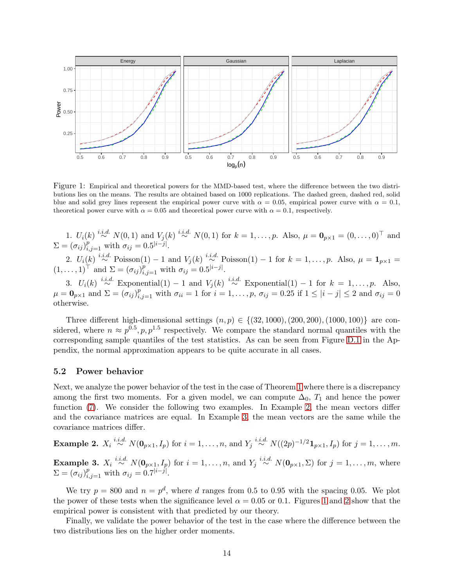

<span id="page-13-2"></span>Figure 1: Empirical and theoretical powers for the MMD-based test, where the difference between the two distributions lies on the means. The results are obtained based on 1000 replications. The dashed green, dashed red, solid blue and solid grey lines represent the empirical power curve with  $\alpha = 0.05$ , empirical power curve with  $\alpha = 0.1$ , theoretical power curve with  $\alpha = 0.05$  and theoretical power curve with  $\alpha = 0.1$ , respectively.

1.  $U_i(k) \stackrel{i.i.d.}{\sim} N(0, 1)$  and  $V_j(k) \stackrel{i.i.d.}{\sim} N(0, 1)$  for  $k = 1, ..., p$ . Also,  $\mu = \mathbf{0}_{p \times 1} = (0, ..., 0)^\top$  and  $\Sigma = (\sigma_{ij})_{i,j=1}^p$  with  $\sigma_{ij} = 0.5^{|i-j|}$ . 2.  $U_i(k) \stackrel{i.i.d.}{\sim} \text{Poisson}(1) - 1$  and  $V_j(k) \stackrel{i.i.d.}{\sim} \text{Poisson}(1) - 1$  for  $k = 1, \ldots, p$ . Also,  $\mu = \mathbf{1}_{p \times 1} =$  $(1,\ldots,1)^{\dagger}$  and  $\Sigma = (\sigma_{ij})_{i,j=1}^p$  with  $\sigma_{ij} = 0.5^{|i-j|}$ .

3.  $U_i(k) \stackrel{i.i.d.}{\sim} \text{Exponential}(1) - 1$  and  $V_j(k) \stackrel{i.i.d.}{\sim} \text{Exponential}(1) - 1$  for  $k = 1, \ldots, p$ . Also,  $\mu = \mathbf{0}_{p \times 1}$  and  $\Sigma = (\sigma_{ij})_{i,j=1}^p$  with  $\sigma_{ii} = 1$  for  $i = 1, \ldots, p$ ,  $\sigma_{ij} = 0.25$  if  $1 \leq |i - j| \leq 2$  and  $\sigma_{ij} = 0$ otherwise.

Three different high-dimensional settings  $(n, p) \in \{(32, 1000), (200, 200), (1000, 100)\}\$  are considered, where  $n \approx p^{0.5}, p, p^{1.5}$  respectively. We compare the standard normal quantiles with the corresponding sample quantiles of the test statistics. As can be seen from Figure [D.1](#page-33-0) in the Appendix, the normal approximation appears to be quite accurate in all cases.

#### 5.2 Power behavior

Next, we analyze the power behavior of the test in the case of Theorem [1](#page-6-3) where there is a discrepancy among the first two moments. For a given model, we can compute  $\Delta_0$ ,  $T_1$  and hence the power function [\(7\)](#page-10-2). We consider the following two examples. In Example [2,](#page-13-0) the mean vectors differ and the covariance matrices are equal. In Example [3,](#page-13-1) the mean vectors are the same while the covariance matrices differ.

# <span id="page-13-1"></span><span id="page-13-0"></span>**Example 2.**  $X_i \stackrel{i.i.d.}{\sim} N(\mathbf{0}_{p\times 1}, I_p)$  for  $i = 1, \ldots, n$ , and  $Y_j \stackrel{i.i.d.}{\sim} N((2p)^{-1/2} \mathbf{1}_{p\times 1}, I_p)$  for  $j = 1, \ldots, m$ . **Example 3.**  $X_i \stackrel{i.i.d.}{\sim} N(\mathbf{0}_{p\times 1}, I_p)$  for  $i = 1, \ldots, n$ , and  $Y_j \stackrel{i.i.d.}{\sim} N(\mathbf{0}_{p\times 1}, \Sigma)$  for  $j = 1, \ldots, m$ , where  $\Sigma = (\sigma_{ij})_{i,j=1}^p$  with  $\sigma_{ij} = 0.7^{|i-j|}$ .

We try  $p = 800$  and  $n = p<sup>d</sup>$ , where d ranges from 0.5 to 0.95 with the spacing 0.05. We plot the power of these tests when the significance level  $\alpha = 0.05$  or 0.1. Figures [1](#page-13-2) and [2](#page-14-1) show that the empirical power is consistent with that predicted by our theory.

Finally, we validate the power behavior of the test in the case where the difference between the two distributions lies on the higher order moments.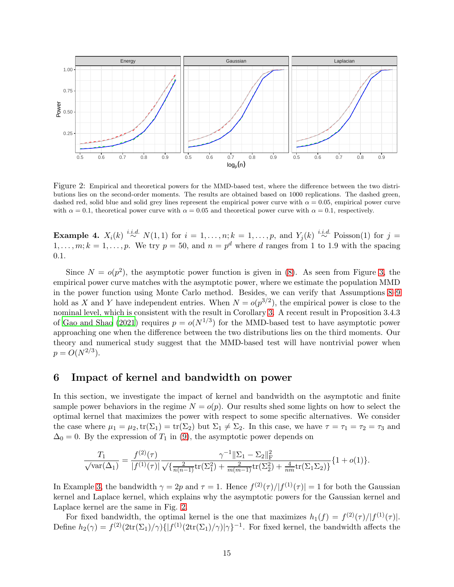

<span id="page-14-1"></span>Figure 2: Empirical and theoretical powers for the MMD-based test, where the difference between the two distributions lies on the second-order moments. The results are obtained based on 1000 replications. The dashed green, dashed red, solid blue and solid grey lines represent the empirical power curve with  $\alpha = 0.05$ , empirical power curve with  $\alpha = 0.1$ , theoretical power curve with  $\alpha = 0.05$  and theoretical power curve with  $\alpha = 0.1$ , respectively.

**Example 4.**  $X_i(k) \stackrel{i.i.d.}{\sim} N(1,1)$  for  $i = 1, \ldots, n; k = 1, \ldots, p$ , and  $Y_j(k) \stackrel{i.i.d.}{\sim} \text{Poisson}(1)$  for  $j =$  $1, \ldots, m; k = 1, \ldots, p$ . We try  $p = 50$ , and  $n = p^d$  where d ranges from 1 to 1.9 with the spacing 0.1.

Since  $N = o(p^2)$ , the asymptotic power function is given in [\(8\)](#page-10-3). As seen from Figure [3,](#page-15-0) the empirical power curve matches with the asymptotic power, where we estimate the population MMD in the power function using Monte Carlo method. Besides, we can verify that Assumptions [8](#page-8-2)[–9](#page-10-0) hold as X and Y have independent entries. When  $N = o(p^{3/2})$ , the empirical power is close to the nominal level, which is consistent with the result in Corollary [3.](#page-10-1) A recent result in Proposition 3.4.3 of [Gao and Shao \(2021](#page-39-7)) requires  $p = o(N^{1/3})$  for the MMD-based test to have asymptotic power approaching one when the difference between the two distributions lies on the third moments. Our theory and numerical study suggest that the MMD-based test will have nontrivial power when  $p = O(N^{2/3}).$ 

# <span id="page-14-0"></span>6 Impact of kernel and bandwidth on power

In this section, we investigate the impact of kernel and bandwidth on the asymptotic and finite sample power behaviors in the regime  $N = o(p)$ . Our results shed some lights on how to select the optimal kernel that maximizes the power with respect to some specific alternatives. We consider the case where  $\mu_1 = \mu_2$ ,  $tr(\Sigma_1) = tr(\Sigma_2)$  but  $\Sigma_1 \neq \Sigma_2$ . In this case, we have  $\tau = \tau_1 = \tau_2 = \tau_3$  and  $\Delta_0 = 0$ . By the expression of  $T_1$  in [\(9\)](#page-11-2), the asymptotic power depends on

$$
\frac{T_1}{\sqrt{\text{var}(\Delta_1)}} = \frac{f^{(2)}(\tau)}{|f^{(1)}(\tau)|} \frac{\gamma^{-1} ||\Sigma_1 - \Sigma_2||_{\text{F}}^2}{\sqrt{\{\frac{2}{n(n-1)} \text{tr}(\Sigma_1^2) + \frac{2}{m(m-1)} \text{tr}(\Sigma_2^2) + \frac{4}{nm} \text{tr}(\Sigma_1 \Sigma_2) \}}} \{1 + o(1)\}.
$$

In Example [3,](#page-13-1) the bandwidth  $\gamma = 2p$  and  $\tau = 1$ . Hence  $f^{(2)}(\tau)/|f^{(1)}(\tau)| = 1$  for both the Gaussian kernel and Laplace kernel, which explains why the asymptotic powers for the Gaussian kernel and Laplace kernel are the same in Fig. [2.](#page-14-1)

For fixed bandwidth, the optimal kernel is the one that maximizes  $h_1(f) = f^{(2)}(\tau)/|f^{(1)}(\tau)|$ . Define  $h_2(\gamma) = f^{(2)}(2\text{tr}(\Sigma_1)/\gamma) \{ |f^{(1)}(2\text{tr}(\Sigma_1)/\gamma)|\gamma \}^{-1}$ . For fixed kernel, the bandwidth affects the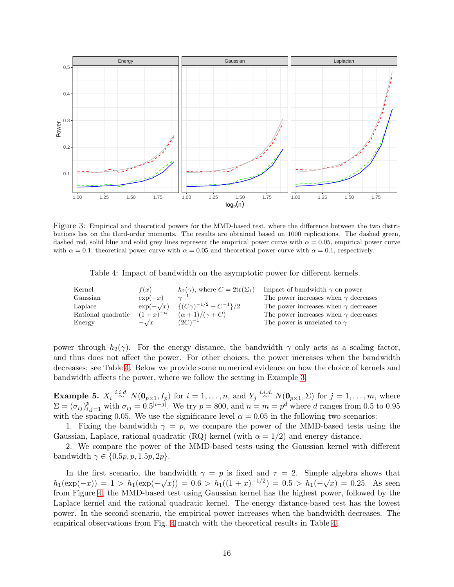

<span id="page-15-0"></span>Figure 3: Empirical and theoretical powers for the MMD-based test, where the difference between the two distributions lies on the third-order moments. The results are obtained based on 1000 replications. The dashed green, dashed red, solid blue and solid grey lines represent the empirical power curve with  $\alpha = 0.05$ , empirical power curve with  $\alpha = 0.1$ , theoretical power curve with  $\alpha = 0.05$  and theoretical power curve with  $\alpha = 0.1$ , respectively.

<span id="page-15-1"></span>Table 4: Impact of bandwidth on the asymptotic power for different kernels.

| Kernel             | f(x)              | $h_2(\gamma)$ , where $C = 2\text{tr}(\Sigma_1)$ | Impact of bandwidth $\gamma$ on power       |
|--------------------|-------------------|--------------------------------------------------|---------------------------------------------|
| Gaussian           | $\exp(-x)$        | $\gamma^{-1}$                                    | The power increases when $\gamma$ decreases |
| Laplace            | $\exp(-\sqrt{x})$ | $\{(C\gamma)^{-1/2}+C^{-1}\}/2$                  | The power increases when $\gamma$ decreases |
| Rational quadratic | $(1+x)^{-\alpha}$ | $(\alpha+1)/(\gamma+C)$                          | The power increases when $\gamma$ decreases |
| Energy             | $-\sqrt{x}$       | $(2C)^{-1}$                                      | The power is unrelated to $\gamma$          |

power through  $h_2(\gamma)$ . For the energy distance, the bandwidth  $\gamma$  only acts as a scaling factor, and thus does not affect the power. For other choices, the power increases when the bandwidth decreases; see Table [4.](#page-15-1) Below we provide some numerical evidence on how the choice of kernels and bandwidth affects the power, where we follow the setting in Example [3.](#page-13-1)

**Example 5.**  $X_i \stackrel{i.i.d.}{\sim} N(\mathbf{0}_{p\times 1}, I_p)$  for  $i = 1, \ldots, n$ , and  $Y_j \stackrel{i.i.d.}{\sim} N(\mathbf{0}_{p\times 1}, \Sigma)$  for  $j = 1, \ldots, m$ , where  $\Sigma = (\sigma_{ij})_{i,j=1}^p$  with  $\sigma_{ij} = 0.5^{|i-j|}$ . We try  $p = 800$ , and  $n = m = p^d$  where d ranges from 0.5 to 0.95 with the spacing 0.05. We use the significance level  $\alpha = 0.05$  in the following two scenarios:

1. Fixing the bandwidth  $\gamma = p$ , we compare the power of the MMD-based tests using the Gaussian, Laplace, rational quadratic (RQ) kernel (with  $\alpha = 1/2$ ) and energy distance.

2. We compare the power of the MMD-based tests using the Gaussian kernel with different bandwidth  $\gamma \in \{0.5p, p, 1.5p, 2p\}.$ 

In the first scenario, the bandwidth  $\gamma = p$  is fixed and  $\tau = 2$ . Simple algebra shows that  $h_1(\exp(-x)) = 1 > h_1(\exp(-\sqrt{x})) = 0.6 > h_1((1+x)^{-1/2}) = 0.5 > h_1(-\sqrt{x}) = 0.25.$  As seen from Figure [4,](#page-16-0) the MMD-based test using Gaussian kernel has the highest power, followed by the Laplace kernel and the rational quadratic kernel. The energy distance-based test has the lowest power. In the second scenario, the empirical power increases when the bandwidth decreases. The empirical observations from Fig. [4](#page-16-0) match with the theoretical results in Table [4.](#page-15-1)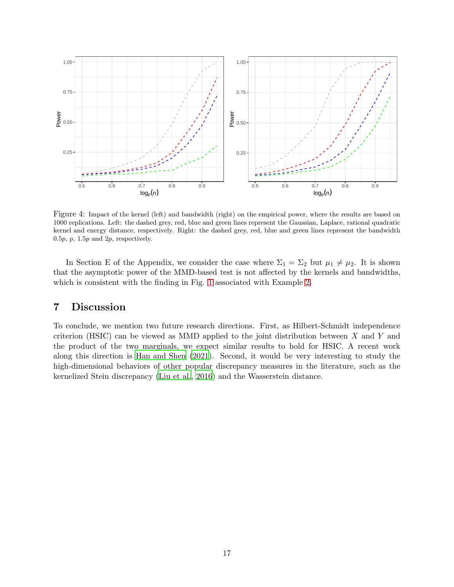

<span id="page-16-0"></span>Figure 4: Impact of the kernel (left) and bandwidth (right) on the empirical power, where the results are based on 1000 replications. Left: the dashed grey, red, blue and green lines represent the Gaussian, Laplace, rational quadratic kernel and energy distance, respectively. Right: the dashed grey, red, blue and green lines represent the bandwidth 0.5 $p$ ,  $p$ , 1.5 $p$  and  $2p$ , respectively.

In Section E of the Appendix, we consider the case where  $\Sigma_1 = \Sigma_2$  but  $\mu_1 \neq \mu_2$ . It is shown that the asymptotic power of the MMD-based test is not affected by the kernels and bandwidths, which is consistent with the finding in Fig. [1](#page-13-2) associated with Example [2.](#page-13-0)

# 7 Discussion

To conclude, we mention two future research directions. First, as Hilbert-Schmidt independence criterion (HSIC) can be viewed as MMD applied to the joint distribution between  $X$  and  $Y$  and the product of the two marginals, we expect similar results to hold for HSIC. A recent work along this direction is [Han and Shen \(2021](#page-40-11)). Second, it would be very interesting to study the high-dimensional behaviors of other popular discrepancy measures in the literature, such as the kernelized Stein discrepancy [\(Liu et al.](#page-40-14), [2016](#page-40-14)) and the Wasserstein distance.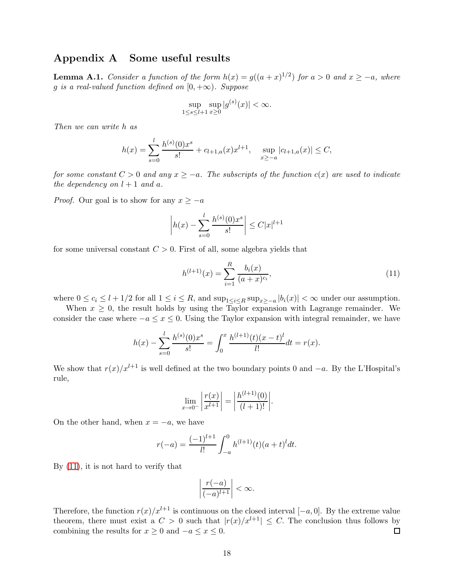# Appendix A Some useful results

<span id="page-17-0"></span>**Lemma A.1.** *Consider a function of the form*  $h(x) = g((a+x)^{1/2})$  *for*  $a > 0$  *and*  $x \ge -a$ *, where* g *is a real-valued function defined on*  $[0, +\infty)$ *. Suppose* 

$$
\sup_{1\leq s\leq l+1}\sup_{x\geq 0}|g^{(s)}(x)|<\infty.
$$

*Then we can write* h *as*

$$
h(x) = \sum_{s=0}^{l} \frac{h^{(s)}(0)x^s}{s!} + c_{l+1,a}(x)x^{l+1}, \quad \sup_{x \ge -a} |c_{l+1,a}(x)| \le C,
$$

*for some constant*  $C > 0$  *and any*  $x \ge -a$ *. The subscripts of the function*  $c(x)$  *are used to indicate the dependency on*  $l + 1$  *and*  $a$ *.* 

*Proof.* Our goal is to show for any  $x \geq -a$ 

$$
\left| h(x) - \sum_{s=0}^{l} \frac{h^{(s)}(0)x^s}{s!} \right| \le C|x|^{l+1}
$$

for some universal constant  $C > 0$ . First of all, some algebra yields that

<span id="page-17-1"></span>
$$
h^{(l+1)}(x) = \sum_{i=1}^{R} \frac{b_i(x)}{(a+x)^{c_i}},
$$
\n(11)

where  $0 \le c_i \le l + 1/2$  for all  $1 \le i \le R$ , and  $\sup_{1 \le i \le R} \sup_{x \ge -a} |b_i(x)| < \infty$  under our assumption.

When  $x \geq 0$ , the result holds by using the Taylor expansion with Lagrange remainder. We consider the case where  $-a \leq x \leq 0$ . Using the Taylor expansion with integral remainder, we have

$$
h(x) - \sum_{s=0}^{l} \frac{h^{(s)}(0)x^s}{s!} = \int_0^x \frac{h^{(l+1)}(t)(x-t)^l}{l!} dt = r(x).
$$

We show that  $r(x)/x^{l+1}$  is well defined at the two boundary points 0 and  $-a$ . By the L'Hospital's rule,

$$
\lim_{x \to 0^-} \left| \frac{r(x)}{x^{l+1}} \right| = \left| \frac{h^{(l+1)}(0)}{(l+1)!} \right|.
$$

On the other hand, when  $x = -a$ , we have

$$
r(-a) = \frac{(-1)^{l+1}}{l!} \int_{-a}^{0} h^{(l+1)}(t)(a+t)^{l} dt.
$$

By [\(11\)](#page-17-1), it is not hard to verify that

$$
\left|\frac{r(-a)}{(-a)^{l+1}}\right| < \infty.
$$

Therefore, the function  $r(x)/x^{l+1}$  is continuous on the closed interval  $[-a, 0]$ . By the extreme value theorem, there must exist a  $C > 0$  such that  $|r(x)/x^{l+1}| \leq C$ . The conclusion thus follows by combining the results for  $x > 0$  and  $-a \leq x \leq 0$ . combining the results for  $x \geq 0$  and  $-a \leq x \leq 0$ .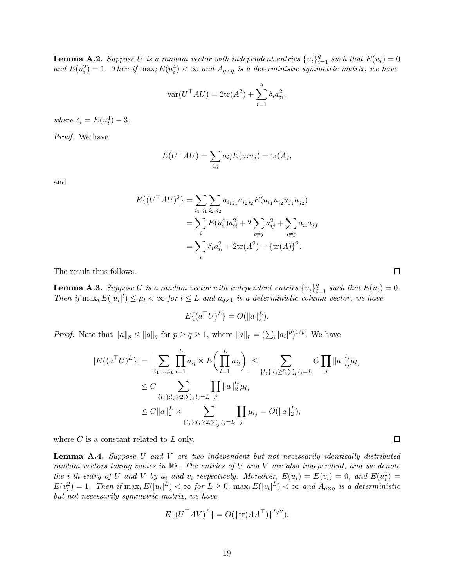<span id="page-18-2"></span>**Lemma A.2.** Suppose U is a random vector with independent entries  $\{u_i\}_{i=1}^q$  such that  $E(u_i) = 0$ and  $E(u_i^2) = 1$ . Then if  $\max_i E(u_i^4) < \infty$  and  $A_{q \times q}$  is a deterministic symmetric matrix, we have

$$
\text{var}(U^{\top}AU) = 2\text{tr}(A^2) + \sum_{i=1}^{q} \delta_i a_{ii}^2,
$$

*where*  $\delta_i = E(u_i^4) - 3$ *.* 

*Proof.* We have

$$
E(U^{\top}AU) = \sum_{i,j} a_{ij} E(u_i u_j) = \text{tr}(A),
$$

and

$$
E\{(U^{\top}AU)^{2}\} = \sum_{i_{1},j_{1}} \sum_{i_{2},j_{2}} a_{i_{1}j_{1}} a_{i_{2}j_{2}} E(u_{i_{1}} u_{i_{2}} u_{j_{1}} u_{j_{2}})
$$
  
= 
$$
\sum_{i} E(u_{i}^{4}) a_{ii}^{2} + 2 \sum_{i \neq j} a_{ij}^{2} + \sum_{i \neq j} a_{ii} a_{jj}
$$
  
= 
$$
\sum_{i} \delta_{i} a_{ii}^{2} + 2 \text{tr}(A^{2}) + {\text{tr}(A)}^{2}.
$$

The result thus follows.

<span id="page-18-0"></span>**Lemma A.3.** Suppose U is a random vector with independent entries  $\{u_i\}_{i=1}^q$  such that  $E(u_i) = 0$ . *Then* if  $\max_i E(|u_i|^l) \leq \mu_l < \infty$  for  $l \leq L$  and  $a_{q\times 1}$  is a deterministic column vector, we have

$$
E\{(a^{\top}U)^{L}\} = O(||a||_{2}^{L}).
$$

*Proof.* Note that  $||a||_p \le ||a||_q$  for  $p \ge q \ge 1$ , where  $||a||_p = (\sum_i |a_i|^p)^{1/p}$ . We have

$$
|E\{(a^{\top}U)^{L}\}| = \Big|\sum_{i_{1},\dots,i_{L}} \prod_{l=1}^{L} a_{i_{l}} \times E\left(\prod_{l=1}^{L} u_{i_{l}}\right)\Big| \leq \sum_{\{l_{j}\}:l_{j}\geq 2,\sum_{j}l_{j}=L} C \prod_{j} ||a||_{i_{j}}^{l_{j}} \mu_{l_{j}}
$$
  
\n
$$
\leq C \sum_{\{l_{j}\}:l_{j}\geq 2,\sum_{j}l_{j}=L} \prod_{j} ||a||_{2}^{l_{j}} \mu_{l_{j}}
$$
  
\n
$$
\leq C ||a||_{2}^{L} \times \sum_{\{l_{j}\}:l_{j}\geq 2,\sum_{j}l_{j}=L} \prod_{j} \mu_{l_{j}} = O(||a||_{2}^{L}),
$$

where  $C$  is a constant related to  $L$  only.

<span id="page-18-1"></span>Lemma A.4. *Suppose* U *and* V *are two independent but not necessarily identically distributed random vectors taking values in* R q *. The entries of* U *and* V *are also independent, and we denote the i*-th entry of U and V by  $u_i$  and  $v_i$  respectively. Moreover,  $E(u_i) = E(v_i) = 0$ , and  $E(u_i^2) =$  $E(v_i^2) = 1$ . Then if  $\max_i E(|u_i|^L) < \infty$  for  $L \geq 0$ ,  $\max_i E(|v_i|^L) < \infty$  and  $A_{q \times q}$  is a deterministic *but not necessarily symmetric matrix, we have*

$$
E\{(U^{\top}AV)^{L}\} = O(\{\text{tr}(AA^{\top})\}^{L/2}).
$$

 $\Box$ 

 $\Box$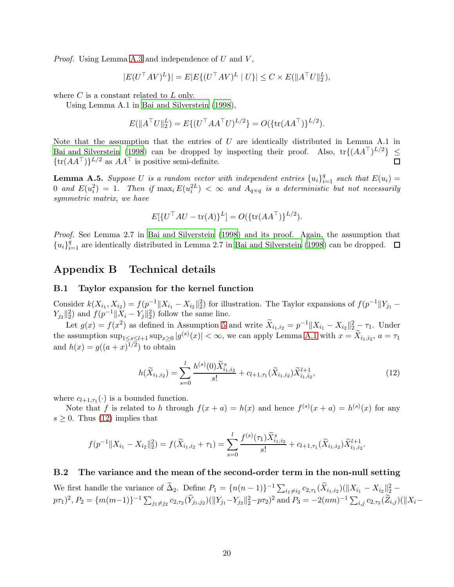*Proof.* Using Lemma [A.3](#page-18-0) and independence of  $U$  and  $V$ ,

$$
|E(U^{\top}AV)^{L}\}| = E|E\{(U^{\top}AV)^{L} | U\}| \leq C \times E(||A^{\top}U||_2^{L}),
$$

where  $C$  is a constant related to  $L$  only.

Using Lemma A.1 in [Bai and Silverstein \(1998](#page-39-12)),

$$
E(||ATU||2L) = E\{(UTAATU)L/2\} = O(\{\text{tr}(AAT)\}L/2).
$$

Note that the assumption that the entries of  $U$  are identically distributed in Lemma A.1 in [Bai and Silverstein \(1998](#page-39-12)) can be dropped by inspecting their proof. Also,  $tr\{(AA^{\top})^{L/2}\}\leq$  ${\rm tr}(AA^{\top})^{\frac{L}{2}}$  as  $AA^{\top}$  is positive semi-definite.

<span id="page-19-1"></span>**Lemma A.5.** Suppose U is a random vector with independent entries  ${u_i}_{i=1}^q$  such that  $E(u_i)$  = 0 and  $E(u_i^2) = 1$ . Then if  $\max_i E(u_i^{2L}) < \infty$  and  $A_{q \times q}$  is a deterministic but not necessarily *symmetric matrix, we have*

$$
E[{UTAU - tr(A)}L] = O({tr(AAT)}L/2).
$$

*Proof.* See Lemma 2.7 in [Bai and Silverstein \(1998](#page-39-12)) and its proof. Again, the assumption that  ${u_i}_{i=1}^q$  are identically distributed in Lemma 2.7 in [Bai and Silverstein \(1998](#page-39-12)) can be dropped.

## <span id="page-19-2"></span>Appendix B Technical details

### B.1 Taylor expansion for the kernel function

Consider  $k(X_{i_1}, X_{i_2}) = f(p^{-1}||X_{i_1} - X_{i_2}||_2^2)$  for illustration. The Taylor expansions of  $f(p^{-1}||Y_{j_1} Y_{j_2} \|_2^2$  and  $f(p^{-1} \| X_i - Y_j \|_2^2)$  follow the same line.

Let  $g(x) = f(x^2)$  as defined in Assumption [5](#page-4-1) and write  $\tilde{X}_{i_1,i_2} = p^{-1} \|X_{i_1} - X_{i_2}\|_2^2 - \tau_1$ . Under the assumption  $\sup_{1 \le s \le l+1} \sup_{x \ge 0} |g^{(s)}(x)| < \infty$ , we can apply Lemma [A.1](#page-17-0) with  $x = \tilde{X}_{i_1, i_2}, a = \tau_1$ and  $h(x) = g((a+x)^{1/2})$  to obtain

<span id="page-19-0"></span>
$$
h(\widetilde{X}_{i_1,i_2}) = \sum_{s=0}^{l} \frac{h^{(s)}(0)\widetilde{X}_{i_1,i_2}^s}{s!} + c_{l+1,\tau_1}(\widetilde{X}_{i_1,i_2})\widetilde{X}_{i_1,i_2}^{l+1},
$$
\n(12)

where  $c_{l+1,\tau_1}(\cdot)$  is a bounded function.

Note that f is related to h through  $f(x + a) = h(x)$  and hence  $f^{(s)}(x + a) = h^{(s)}(x)$  for any  $s \geq 0$ . Thus [\(12\)](#page-19-0) implies that

$$
f(p^{-1}||X_{i_1} - X_{i_2}||_2^2) = f(\widetilde{X}_{i_1, i_2} + \tau_1) = \sum_{s=0}^l \frac{f^{(s)}(\tau_1) \widetilde{X}_{i_1, i_2}^s}{s!} + c_{l+1, \tau_1}(\widetilde{X}_{i_1, i_2}) \widetilde{X}_{i_1, i_2}^{l+1}.
$$

### <span id="page-19-3"></span>B.2 The variance and the mean of the second-order term in the non-null setting

We first handle the variance of  $\tilde{\Delta}_2$ . Define  $P_1 = \{n(n-1)\}^{-1} \sum_{i_1 \neq i_2} c_{2,\tau_1}(\tilde{X}_{i_1,i_2}) (\|X_{i_1} - X_{i_2}\|_2^2 (p\tau_1)^2$ ,  $P_2 = \{m(m-1)\}^{-1} \sum_{j_1 \neq j_2} c_{2,\tau_2}(\widetilde{Y}_{j_1,j_2}) (\|Y_{j_1} - Y_{j_2}\|_2^2 - p\tau_2)^2 \text{ and } P_3 = -2(nm)^{-1} \sum_{i,j} c_{2,\tau_3}(\widetilde{Z}_{i,j}) (\|X_i - Y_{j_3}\|_2^2 - p\tau_3)^2$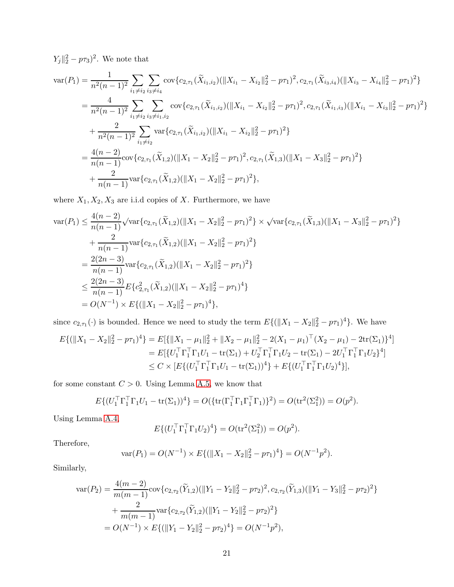$Y_j \|_2^2 - p\tau_3^2$ . We note that

$$
\operatorname{var}(P_{1}) = \frac{1}{n^{2}(n-1)^{2}} \sum_{i_{1} \neq i_{2}} \sum_{i_{3} \neq i_{4}} \operatorname{cov}\{c_{2,\tau_{1}}(\tilde{X}_{i_{1},i_{2}})(\|X_{i_{1}} - X_{i_{2}}\|_{2}^{2} - p\tau_{1})^{2}, c_{2,\tau_{1}}(\tilde{X}_{i_{3},i_{4}})(\|X_{i_{3}} - X_{i_{4}}\|_{2}^{2} - p\tau_{1})^{2}\}
$$
\n
$$
= \frac{4}{n^{2}(n-1)^{2}} \sum_{i_{1} \neq i_{2}} \sum_{i_{3} \neq i_{1},i_{2}} \operatorname{cov}\{c_{2,\tau_{1}}(\tilde{X}_{i_{1},i_{2}})(\|X_{i_{1}} - X_{i_{2}}\|_{2}^{2} - p\tau_{1})^{2}, c_{2,\tau_{1}}(\tilde{X}_{i_{1},i_{3}})(\|X_{i_{1}} - X_{i_{3}}\|_{2}^{2} - p\tau_{1})^{2}\}
$$
\n
$$
+ \frac{2}{n^{2}(n-1)^{2}} \sum_{i_{1} \neq i_{2}} \operatorname{var}\{c_{2,\tau_{1}}(\tilde{X}_{i_{1},i_{2}})(\|X_{i_{1}} - X_{i_{2}}\|_{2}^{2} - p\tau_{1})^{2}\}
$$
\n
$$
= \frac{4(n-2)}{n(n-1)} \operatorname{cov}\{c_{2,\tau_{1}}(\tilde{X}_{1,2})(\|X_{1} - X_{2}\|_{2}^{2} - p\tau_{1})^{2}, c_{2,\tau_{1}}(\tilde{X}_{1,3})(\|X_{1} - X_{3}\|_{2}^{2} - p\tau_{1})^{2}\}
$$
\n
$$
+ \frac{2}{n(n-1)} \operatorname{var}\{c_{2,\tau_{1}}(\tilde{X}_{1,2})(\|X_{1} - X_{2}\|_{2}^{2} - p\tau_{1})^{2}\},
$$

where  $X_1, X_2, X_3$  are i.i.d copies of X. Furthermore, we have

$$
\operatorname{var}(P_1) \leq \frac{4(n-2)}{n(n-1)} \sqrt{\operatorname{var}\{c_{2,\tau_1}(\tilde{X}_{1,2})(\|X_1 - X_2\|_2^2 - p\tau_1)^2\}} \times \sqrt{\operatorname{var}\{c_{2,\tau_1}(\tilde{X}_{1,3})(\|X_1 - X_3\|_2^2 - p\tau_1)^2\}} + \frac{2}{n(n-1)} \operatorname{var}\{c_{2,\tau_1}(\tilde{X}_{1,2})(\|X_1 - X_2\|_2^2 - p\tau_1)^2\} = \frac{2(2n-3)}{n(n-1)} \operatorname{var}\{c_{2,\tau_1}(\tilde{X}_{1,2})(\|X_1 - X_2\|_2^2 - p\tau_1)^2\} \leq \frac{2(2n-3)}{n(n-1)} E\{c_{2,\tau_1}(\tilde{X}_{1,2})(\|X_1 - X_2\|_2^2 - p\tau_1)^4\} = O(N^{-1}) \times E\{(\|X_1 - X_2\|_2^2 - p\tau_1)^4\},
$$

since  $c_{2,\tau_1}(\cdot)$  is bounded. Hence we need to study the term  $E\{(\|X_1 - X_2\|_2^2 - p\tau_1)^4\}$ . We have

$$
E\{(\|X_1 - X_2\|_2^2 - p\tau_1)^4\} = E[\{\|X_1 - \mu_1\|_2^2 + \|X_2 - \mu_1\|_2^2 - 2(X_1 - \mu_1)^\top (X_2 - \mu_1) - 2\text{tr}(\Sigma_1)\}^4]
$$
  
\n
$$
= E[\{U_1^\top \Gamma_1^\top \Gamma_1 U_1 - \text{tr}(\Sigma_1) + U_2^\top \Gamma_1^\top \Gamma_1 U_2 - \text{tr}(\Sigma_1) - 2U_1^\top \Gamma_1^\top \Gamma_1 U_2\}^4]
$$
  
\n
$$
\leq C \times [E\{(U_1^\top \Gamma_1^\top \Gamma_1 U_1 - \text{tr}(\Sigma_1))^4\} + E\{(U_1^\top \Gamma_1^\top \Gamma_1 U_2)^4\}],
$$

for some constant  $C>0.$  Using Lemma [A.5,](#page-19-1) we know that

$$
E\{(U_1^{\top}\Gamma_1^{\top}\Gamma_1U_1 - \text{tr}(\Sigma_1))^4\} = O(\{\text{tr}(\Gamma_1^{\top}\Gamma_1\Gamma_1^{\top}\Gamma_1)\}^2) = O(\text{tr}^2(\Sigma_1^2)) = O(p^2).
$$

Using Lemma [A.4,](#page-18-1)

$$
E\{(U_1^{\top} \Gamma_1^{\top} \Gamma_1 U_2)^4\} = O(\text{tr}^2(\Sigma_1^2)) = O(p^2).
$$

Therefore,

$$
\text{var}(P_1) = O(N^{-1}) \times E\{ (\|X_1 - X_2\|_2^2 - p\tau_1)^4 \} = O(N^{-1}p^2).
$$

Similarly,

$$
\begin{split} \text{var}(P_2) &= \frac{4(m-2)}{m(m-1)} \text{cov}\{c_{2,\tau_2}(\widetilde{Y}_{1,2})(\|Y_1 - Y_2\|_2^2 - p\tau_2)^2, c_{2,\tau_2}(\widetilde{Y}_{1,3})(\|Y_1 - Y_3\|_2^2 - p\tau_2)^2\} \\ &+ \frac{2}{m(m-1)} \text{var}\{c_{2,\tau_2}(\widetilde{Y}_{1,2})(\|Y_1 - Y_2\|_2^2 - p\tau_2)^2\} \\ &= O(N^{-1}) \times E\{(\|Y_1 - Y_2\|_2^2 - p\tau_2)^4\} = O(N^{-1}p^2), \end{split}
$$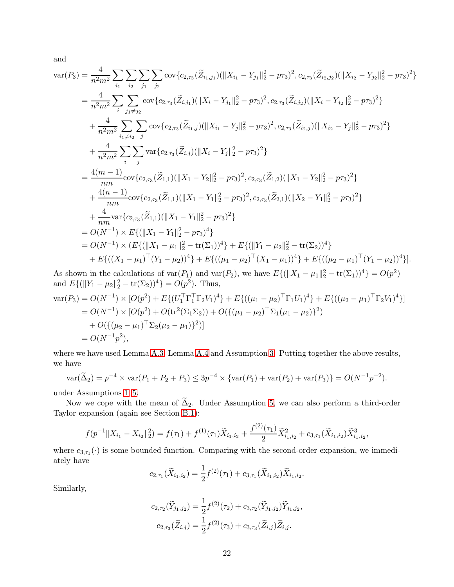and

$$
\begin{split}\n\text{var}(P_3) &= \frac{4}{n^2m^2} \sum_{i_1} \sum_{i_2} \sum_{j_1} \sum_{j_2} \text{cov}\{c_{2,\tau_3}(\widetilde{Z}_{i_1,j_1}) (\|X_{i_1} - Y_{j_1}\|_2^2 - p\tau_3)^2, c_{2,\tau_3}(\widetilde{Z}_{i_2,j_2}) (\|X_{i_2} - Y_{j_2}\|_2^2 - p\tau_3)^2\} \\
&= \frac{4}{n^2m^2} \sum_{i} \sum_{j_1 \neq j_2} \text{cov}\{c_{2,\tau_3}(\widetilde{Z}_{i,j_1}) (\|X_i - Y_{j_1}\|_2^2 - p\tau_3)^2, c_{2,\tau_3}(\widetilde{Z}_{i,j_2}) (\|X_i - Y_{j_2}\|_2^2 - p\tau_3)^2\} \\
&+ \frac{4}{n^2m^2} \sum_{i_1 \neq i_2} \sum_{j} \text{cov}\{c_{2,\tau_3}(\widetilde{Z}_{i_1,j}) (\|X_{i_1} - Y_j\|_2^2 - p\tau_3)^2, c_{2,\tau_3}(\widetilde{Z}_{i_2,j}) (\|X_{i_2} - Y_j\|_2^2 - p\tau_3)^2\} \\
&+ \frac{4}{n^2m^2} \sum_{i} \sum_{j} \text{var}\{c_{2,\tau_3}(\widetilde{Z}_{i,j}) (\|X_i - Y_j\|_2^2 - p\tau_3)^2\} \\
&= \frac{4(m-1)}{nm} \text{cov}\{c_{2,\tau_3}(\widetilde{Z}_{1,1}) (\|X_1 - Y_2\|_2^2 - p\tau_3)^2, c_{2,\tau_3}(\widetilde{Z}_{1,2}) (\|X_1 - Y_2\|_2^2 - p\tau_3)^2\} \\
&+ \frac{4(n-1)}{nm} \text{cov}\{c_{2,\tau_3}(\widetilde{Z}_{1,1}) (\|X_1 - Y_1\|_2^2 - p\tau_3)^2, c_{2,\tau_3}(\widetilde{Z}_{2,1}) (\|X_2 - Y_1\|_2^2 - p\tau_3)^2\} \\
&= O(N^{-1}) \times E\{(\|X_1 - Y_1\|_2^2 - p\tau_3)^4\}
$$

As shown in the calculations of  $\text{var}(P_1)$  and  $\text{var}(P_2)$ , we have  $E\{(\|X_1 - \mu_1\|_2^2 - \text{tr}(\Sigma_1))^4\} = O(p^2)$ and  $E\{(\|Y_1 - \mu_2\|_2^2 - \text{tr}(\Sigma_2))^4\} = O(p^2)$ . Thus,

$$
\begin{aligned}\n\text{var}(P_3) &= O(N^{-1}) \times [O(p^2) + E\{(U_1^\top \Gamma_1^\top \Gamma_2 V_1)^4\} + E\{((\mu_1 - \mu_2)^\top \Gamma_1 U_1)^4\} + E\{((\mu_2 - \mu_1)^\top \Gamma_2 V_1)^4\}] \\
&= O(N^{-1}) \times [O(p^2) + O(\text{tr}^2(\Sigma_1 \Sigma_2)) + O(\{(\mu_1 - \mu_2)^\top \Sigma_1 (\mu_1 - \mu_2)\}^2) \\
&\quad + O(\{(\mu_2 - \mu_1)^\top \Sigma_2 (\mu_2 - \mu_1)\}^2)\] \\
&= O(N^{-1}p^2),\n\end{aligned}
$$

where we have used Lemma [A.3,](#page-18-0) Lemma [A.4](#page-18-1) and Assumption [3.](#page-4-3) Putting together the above results, we have

$$
\text{var}(\widetilde{\Delta}_2) = p^{-4} \times \text{var}(P_1 + P_2 + P_3) \le 3p^{-4} \times \{\text{var}(P_1) + \text{var}(P_2) + \text{var}(P_3)\} = O(N^{-1}p^{-2}).
$$

under Assumptions [1–](#page-3-1)[5.](#page-4-1)

Now we cope with the mean of  $\tilde{\Delta}_2$ . Under Assumption [5,](#page-4-1) we can also perform a third-order Taylor expansion (again see Section [B.1\)](#page-19-2):

$$
f(p^{-1}||X_{i_1} - X_{i_2}||_2^2) = f(\tau_1) + f^{(1)}(\tau_1)\widetilde{X}_{i_1, i_2} + \frac{f^{(2)}(\tau_1)}{2}\widetilde{X}_{i_1, i_2}^2 + c_{3, \tau_1}(\widetilde{X}_{i_1, i_2})\widetilde{X}_{i_1, i_2}^3,
$$

where  $c_{3,\tau_1}(\cdot)$  is some bounded function. Comparing with the second-order expansion, we immediately have

$$
c_{2,\tau_1}(\widetilde{X}_{i_1,i_2}) = \frac{1}{2} f^{(2)}(\tau_1) + c_{3,\tau_1}(\widetilde{X}_{i_1,i_2}) \widetilde{X}_{i_1,i_2}.
$$

Similarly,

$$
c_{2,\tau_2}(\widetilde{Y}_{j_1,j_2}) = \frac{1}{2} f^{(2)}(\tau_2) + c_{3,\tau_2}(\widetilde{Y}_{j_1,j_2}) \widetilde{Y}_{j_1,j_2},
$$
  

$$
c_{2,\tau_3}(\widetilde{Z}_{i,j}) = \frac{1}{2} f^{(2)}(\tau_3) + c_{3,\tau_3}(\widetilde{Z}_{i,j}) \widetilde{Z}_{i,j}.
$$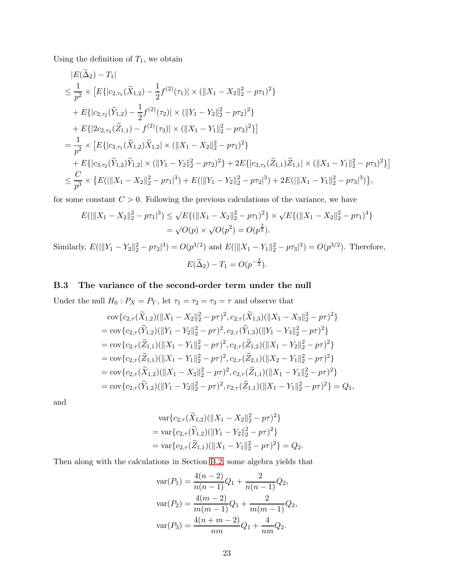Using the definition of  $T_1$ , we obtain

$$
|E(\Delta_2) - T_1|
$$
  
\n
$$
\leq \frac{1}{p^2} \times [E\{|c_{2,\tau_1}(\tilde{X}_{1,2}) - \frac{1}{2}f^{(2)}(\tau_1)| \times (||X_1 - X_2||_2^2 - p\tau_1)^2\}
$$
  
\n
$$
+ E\{|c_{2,\tau_2}(\tilde{Y}_{1,2}) - \frac{1}{2}f^{(2)}(\tau_2)| \times (||Y_1 - Y_2||_2^2 - p\tau_2)^2\}
$$
  
\n
$$
+ E\{|2c_{2,\tau_3}(\tilde{Z}_{1,1}) - f^{(2)}(\tau_3)| \times (||X_1 - Y_1||_2^2 - p\tau_3)^2\}
$$
  
\n
$$
= \frac{1}{p^2} \times [E\{|c_{3,\tau_1}(\tilde{X}_{1,2})\tilde{X}_{1,2}| \times (||X_1 - X_2||_2^2 - p\tau_1)^2\}
$$
  
\n
$$
+ E\{|c_{3,\tau_2}(\tilde{Y}_{1,2})\tilde{Y}_{1,2}| \times (||Y_1 - Y_2||_2^2 - p\tau_2)^2\} + 2E\{|c_{3,\tau_3}(\tilde{Z}_{1,1})\tilde{Z}_{1,1}| \times (||X_1 - Y_1||_2^2 - p\tau_3)^2\}]
$$
  
\n
$$
\leq \frac{C}{p^3} \times \{E(||X_1 - X_2||_2^2 - p\tau_1|^3) + E(||Y_1 - Y_2||_2^2 - p\tau_2|^3) + 2E(||X_1 - Y_1||_2^2 - p\tau_3|^3)\},
$$

for some constant  $C > 0$ . Following the previous calculations of the variance, we have

$$
E(||X_1 - X_2||_2^2 - p\tau_1|^3) \le \sqrt{E\{(||X_1 - X_2||_2^2 - p\tau_1)^2\} \times \sqrt{E\{(||X_1 - X_2||_2^2 - p\tau_1)^4\}}
$$
  
=  $\sqrt{O(p)} \times \sqrt{O(p^2)} = O(p^{\frac{3}{2}}).$ 

Similarly,  $E(||[Y_1 - Y_2||_2^2 - p\tau_2]^3) = O(p^{3/2})$  and  $E(||[X_1 - Y_1||_2^2 - p\tau_3]^3) = O(p^{3/2})$ . Therefore,  $E(\tilde{\Delta}_2) - T_1 = O(p^{-\frac{3}{2}}).$ 

## B.3 The variance of the second-order term under the null

Under the null  $H_0: P_X = P_Y,$  let  $\tau_1 = \tau_2 = \tau_3 = \tau$  and observe that

$$
\begin{split}\n&\text{cov}\{c_{2,\tau}(\widetilde{X}_{1,2})(\|X_1 - X_2\|_2^2 - p\tau)^2, c_{2,\tau}(\widetilde{X}_{1,3})(\|X_1 - X_3\|_2^2 - p\tau)^2\} \\
&= \text{cov}\{c_{2,\tau}(\widetilde{Y}_{1,2})(\|Y_1 - Y_2\|_2^2 - p\tau)^2, c_{2,\tau}(\widetilde{Y}_{1,3})(\|Y_1 - Y_3\|_2^2 - p\tau)^2\} \\
&= \text{cov}\{c_{2,\tau}(\widetilde{Z}_{1,1})(\|X_1 - Y_1\|_2^2 - p\tau)^2, c_{2,\tau}(\widetilde{Z}_{1,2})(\|X_1 - Y_2\|_2^2 - p\tau)^2\} \\
&= \text{cov}\{c_{2,\tau}(\widetilde{Z}_{1,1})(\|X_1 - Y_1\|_2^2 - p\tau)^2, c_{2,\tau}(\widetilde{Z}_{2,1})(\|X_2 - Y_1\|_2^2 - p\tau)^2\} \\
&= \text{cov}\{c_{2,\tau}(\widetilde{X}_{1,2})(\|X_1 - X_2\|_2^2 - p\tau)^2, c_{2,\tau}(\widetilde{Z}_{1,1})(\|X_1 - Y_1\|_2^2 - p\tau)^2\} \\
&= \text{cov}\{c_{2,\tau}(\widetilde{Y}_{1,2})(\|Y_1 - Y_2\|_2^2 - p\tau)^2, c_{2,\tau}(\widetilde{Z}_{1,1})(\|X_1 - Y_1\|_2^2 - p\tau)^2\} \\
&= \text{cov}\{c_{2,\tau}(\widetilde{Y}_{1,2})(\|Y_1 - Y_2\|_2^2 - p\tau)^2, c_{2,\tau}(\widetilde{Z}_{1,1})(\|X_1 - Y_1\|_2^2 - p\tau)^2\} = Q_1,\n\end{split}
$$

and

$$
\operatorname{var} \{c_{2,\tau}(\widetilde{X}_{1,2})(\|X_1 - X_2\|_2^2 - p\tau)^2\}
$$
  
= 
$$
\operatorname{var} \{c_{2,\tau}(\widetilde{Y}_{1,2})(\|Y_1 - Y_2\|_2^2 - p\tau)^2\}
$$
  
= 
$$
\operatorname{var} \{c_{2,\tau}(\widetilde{Z}_{1,1})(\|X_1 - Y_1\|_2^2 - p\tau)^2\} = Q_2.
$$

Then along with the calculations in Section [B.2,](#page-19-3) some algebra yields that

$$
\begin{aligned} \n\text{var}(P_1) &= \frac{4(n-2)}{n(n-1)}Q_1 + \frac{2}{n(n-1)}Q_2, \\ \n\text{var}(P_2) &= \frac{4(m-2)}{m(m-1)}Q_1 + \frac{2}{m(m-1)}Q_2, \\ \n\text{var}(P_3) &= \frac{4(n+m-2)}{nm}Q_1 + \frac{4}{nm}Q_2. \n\end{aligned}
$$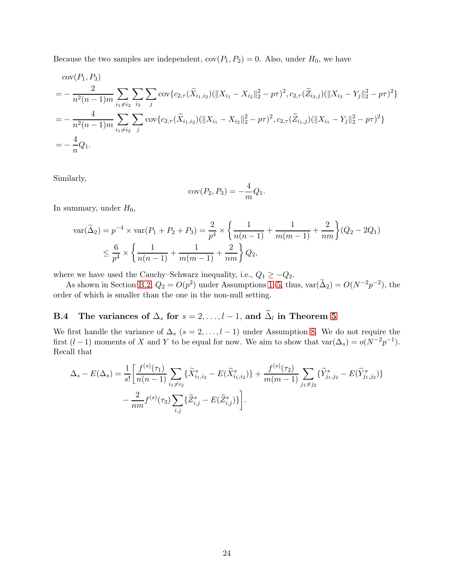Because the two samples are independent,  $cov(P_1, P_2) = 0$ . Also, under  $H_0$ , we have

$$
\begin{split}\n& \text{cov}(P_1, P_3) \\
&= -\frac{2}{n^2(n-1)m} \sum_{i_1 \neq i_2} \sum_{i_3} \sum_{j} \text{cov}\{c_{2,\tau}(\widetilde{X}_{i_1, i_2}) (\|X_{i_1} - X_{i_2}\|_2^2 - p\tau)^2, c_{2,\tau}(\widetilde{Z}_{i_3, j}) (\|X_{i_3} - Y_j\|_2^2 - p\tau)^2\} \\
&= -\frac{4}{n^2(n-1)m} \sum_{i_1 \neq i_2} \sum_{j} \text{cov}\{c_{2,\tau}(\widetilde{X}_{i_1, i_2}) (\|X_{i_1} - X_{i_2}\|_2^2 - p\tau)^2, c_{2,\tau}(\widetilde{Z}_{i_1, j}) (\|X_{i_1} - Y_j\|_2^2 - p\tau)^2\} \\
&= -\frac{4}{n} Q_1.\n\end{split}
$$

Similarly,

$$
cov(P_2, P_3) = -\frac{4}{m}Q_1.
$$

In summary, under  $H_0$ ,

$$
\operatorname{var}(\widetilde{\Delta}_{2}) = p^{-4} \times \operatorname{var}(P_{1} + P_{2} + P_{3}) = \frac{2}{p^{4}} \times \left\{ \frac{1}{n(n-1)} + \frac{1}{m(m-1)} + \frac{2}{nm} \right\} (Q_{2} - 2Q_{1})
$$
  

$$
\leq \frac{6}{p^{4}} \times \left\{ \frac{1}{n(n-1)} + \frac{1}{m(m-1)} + \frac{2}{nm} \right\} Q_{2},
$$

where we have used the Cauchy–Schwarz inequality, i.e.,  $Q_1 \geq -Q_2$ .

As shown in Section [B.2,](#page-19-3)  $Q_2 = O(p^2)$  under Assumptions [1](#page-3-1)[–5,](#page-4-1) thus,  $var(\tilde{\Delta}_2) = O(N^{-2}p^{-2})$ , the order of which is smaller than the one in the non-null setting.

# <span id="page-23-0"></span>B.4 The variances of  $\Delta_s$  for  $s = 2, \ldots, l-1$ , and  $\widetilde{\Delta}_l$  in Theorem [5](#page-9-3)

We first handle the variance of  $\Delta_s$  (s = 2, ..., l – 1) under Assumption [8.](#page-8-2) We do not require the first  $(l-1)$  moments of X and Y to be equal for now. We aim to show that  $\text{var}(\Delta_s) = o(N^{-2}p^{-1})$ . Recall that

$$
\Delta_s - E(\Delta_s) = \frac{1}{s!} \left[ \frac{f^{(s)}(\tau_1)}{n(n-1)} \sum_{i_1 \neq i_2} \{ \tilde{X}_{i_1, i_2}^s - E(\tilde{X}_{i_1, i_2}^s) \} + \frac{f^{(s)}(\tau_2)}{m(m-1)} \sum_{j_1 \neq j_2} \{ \tilde{Y}_{j_1, j_2}^s - E(\tilde{Y}_{j_1, j_2}^s) \} - \frac{2}{nm} f^{(s)}(\tau_3) \sum_{i,j} \{ \tilde{Z}_{i,j}^s - E(\tilde{Z}_{i,j}^s) \} \right].
$$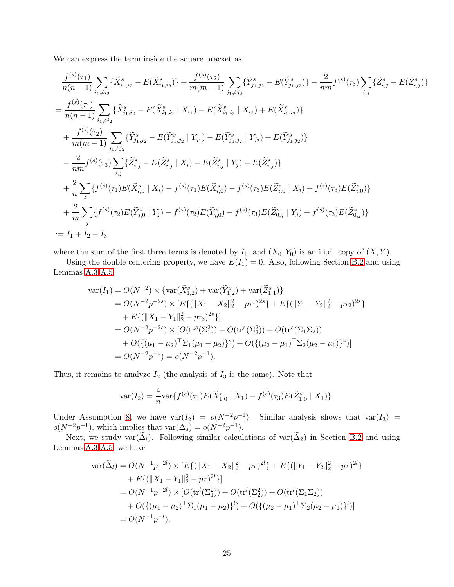We can express the term inside the square bracket as

$$
\frac{f^{(s)}(\tau_{1})}{n(n-1)} \sum_{i_{1}\neq i_{2}} \{\tilde{X}_{i_{1},i_{2}}^{s} - E(\tilde{X}_{i_{1},i_{2}}^{s})\} + \frac{f^{(s)}(\tau_{2})}{m(m-1)} \sum_{j_{1}\neq j_{2}} \{\tilde{Y}_{j_{1},j_{2}}^{s} - E(\tilde{Y}_{j_{1},j_{2}}^{s})\} - \frac{2}{nm} f^{(s)}(\tau_{3}) \sum_{i,j} \{\tilde{Z}_{i,j}^{s} - E(\tilde{Z}_{i,j}^{s})\}
$$
\n
$$
= \frac{f^{(s)}(\tau_{1})}{n(n-1)} \sum_{i_{1}\neq i_{2}} \{\tilde{X}_{i_{1},i_{2}}^{s} - E(\tilde{X}_{i_{1},i_{2}}^{s} | X_{i_{1}}) - E(\tilde{X}_{i_{1},i_{2}}^{s} | X_{i_{2}}) + E(\tilde{X}_{i_{1},i_{2}}^{s})\}
$$
\n
$$
+ \frac{f^{(s)}(\tau_{2})}{m(m-1)} \sum_{j_{1}\neq j_{2}} \{\tilde{Y}_{j_{1},j_{2}}^{s} - E(\tilde{Y}_{j_{1},j_{2}}^{s} | Y_{j_{1}}) - E(\tilde{Y}_{j_{1},j_{2}}^{s} | Y_{j_{2}}) + E(\tilde{Y}_{j_{1},j_{2}}^{s})\}
$$
\n
$$
- \frac{2}{nm} f^{(s)}(\tau_{3}) \sum_{i,j} \{\tilde{Z}_{i,j}^{s} - E(\tilde{Z}_{i,j}^{s} | X_{i}) - E(\tilde{Z}_{i,j}^{s} | Y_{j}) + E(\tilde{Z}_{i,j}^{s})\}
$$
\n
$$
+ \frac{2}{n} \sum_{i} \{f^{(s)}(\tau_{1}) E(\tilde{X}_{i,0}^{s} | X_{i}) - f^{(s)}(\tau_{1}) E(\tilde{X}_{i,0}^{s}) - f^{(s)}(\tau_{3}) E(\tilde{Z}_{i,0}^{s} | X_{i}) + f^{(s)}(\tau_{3}) E(\tilde{Z}_{i,0}^{s})\}
$$
\n
$$
+ \frac{2}{m} \sum_{j} \{f^{(s)}(\tau_{2}) E(\tilde{Y}_{j,0}^{s} | Y_{j}) - f^{(s)}
$$

where the sum of the first three terms is denoted by  $I_1$ , and  $(X_0, Y_0)$  is an i.i.d. copy of  $(X, Y)$ .

Using the double-centering property, we have  $E(I_1) = 0$ . Also, following Section [B.2](#page-19-3) and using Lemmas [A.3](#page-18-0)[-A.5,](#page-19-1)

$$
\begin{split}\n\text{var}(I_1) &= O(N^{-2}) \times \{ \text{var}(\widetilde{X}_{1,2}^s) + \text{var}(\widetilde{Y}_{1,2}^s) + \text{var}(\widetilde{Z}_{1,1}^s) \} \\
&= O(N^{-2}p^{-2s}) \times [E\{(\|X_1 - X_2\|_2^2 - p\tau_1)^{2s}\} + E\{(\|Y_1 - Y_2\|_2^2 - p\tau_2)^{2s}\} \\
&+ E\{(\|X_1 - Y_1\|_2^2 - p\tau_3)^{2s}\} \\
&= O(N^{-2}p^{-2s}) \times [O(\text{tr}^s(\Sigma_1^2)) + O(\text{tr}^s(\Sigma_2^2)) + O(\text{tr}^s(\Sigma_1\Sigma_2)) \\
&+ O(\{(\mu_1 - \mu_2)^{\top}\Sigma_1(\mu_1 - \mu_2)\}^s) + O(\{(\mu_2 - \mu_1)^{\top}\Sigma_2(\mu_2 - \mu_1)\}^s) \\
&= O(N^{-2}p^{-s}) = o(N^{-2}p^{-1}).\n\end{split}
$$

Thus, it remains to analyze  $I_2$  (the analysis of  $I_3$  is the same). Note that

$$
\text{var}(I_2) = \frac{4}{n} \text{var}\{f^{(s)}(\tau_1) E(\tilde{X}_{1,0}^s \mid X_1) - f^{(s)}(\tau_3) E(\tilde{Z}_{1,0}^s \mid X_1)\}.
$$

Under Assumption [8,](#page-8-2) we have  $var(I_2) = o(N^{-2}p^{-1})$ . Similar analysis shows that  $var(I_3)$  =  $o(N^{-2}p^{-1})$ , which implies that  $\text{var}(\Delta_s) = o(N^{-2}p^{-1})$ .

Next, we study var $(\Delta_l)$ . Following similar calculations of var $(\Delta_2)$  in Section [B.2](#page-19-3) and using Lemmas [A.3](#page-18-0)[-A.5,](#page-19-1) we have

$$
\begin{split} \text{var}(\widetilde{\Delta}_{l}) &= O(N^{-1}p^{-2l}) \times \left[ E\{ (\|X_1 - X_2\|_2^2 - p\tau)^{2l} \} + E\{ (\|Y_1 - Y_2\|_2^2 - p\tau)^{2l} \} \right. \\ &\quad \left. + E\{ (\|X_1 - Y_1\|_2^2 - p\tau)^{2l} \} \right] \\ &= O(N^{-1}p^{-2l}) \times \left[ O(\text{tr}^l(\Sigma_1^2)) + O(\text{tr}^l(\Sigma_2^2)) + O(\text{tr}^l(\Sigma_1\Sigma_2)) \right. \\ &\quad \left. + O(\{(\mu_1 - \mu_2)^{\top} \Sigma_1 (\mu_1 - \mu_2)\}^l) + O(\{(\mu_2 - \mu_1)^{\top} \Sigma_2 (\mu_2 - \mu_1)\}^l) \right] \\ &= O(N^{-1}p^{-l}). \end{split}
$$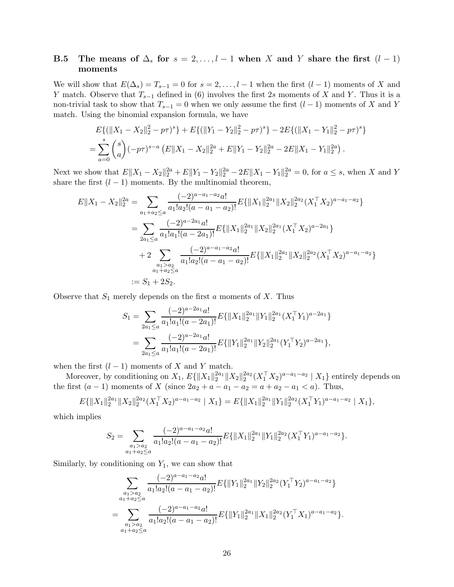### <span id="page-25-0"></span>B.5 The means of  $\Delta_s$  for  $s = 2, \ldots, l-1$  when X and Y share the first  $(l-1)$ moments

We will show that  $E(\Delta_s) = T_{s-1} = 0$  for  $s = 2, \ldots, l-1$  when the first  $(l-1)$  moments of X and Y match. Observe that  $T_{s-1}$  defined in (6) involves the first 2s moments of X and Y. Thus it is a non-trivial task to show that  $T_{s-1} = 0$  when we only assume the first  $(l-1)$  moments of X and Y match. Using the binomial expansion formula, we have

$$
E\{(\|X_1 - X_2\|_2^2 - p\tau)^s\} + E\{(\|Y_1 - Y_2\|_2^2 - p\tau)^s\} - 2E\{(\|X_1 - Y_1\|_2^2 - p\tau)^s\}
$$
  
= 
$$
\sum_{a=0}^s \binom{s}{a} (-p\tau)^{s-a} (E\|X_1 - X_2\|_2^{2a} + E\|Y_1 - Y_2\|_2^{2a} - 2E\|X_1 - Y_1\|_2^{2a}).
$$

Next we show that  $E||X_1 - X_2||_2^{2a} + E||Y_1 - Y_2||_2^{2a} - 2E||X_1 - Y_1||_2^{2a} = 0$ , for  $a \le s$ , when X and Y share the first  $(l-1)$  moments. By the multinomial theorem,

$$
E||X_1 - X_2||_2^{2a} = \sum_{a_1 + a_2 \le a} \frac{(-2)^{a - a_1 - a_2} a!}{a_1! a_2! (a - a_1 - a_2)!} E{\|X_1\|_2^{2a_1} \|X_2\|_2^{2a_2} (X_1^\top X_2)^{a - a_1 - a_2} }
$$
  
= 
$$
\sum_{2a_1 \le a} \frac{(-2)^{a - 2a_1} a!}{a_1! a_1! (a - 2a_1)!} E{\|X_1\|_2^{2a_1} \|X_2\|_2^{2a_1} (X_1^\top X_2)^{a - 2a_1} }
$$
  
+ 
$$
2 \sum_{\substack{a_1 > a_2 \\ a_1 + a_2 \le a}} \frac{(-2)^{a - a_1 - a_2} a!}{a_1! a_2! (a - a_1 - a_2)!} E{\|X_1\|_2^{2a_1} \|X_2\|_2^{2a_2} (X_1^\top X_2)^{a - a_1 - a_2} }
$$
  
:= 
$$
S_1 + 2S_2.
$$

Observe that  $S_1$  merely depends on the first a moments of X. Thus

$$
S_1 = \sum_{2a_1 \le a} \frac{(-2)^{a-2a_1} a!}{a_1! a_1! (a-2a_1)!} E\{\|X_1\|_2^{2a_1} \|Y_1\|_2^{2a_1} (X_1^\top Y_1)^{a-2a_1}\}
$$
  
= 
$$
\sum_{2a_1 \le a} \frac{(-2)^{a-2a_1} a!}{a_1! a_1! (a-2a_1)!} E\{\|Y_1\|_2^{2a_1} \|Y_2\|_2^{2a_1} (Y_1^\top Y_2)^{a-2a_1}\},
$$

when the first  $(l-1)$  moments of X and Y match.

Moreover, by conditioning on  $X_1$ ,  $E\{\|X_1\|_2^{2a_1}$  $\frac{2a_1}{2} \|X_2\|_2^{2a_2}$  $\frac{2a_2}{2}(X_1^\top X_2)^{a-a_1-a_2} \mid X_1 \}$  entirely depends on the first  $(a - 1)$  moments of X (since  $2a_2 + a - a_1 - a_2 = a + a_2 - a_1 < a$ ). Thus,

$$
E\{\|X_1\|_2^{2a_1}\|X_2\|_2^{2a_2}(X_1^{\top}X_2)^{a-a_1-a_2} \mid X_1\} = E\{\|X_1\|_2^{2a_1}\|Y_1\|_2^{2a_2}(X_1^{\top}Y_1)^{a-a_1-a_2} \mid X_1\},\
$$

which implies

$$
S_2 = \sum_{\substack{a_1 > a_2 \\ a_1 + a_2 \le a}} \frac{(-2)^{a - a_1 - a_2} a!}{a_1! a_2! (a - a_1 - a_2)!} E\{\|X_1\|_2^{2a_1} \|Y_1\|_2^{2a_2} (X_1^\top Y_1)^{a - a_1 - a_2}\}.
$$

Similarly, by conditioning on  $Y_1$ , we can show that

$$
\sum_{\substack{a_1>a_2\\a_1+a_2\leq a}}\frac{(-2)^{a-a_1-a_2}a!}{a_1!a_2!(a-a_1-a_2)!}E\{\|Y_1\|_2^{2a_1}\|Y_2\|_2^{2a_2}(Y_1^\top Y_2)^{a-a_1-a_2}\}\
$$
\n
$$
=\sum_{\substack{a_1>a_2\\a_1+a_2\leq a}}\frac{(-2)^{a-a_1-a_2}a!}{a_1!a_2!(a-a_1-a_2)!}E\{\|Y_1\|_2^{2a_1}\|X_1\|_2^{2a_2}(Y_1^\top X_1)^{a-a_1-a_2}\}.
$$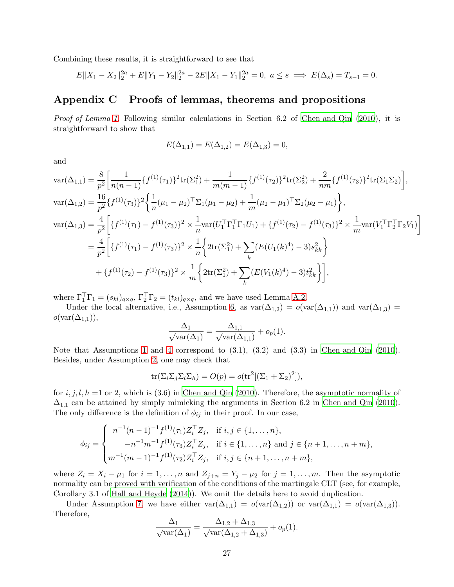Combining these results, it is straightforward to see that

$$
E||X_1 - X_2||_2^{2a} + E||Y_1 - Y_2||_2^{2a} - 2E||X_1 - Y_1||_2^{2a} = 0, \ a \le s \implies E(\Delta_s) = T_{s-1} = 0.
$$

# Appendix C Proofs of lemmas, theorems and propositions

*Proof of Lemma [1.](#page-5-3)* Following similar calculations in Section 6.2 of [Chen and Qin \(2010](#page-39-10)), it is straightforward to show that

$$
E(\Delta_{1,1}) = E(\Delta_{1,2}) = E(\Delta_{1,3}) = 0,
$$

and

$$
\begin{split}\n\text{var}(\Delta_{1,1}) &= \frac{8}{p^2} \bigg[ \frac{1}{n(n-1)} \{ f^{(1)}(\tau_1) \}^2 \text{tr}(\Sigma_1^2) + \frac{1}{m(m-1)} \{ f^{(1)}(\tau_2) \}^2 \text{tr}(\Sigma_2^2) + \frac{2}{nm} \{ f^{(1)}(\tau_3) \}^2 \text{tr}(\Sigma_1 \Sigma_2) \bigg], \\
\text{var}(\Delta_{1,2}) &= \frac{16}{p^2} \{ f^{(1)}(\tau_3) \}^2 \bigg\{ \frac{1}{n} (\mu_1 - \mu_2)^\top \Sigma_1 (\mu_1 - \mu_2) + \frac{1}{m} (\mu_2 - \mu_1)^\top \Sigma_2 (\mu_2 - \mu_1) \bigg\}, \\
\text{var}(\Delta_{1,3}) &= \frac{4}{p^2} \bigg[ \{ f^{(1)}(\tau_1) - f^{(1)}(\tau_3) \}^2 \times \frac{1}{n} \text{var}(U_1^\top \Gamma_1^\top \Gamma_1 U_1) + \{ f^{(1)}(\tau_2) - f^{(1)}(\tau_3) \}^2 \times \frac{1}{m} \text{var}(V_1^\top \Gamma_2^\top \Gamma_2 V_1) \bigg] \\
&= \frac{4}{p^2} \bigg[ \{ f^{(1)}(\tau_1) - f^{(1)}(\tau_3) \}^2 \times \frac{1}{n} \bigg\{ 2 \text{tr}(\Sigma_1^2) + \sum_k (E(U_1(k)^4) - 3) s_{kk}^2 \bigg\} \\
&\quad + \{ f^{(1)}(\tau_2) - f^{(1)}(\tau_3) \}^2 \times \frac{1}{m} \bigg\{ 2 \text{tr}(\Sigma_1^2) + \sum_k (E(V_1(k)^4) - 3) t_{kk}^2 \bigg\} \bigg],\n\end{split}
$$

where  $\Gamma_1^{\top} \Gamma_1 = (s_{kl})_{q \times q}$ ,  $\Gamma_2^{\top} \Gamma_2 = (t_{kl})_{q \times q}$ , and we have used Lemma [A.2.](#page-18-2)

Under the local alternative, i.e., Assumption [6,](#page-5-2) as  $var(\Delta_{1,2}) = o(var(\Delta_{1,1}))$  and  $var(\Delta_{1,3}) =$  $o(\text{var}(\Delta_{1,1})),$ 

$$
\frac{\Delta_1}{\sqrt{\text{var}(\Delta_1)}} = \frac{\Delta_{1,1}}{\sqrt{\text{var}(\Delta_{1,1})}} + o_p(1).
$$

Note that Assumptions [1](#page-3-1) and [4](#page-4-5) correspond to  $(3.1)$ ,  $(3.2)$  and  $(3.3)$  in Chen and Qin  $(2010)$ . Besides, under Assumption [2,](#page-4-2) one may check that

$$
\operatorname{tr}(\Sigma_i \Sigma_j \Sigma_l \Sigma_h) = O(p) = o(\operatorname{tr}^2[(\Sigma_1 + \Sigma_2)^2]),
$$

for  $i, j, l, h =1$  or 2, which is (3.6) in [Chen and Qin \(2010](#page-39-10)). Therefore, the asymptotic normality of  $\Delta_{1,1}$  can be attained by simply mimicking the arguments in Section 6.2 in [Chen and Qin \(2010](#page-39-10)). The only difference is the definition of  $\phi_{ij}$  in their proof. In our case,

$$
\phi_{ij} = \begin{cases}\n n^{-1}(n-1)^{-1} f^{(1)}(\tau_1) Z_i^{\top} Z_j, & \text{if } i, j \in \{1, \dots, n\}, \\
 -n^{-1} m^{-1} f^{(1)}(\tau_3) Z_i^{\top} Z_j, & \text{if } i \in \{1, \dots, n\} \text{ and } j \in \{n+1, \dots, n+m\}, \\
 m^{-1}(m-1)^{-1} f^{(1)}(\tau_2) Z_i^{\top} Z_j, & \text{if } i, j \in \{n+1, \dots, n+m\},\n\end{cases}
$$

where  $Z_i = X_i - \mu_1$  for  $i = 1, ..., n$  and  $Z_{j+n} = Y_j - \mu_2$  for  $j = 1, ..., m$ . Then the asymptotic normality can be proved with verification of the conditions of the martingale CLT (see, for example, Corollary 3.1 of [Hall and Heyde \(2014](#page-40-15))). We omit the details here to avoid duplication.

Under Assumption [7,](#page-8-1) we have either  $\text{var}(\Delta_{1,1}) = o(\text{var}(\Delta_{1,2}))$  or  $\text{var}(\Delta_{1,1}) = o(\text{var}(\Delta_{1,3})).$ Therefore,

$$
\frac{\Delta_1}{\sqrt{\text{var}(\Delta_1)}} = \frac{\Delta_{1,2} + \Delta_{1,3}}{\sqrt{\text{var}(\Delta_{1,2} + \Delta_{1,3})}} + o_p(1).
$$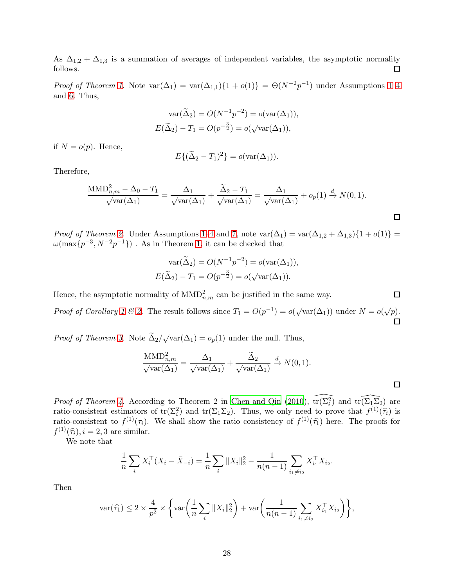As  $\Delta_{1,2}$  +  $\Delta_{1,3}$  is a summation of averages of independent variables, the asymptotic normality follows.  $\Box$ 

*Proof of Theorem [1.](#page-6-3)* Note  $\text{var}(\Delta_1) = \text{var}(\Delta_{1,1})\{1 + o(1)\} = \Theta(N^{-2}p^{-1})$  under Assumptions [1](#page-3-1)[–4](#page-4-5) and [6.](#page-5-2) Thus,

$$
var(\widetilde{\Delta}_2) = O(N^{-1}p^{-2}) = o(var(\Delta_1)),
$$
  

$$
E(\widetilde{\Delta}_2) - T_1 = O(p^{-\frac{3}{2}}) = o(\sqrt{var(\Delta_1)}),
$$

if  $N = o(p)$ . Hence,

$$
E\{(\widetilde{\Delta}_2 - T_1)^2\} = o(\text{var}(\Delta_1)).
$$

Therefore,

$$
\frac{\text{MMD}_{n,m}^2 - \Delta_0 - T_1}{\sqrt{\text{var}(\Delta_1)}} = \frac{\Delta_1}{\sqrt{\text{var}(\Delta_1)}} + \frac{\tilde{\Delta}_2 - T_1}{\sqrt{\text{var}(\Delta_1)}} = \frac{\Delta_1}{\sqrt{\text{var}(\Delta_1)}} + o_p(1) \stackrel{d}{\to} N(0, 1).
$$

*Proof of Theorem [2.](#page-6-1)* Under Assumptions [1–](#page-3-1)[4](#page-4-5) and [7,](#page-8-1) note  $var(\Delta_1) = var(\Delta_{1,2} + \Delta_{1,3})\{1+o(1)\}$  $\omega(\max\{p^{-3}, N^{-2}p^{-1}\})$ . As in Theorem [1,](#page-6-3) it can be checked that

$$
\operatorname{var}(\widetilde{\Delta}_2) = O(N^{-1}p^{-2}) = o(\operatorname{var}(\Delta_1)),
$$
  

$$
E(\widetilde{\Delta}_2) - T_1 = O(p^{-\frac{3}{2}}) = o(\sqrt{\operatorname{var}(\Delta_1)}).
$$

Hence, the asymptotic normality of  $\text{MMD}_{n,m}^2$  can be justified in the same way. *Proof of Corollary* [1](#page-6-4) & [2.](#page-6-2) The result follows since  $T_1 = O(p^{-1}) = o(\sqrt{\text{var}(\Delta_1)})$  under  $N = o(\sqrt{p})$ .

*Proof of Theorem [3.](#page-7-0)* Note  $\tilde{\Delta}_2/\sqrt{\text{var}(\Delta_1)} = o_p(1)$  under the null. Thus,

$$
\frac{\text{MMD}_{n,m}^2}{\sqrt{\text{var}(\Delta_1)}} = \frac{\Delta_1}{\sqrt{\text{var}(\Delta_1)}} + \frac{\tilde{\Delta}_2}{\sqrt{\text{var}(\Delta_1)}} \xrightarrow{d} N(0,1).
$$

*Proof of Theorem [4.](#page-7-1)* According to Theorem 2 in [Chen and Qin \(2010\)](#page-39-10),  $\widehat{\text{tr}(\Sigma_i^2)}$  and  $\widehat{\text{tr}(\Sigma_i^2)}$  are ratio-consistent estimators of  $tr(\Sigma_i^2)$  and  $tr(\Sigma_1 \Sigma_2)$ . Thus, we only need to prove that  $f^{(1)}(\hat{\tau}_i)$  is ratio-consistent to  $f^{(1)}(\tau_i)$ . We shall show the ratio consistency of  $f^{(1)}(\hat{\tau}_1)$  here. The proofs for  $f^{(1)}(\widehat{\tau}_i), i = 2, 3$  are similar.

We note that

$$
\frac{1}{n}\sum_{i} X_i^{\top} (X_i - \bar{X}_{-i}) = \frac{1}{n}\sum_{i} \|X_i\|_2^2 - \frac{1}{n(n-1)} \sum_{i_1 \neq i_2} X_{i_1}^{\top} X_{i_2}.
$$

Then

$$
\text{var}(\widehat{\tau_1}) \leq 2 \times \frac{4}{p^2} \times \bigg\{ \text{var}\bigg(\frac{1}{n}\sum_i \|X_i\|_2^2\bigg) + \text{var}\bigg(\frac{1}{n(n-1)}\sum_{i_1 \neq i_2} X_{i_1}^\top X_{i_2}\bigg) \bigg\},
$$

 $\Box$ 

囗

 $\Box$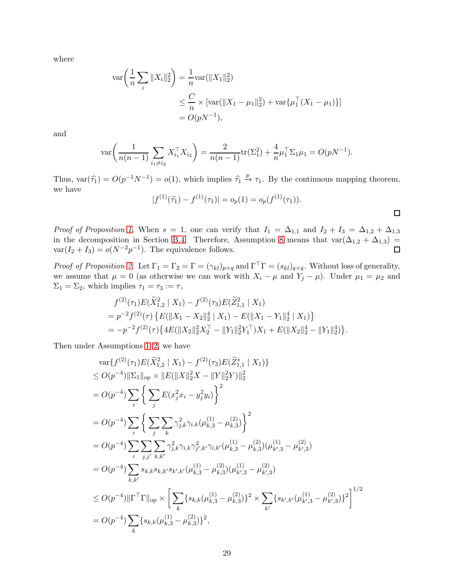where

$$
\operatorname{var}\left(\frac{1}{n}\sum_{i}||X_{i}||_{2}^{2}\right) = \frac{1}{n}\operatorname{var}(\|X_{1}\|_{2}^{2})
$$
  
\n
$$
\leq \frac{C}{n} \times \left[\operatorname{var}(\|X_{1} - \mu_{1}\|_{2}^{2}) + \operatorname{var}\{\mu_{1}^{\top}(X_{1} - \mu_{1})\}\right]
$$
  
\n
$$
= O(pN^{-1}),
$$

and

$$
\text{var}\bigg(\frac{1}{n(n-1)}\sum_{i_1\neq i_2} X_{i_1}^\top X_{i_2}\bigg) = \frac{2}{n(n-1)} \text{tr}(\Sigma_1^2) + \frac{4}{n} \mu_1^\top \Sigma_1 \mu_1 = O(pN^{-1}).
$$

Thus,  $var(\hat{\tau}_1) = O(p^{-1}N^{-1}) = o(1)$ , which implies  $\hat{\tau}_1 \stackrel{p}{\to} \tau_1$ . By the continuous mapping theorem, we have

$$
|f^{(1)}(\hat{\tau}_1) - f^{(1)}(\tau_1)| = o_p(1) = o_p(f^{(1)}(\tau_1)).
$$

*Proof of Proposition [1.](#page-8-3)* When  $s = 1$ , one can verify that  $I_1 = \Delta_{1,1}$  and  $I_2 + I_3 = \Delta_{1,2} + \Delta_{1,3}$ in the decomposition in Section [B.4.](#page-23-0) Therefore, Assumption [8](#page-8-2) means that  $var(\Delta_{1,2} + \Delta_{1,3})$  $var(I_2 + I_3) = o(N^{-2}p^{-1})$ . The equivalence follows.  $\Box$ 

*Proof of Proposition [2.](#page-9-1)* Let  $\Gamma_1 = \Gamma_2 = \Gamma = (\gamma_{kl})_{p \times q}$  and  $\Gamma^{\top} \Gamma = (s_{kl})_{q \times q}$ . Without loss of generality, we assume that  $\mu = 0$  (as otherwise we can work with  $X_i - \mu$  and  $Y_j - \mu$ ). Under  $\mu_1 = \mu_2$  and  $\Sigma_1 = \Sigma_2$ , which implies  $\tau_1 = \tau_3 := \tau$ ,

$$
f^{(2)}(\tau_1)E(\tilde{X}_{1,2}^2 | X_1) - f^{(2)}(\tau_3)E(\tilde{Z}_{1,1}^2 | X_1)
$$
  
=  $p^{-2}f^{(2)}(\tau)\{E(||X_1 - X_2||_2^4 | X_1) - E(||X_1 - Y_1||_2^4 | X_1)\}$   
=  $-p^{-2}f^{(2)}(\tau)\{4E(||X_2||_2^2X_2^\top - ||Y_1||_2^2Y_1^\top)X_1 + E(||X_2||_2^4 - ||Y_1||_2^4)\}.$ 

Then under Assumptions [1–](#page-3-1)[2,](#page-4-2) we have

$$
\operatorname{var}\{f^{(2)}(\tau_{1})E(\tilde{X}_{1,2}^{2} | X_{1}) - f^{(2)}(\tau_{3})E(\tilde{Z}_{1,1}^{s} | X_{1})\}\n\leq O(p^{-4})\|\Sigma_{1}\|_{\text{op}} \times \|E(\|X\|_{2}^{2}X - \|Y\|_{2}^{2}Y)\|_{2}^{2}\n= O(p^{-4})\sum_{i}\left\{\sum_{j}E(x_{j}^{2}x_{i} - y_{j}^{2}y_{i})\right\}^{2}\n= O(p^{-4})\sum_{i}\left\{\sum_{j} \sum_{k} \gamma_{j,k}^{2}\gamma_{i,k}(\mu_{k,3}^{(1)} - \mu_{k,3}^{(2)})\right\}^{2}\n= O(p^{-4})\sum_{i}\sum_{j,j'}\sum_{k,k'} \gamma_{j,k}^{2}\gamma_{i,k}\gamma_{j',k'}^{2}\gamma_{i,k'}(\mu_{k,3}^{(1)} - \mu_{k,3}^{(2)})(\mu_{k',3}^{(1)} - \mu_{k',3}^{(2)})\n= O(p^{-4})\sum_{k,k'} s_{k,k} s_{k,k'} s_{k',k'}(\mu_{k,3}^{(1)} - \mu_{k,3}^{(2)})(\mu_{k',3}^{(1)} - \mu_{k',3}^{(2)})\n\leq O(p^{-4})\|\Gamma^{\top}\Gamma\|_{\text{op}} \times \left[\sum_{k} \{s_{k,k}(\mu_{k,3}^{(1)} - \mu_{k,3}^{(2)})\}^{2} \times \sum_{k'} \{s_{k',k'}(\mu_{k',3}^{(1)} - \mu_{k',3}^{(2)})\}^{2}\right]^{1/2}\n= O(p^{-4})\sum_{k} \{s_{k,k}(\mu_{k,3}^{(1)} - \mu_{k,3}^{(2)})\}^{2},
$$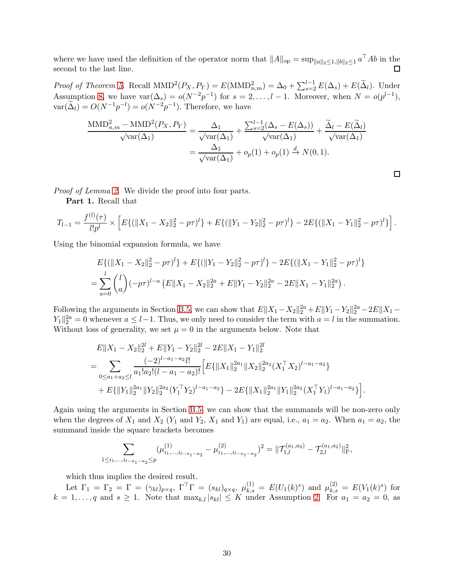where we have used the definition of the operator norm that  $||A||_{op} = \sup_{||a||_2 \le 1, ||b||_2 \le 1} a^{\top}Ab$  in the  $\Box$ second to the last line.

*Proof of Theorem [5.](#page-9-3)* Recall  $\text{MMD}^2(P_X, P_Y) = E(\text{MMD}_{n,m}^2) = \Delta_0 + \sum_{s=2}^{l-1} E(\Delta_s) + E(\tilde{\Delta}_l)$ . Under Assumption [8,](#page-8-2) we have  $var(\Delta_s) = o(N^{-2}p^{-1})$  for  $s = 2, ..., l-1$ . Moreover, when  $N = o(p^{l-1}),$  $var(\tilde{\Delta}_l) = O(N^{-1}p^{-l}) = o(N^{-2}p^{-1})$ . Therefore, we have

$$
\frac{\text{MMD}_{n,m}^2 - \text{MMD}^2(P_X, P_Y)}{\sqrt{\text{var}(\Delta_1)}} = \frac{\Delta_1}{\sqrt{\text{var}(\Delta_1)}} + \frac{\sum_{s=2}^{l-1} (\Delta_s - E(\Delta_s))}{\sqrt{\text{var}(\Delta_1)}} + \frac{\tilde{\Delta}_l - E(\tilde{\Delta}_l)}{\sqrt{\text{var}(\Delta_1)}}
$$

$$
= \frac{\Delta_1}{\sqrt{\text{var}(\Delta_1)}} + o_p(1) + o_p(1) \stackrel{d}{\to} N(0, 1).
$$

 $\Box$ 

*Proof of Lemma [2.](#page-9-4)* We divide the proof into four parts.

Part 1. Recall that

$$
T_{l-1} = \frac{f^{(l)}(\tau)}{l!p^l} \times \left[ E\{ (\|X_1 - X_2\|_2^2 - p\tau)^l \} + E\{ (\|Y_1 - Y_2\|_2^2 - p\tau)^l \} - 2E\{ (\|X_1 - Y_1\|_2^2 - p\tau)^l \} \right].
$$

Using the binomial expansion formula, we have

$$
E\{(\|X_1 - X_2\|_2^2 - p\tau)^l\} + E\{(\|Y_1 - Y_2\|_2^2 - p\tau)^l\} - 2E\{(\|X_1 - Y_1\|_2^2 - p\tau)^l\}
$$
  
= 
$$
\sum_{a=0}^l {l \choose a} (-p\tau)^{l-a} (E\|X_1 - X_2\|_2^{2a} + E\|Y_1 - Y_2\|_2^{2a} - 2E\|X_1 - Y_1\|_2^{2a}).
$$

Following the arguments in Section [B.5,](#page-25-0) we can show that  $E\|X_1 - X_2\|_2^{2a} + E\|Y_1 - Y_2\|_2^{2a} - 2E\|X_1 - E\|_2^{2a}$  $Y_1\|_2^{2a} = 0$  whenever  $a \leq l-1$ . Thus, we only need to consider the term with  $a = l$  in the summation. Without loss of generality, we set  $\mu = 0$  in the arguments below. Note that

$$
E||X_1 - X_2||_2^{2l} + E||Y_1 - Y_2||_2^{2l} - 2E||X_1 - Y_1||_2^{2l}
$$
  
= 
$$
\sum_{0 \le a_1 + a_2 \le l} \frac{(-2)^{l-a_1-a_2}l!}{a_1!a_2!(l-a_1-a_2)!} \Big[E\{||X_1||_2^{2a_1}||X_2||_2^{2a_2}(X_1^\top X_2)^{l-a_1-a_2}\} + E\{||Y_1||_2^{2a_1}||Y_2||_2^{2a_2}(Y_1^\top Y_2)^{l-a_1-a_2}\} - 2E\{||X_1||_2^{2a_1}||Y_1||_2^{2a_2}(X_1^\top Y_1)^{l-a_1-a_2}\} \Big].
$$

Again using the arguments in Section [B.5,](#page-25-0) we can show that the summands will be non-zero only when the degrees of  $X_1$  and  $X_2$  ( $Y_1$  and  $Y_2$ ,  $X_1$  and  $Y_1$ ) are equal, i.e.,  $a_1 = a_2$ . When  $a_1 = a_2$ , the summand inside the square brackets becomes

$$
\sum_{1 \leq i_1, \dots, i_{l-a_1-a_2} \leq p} (\mu^{(1)}_{i_1, \dots, i_{l-a_1-a_2}} - \mu^{(2)}_{i_1, \dots, i_{l-a_1-a_2}})^2 = \|\mathcal{T}^{(a_1, a_2)}_{1,l} - \mathcal{T}^{(a_1, a_2)}_{2,l}\|_{\mathrm{F}}^2,
$$

which thus implies the desired result.

Let  $\Gamma_1 = \Gamma_2 = \Gamma = (\gamma_{kl})_{p \times q}$ ,  $\Gamma^{\top} \Gamma = (s_{kl})_{q \times q}$ ,  $\mu_{k,s}^{(1)} = E(U_1(k)^s)$  and  $\mu_{k,s}^{(2)} = E(V_1(k)^s)$  for  $k = 1, \ldots, q$  and  $s \geq 1$ . Note that  $\max_{k,l} |s_{kl}| \leq K$  under Assumption [2.](#page-4-2) For  $a_1 = a_2 = 0$ , as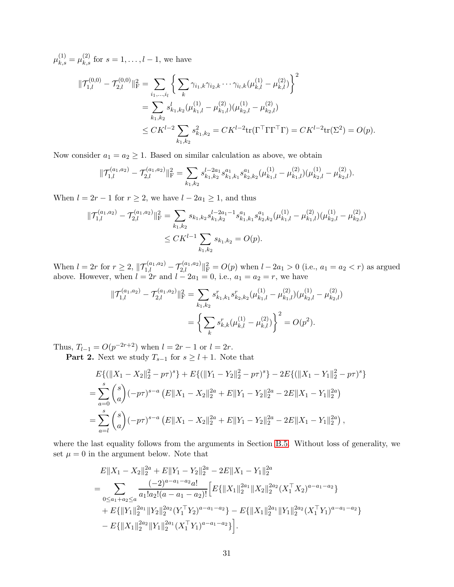$\mu_{k,s}^{(1)} = \mu_{k,s}^{(2)}$  for  $s = 1, \ldots, l-1$ , we have

$$
\begin{split} \|\mathcal{T}_{1,l}^{(0,0)} - \mathcal{T}_{2,l}^{(0,0)}\|_{\mathrm{F}}^2 &= \sum_{i_1,\dots,i_l} \left\{ \sum_k \gamma_{i_1,k} \gamma_{i_2,k} \cdots \gamma_{i_l,k} (\mu_{k,l}^{(1)} - \mu_{k,l}^{(2)}) \right\}^2 \\ &= \sum_{k_1,k_2} s_{k_1,k_2}^l (\mu_{k_1,l}^{(1)} - \mu_{k_1,l}^{(2)}) (\mu_{k_2,l}^{(1)} - \mu_{k_2,l}^{(2)}) \\ &\leq CK^{l-2} \sum_{k_1,k_2} s_{k_1,k_2}^2 = CK^{l-2} \text{tr}(\Gamma^\top \Gamma \Gamma^\top \Gamma) = CK^{l-2} \text{tr}(\Sigma^2) = O(p). \end{split}
$$

Now consider  $a_1 = a_2 \geq 1$ . Based on similar calculation as above, we obtain

$$
\|\mathcal{T}_{1,l}^{(a_1,a_2)} - \mathcal{T}_{2,l}^{(a_1,a_2)}\|_{\mathrm{F}}^2 = \sum_{k_1,k_2} s_{k_1,k_2}^{l-2a_1} s_{k_1,k_1}^{a_1} s_{k_2,k_2}^{a_1} (\mu_{k_1,l}^{(1)} - \mu_{k_1,l}^{(2)}) (\mu_{k_2,l}^{(1)} - \mu_{k_2,l}^{(2)})
$$

When  $l = 2r - 1$  for  $r \geq 2$ , we have  $l - 2a_1 \geq 1$ , and thus

$$
\begin{aligned} \|\mathcal{T}_{1,l}^{(a_1,a_2)} - \mathcal{T}_{2,l}^{(a_1,a_2)}\|_{\mathrm{F}}^2 &= \sum_{k_1,k_2} s_{k_1,k_2} s_{k_1,k_2}^{l-2a_1-1} s_{k_1,k_1}^{a_1} s_{k_2,k_2}^{a_1} (\mu_{k_1,l}^{(1)} - \mu_{k_1,l}^{(2)}) (\mu_{k_2,l}^{(1)} - \mu_{k_2,l}^{(2)}) \\ &\leq CK^{l-1} \sum_{k_1,k_2} s_{k_1,k_2} = O(p). \end{aligned}
$$

When  $l = 2r$  for  $r \ge 2$ ,  $||\mathcal{T}_{1,l}^{(a_1,a_2)} - \mathcal{T}_{2,l}^{(a_1,a_2)}||^2_F = O(p)$  when  $l - 2a_1 > 0$  (i.e.,  $a_1 = a_2 < r$ ) as argued above. However, when  $l = 2r$  and  $l - 2a_1 = 0$ , i.e.,  $a_1 = a_2 = r$ , we have

$$
\begin{aligned} \|\mathcal{T}_{1,l}^{(a_1,a_2)} - \mathcal{T}_{2,l}^{(a_1,a_2)}\|_{\mathrm{F}}^2 &= \sum_{k_1,k_2} s_{k_1,k_1}^r s_{k_2,k_2}^r (\mu_{k_1,l}^{(1)} - \mu_{k_1,l}^{(2)}) (\mu_{k_2,l}^{(1)} - \mu_{k_2,l}^{(2)}) \\ &= \left\{ \sum_k s_{k,k}^r (\mu_{k,l}^{(1)} - \mu_{k,l}^{(2)}) \right\}^2 = O(p^2). \end{aligned}
$$

Thus,  $T_{l-1} = O(p^{-2r+2})$  when  $l = 2r - 1$  or  $l = 2r$ .

**Part 2.** Next we study  $T_{s-1}$  for  $s \geq l+1$ . Note that

$$
E\{(\|X_1 - X_2\|_2^2 - p\tau)^s\} + E\{(\|Y_1 - Y_2\|_2^2 - p\tau)^s\} - 2E\{(\|X_1 - Y_1\|_2^2 - p\tau)^s\}
$$
  
= 
$$
\sum_{a=0}^s {s \choose a} (-p\tau)^{s-a} (E\|X_1 - X_2\|_2^{2a} + E\|Y_1 - Y_2\|_2^{2a} - 2E\|X_1 - Y_1\|_2^{2a})
$$
  
= 
$$
\sum_{a=l}^s {s \choose a} (-p\tau)^{s-a} (E\|X_1 - X_2\|_2^{2a} + E\|Y_1 - Y_2\|_2^{2a} - 2E\|X_1 - Y_1\|_2^{2a}),
$$

where the last equality follows from the arguments in Section [B.5.](#page-25-0) Without loss of generality, we set  $\mu = 0$  in the argument below. Note that

$$
E||X_1 - X_2||_2^{2a} + E||Y_1 - Y_2||_2^{2a} - 2E||X_1 - Y_1||_2^{2a}
$$
  
= 
$$
\sum_{0 \le a_1 + a_2 \le a} \frac{(-2)^{a - a_1 - a_2} a!}{a_1! a_2! (a - a_1 - a_2)!} \Big[ E\{ ||X_1||_2^{2a_1} ||X_2||_2^{2a_2} (X_1^\top X_2)^{a - a_1 - a_2} \} + E\{ ||Y_1||_2^{2a_1} ||Y_2||_2^{2a_2} (Y_1^\top Y_2)^{a - a_1 - a_2} \} - E\{ ||X_1||_2^{2a_1} ||Y_1||_2^{2a_2} (X_1^\top Y_1)^{a - a_1 - a_2} \} - E\{ ||X_1||_2^{2a_2} ||Y_1||_2^{2a_1} (X_1^\top Y_1)^{a - a_1 - a_2} \} .
$$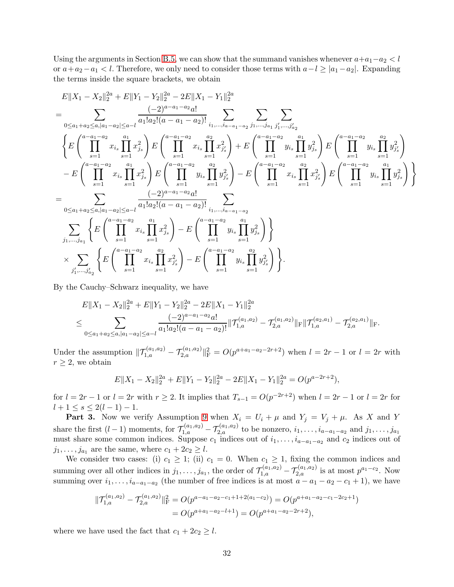Using the arguments in Section [B.5,](#page-25-0) we can show that the summand vanishes whenever  $a+a_1-a_2 < l$ or  $a+a_2-a_1 < l$ . Therefore, we only need to consider those terms with  $a-l \ge |a_1-a_2|$ . Expanding the terms inside the square brackets, we obtain

$$
E||X_1 - X_2||_2^{2a} + E||Y_1 - Y_2||_2^{2a} - 2E||X_1 - Y_1||_2^{2a}
$$
\n
$$
= \sum_{0 \le a_1 + a_2 \le a, |a_1 - a_2| \le a-l} \frac{(-2)^{a-a_1-a_2}a!}{a_1!a_2!(a-a_1-a_2)!} \sum_{i_1, \dots, i_{a-a_1-a_2}} \sum_{j_1, \dots, j_{a_1}} \sum_{j'_1, \dots, j'_{a_2}} \sum_{j'_2} \sum_{j'_3} \left\{ E\left(\prod_{s=1}^{a-a_1-a_2} x_{i_s} \prod_{s=1}^{a_1} x_{j_s}^2\right) E\left(\prod_{s=1}^{a-a_1-a_2} x_{i_s} \prod_{s=1}^{a_2} x_{j'_s}^2\right) + E\left(\prod_{s=1}^{a-a_1-a_2} y_{i_s} \prod_{s=1}^{a_1} y_{j'_s}^2\right) E\left(\prod_{s=1}^{a-a_1-a_2} y_{i_s} \prod_{s=1}^{a_2} y_{j'_s}^2\right) - E\left(\prod_{s=1}^{a-a_1-a_2} x_{i_s} \prod_{s=1}^{a_2} x_{j'_s}^2\right) E\left(\prod_{s=1}^{a-a_1-a_2} x_{i_s} \prod_{s=1}^{a_2} y_{j'_s}^2\right) - E\left(\prod_{s=1}^{a-a_1-a_2} x_{i_s} \prod_{s=1}^{a_2} x_{j'_s}^2\right) E\left(\prod_{s=1}^{a-a_1-a_2} y_{i_s} \prod_{s=1}^{a_1} y_{j'_s}^2\right) \right\}
$$
\n
$$
= \sum_{0 \le a_1 + a_2 \le a, |a_1 - a_2| \le a-l} \frac{(-2)^{a-a_1-a_2}a_1}{a_1!a_2!(a-a_1-a_2)!} \sum_{i_1, \dots, i_{a-a_1-a_2}} \sum_{s=1} \left\{ E\left(\prod_{s=1}^{a-a_1-a_2} x_{i_s} \prod_{s=1}^{a-a_2} x_{j'_s}^2\right) - E\left(\prod_{s=1}^{a-a_1-a_2} y_{
$$

By the Cauchy–Schwarz inequality, we have

$$
E||X_1 - X_2||_2^{2a} + E||Y_1 - Y_2||_2^{2a} - 2E||X_1 - Y_1||_2^{2a}
$$
  
\n
$$
\leq \sum_{0 \leq a_1 + a_2 \leq a, |a_1 - a_2| \leq a - l} \frac{(-2)^{a - a_1 - a_2} a!}{a_1! a_2! (a - a_1 - a_2)!} ||\mathcal{T}_{1,a}^{(a_1, a_2)} - \mathcal{T}_{2,a}^{(a_1, a_2)}||_F ||\mathcal{T}_{1,a}^{(a_2, a_1)} - \mathcal{T}_{2,a}^{(a_2, a_1)}||_F.
$$

Under the assumption  $||T_{1,a}^{(a_1,a_2)} - T_{2,a}^{(a_1,a_2)}||^2_F = O(p^{a+a_1-a_2-2r+2})$  when  $l = 2r - 1$  or  $l = 2r$  with  $r \geq 2$ , we obtain

$$
E||X_1 - X_2||_2^{2a} + E||Y_1 - Y_2||_2^{2a} - 2E||X_1 - Y_1||_2^{2a} = O(p^{a-2r+2}),
$$

for  $l = 2r - 1$  or  $l = 2r$  with  $r \ge 2$ . It implies that  $T_{s-1} = O(p^{-2r+2})$  when  $l = 2r - 1$  or  $l = 2r$  for  $l + 1 \leq s \leq 2(l - 1) - 1.$ 

**Part 3.** Now we verify Assumption [9](#page-10-0) when  $X_i = U_i + \mu$  and  $Y_j = V_j + \mu$ . As X and Y share the first  $(l-1)$  moments, for  $\mathcal{T}_{1,a}^{(a_1,a_2)} - \mathcal{T}_{2,a}^{(a_1,a_2)}$  to be nonzero,  $i_1,\ldots,i_{a-a_1-a_2}$  and  $j_1,\ldots,j_{a_1}$ must share some common indices. Suppose  $c_1$  indices out of  $i_1, \ldots, i_{a-a_1-a_2}$  and  $c_2$  indices out of  $j_1, \ldots, j_{a_1}$  are the same, where  $c_1 + 2c_2 \geq l$ .

We consider two cases: (i)  $c_1 \geq 1$ ; (ii)  $c_1 = 0$ . When  $c_1 \geq 1$ , fixing the common indices and summing over all other indices in  $j_1, \ldots, j_{a_1}$ , the order of  $\mathcal{T}_{1,a}^{(a_1,a_2)} - \mathcal{T}_{2,a}^{(a_1,a_2)}$  is at most  $p^{a_1-c_2}$ . Now summing over  $i_1, \ldots, i_{a-a_1-a_2}$  (the number of free indices is at most  $a - a_1 - a_2 - c_1 + 1$ ), we have

$$
\begin{aligned} \|\mathcal{T}_{1,a}^{(a_1,a_2)} - \mathcal{T}_{2,a}^{(a_1,a_2)}\|_{\mathrm{F}}^2 &= O(p^{a-a_1-a_2-c_1+1+2(a_1-c_2)}) = O(p^{a+a_1-a_2-c_1-2c_2+1}) \\ &= O(p^{a+a_1-a_2-l+1}) = O(p^{a+a_1-a_2-2r+2}), \end{aligned}
$$

where we have used the fact that  $c_1 + 2c_2 \geq l$ .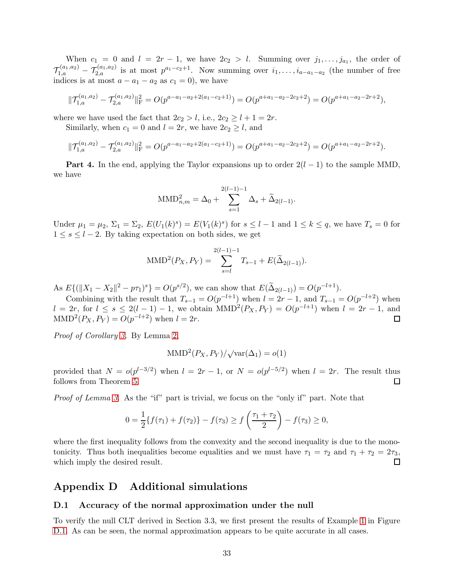When  $c_1 = 0$  and  $l = 2r - 1$ , we have  $2c_2 > l$ . Summing over  $j_1, \ldots, j_{a_1}$ , the order of  $\mathcal{T}_{1,a}^{(a_1,a_2)}$  -  $\mathcal{T}_{2,a}^{(a_1,a_2)}$  is at most  $p^{a_1-c_2+1}$ . Now summing over  $i_1,\ldots,i_{a-a_1-a_2}$  (the number of free indices is at most  $a - a_1 - a_2$  as  $c_1 = 0$ , we have

$$
\|\mathcal{T}_{1,a}^{(a_1,a_2)} - \mathcal{T}_{2,a}^{(a_1,a_2)}\|_{\mathrm{F}}^2 = O(p^{a-a_1-a_2+2(a_1-c_2+1)}) = O(p^{a+a_1-a_2-2c_2+2}) = O(p^{a+a_1-a_2-2r+2}),
$$

where we have used the fact that  $2c_2 > l$ , i.e.,  $2c_2 \geq l + 1 = 2r$ .

Similarly, when  $c_1 = 0$  and  $l = 2r$ , we have  $2c_2 \geq l$ , and

$$
\|\mathcal{T}_{1,a}^{(a_1,a_2)} - \mathcal{T}_{2,a}^{(a_1,a_2)}\|_{\mathrm{F}}^2 = O(p^{a-a_1-a_2+2(a_1-c_2+1)}) = O(p^{a+a_1-a_2-2c_2+2}) = O(p^{a+a_1-a_2-2r+2}).
$$

**Part 4.** In the end, applying the Taylor expansions up to order  $2(l-1)$  to the sample MMD, we have

$$
\text{MMD}_{n,m}^{2} = \Delta_0 + \sum_{s=1}^{2(l-1)-1} \Delta_s + \widetilde{\Delta}_{2(l-1)}.
$$

Under  $\mu_1 = \mu_2$ ,  $\Sigma_1 = \Sigma_2$ ,  $E(U_1(k)^s) = E(V_1(k)^s)$  for  $s \leq l-1$  and  $1 \leq k \leq q$ , we have  $T_s = 0$  for  $1 \leq s \leq l-2$ . By taking expectation on both sides, we get

MMD<sup>2</sup>(P<sub>X</sub>, P<sub>Y</sub>) = 
$$
\sum_{s=l}^{2(l-1)-1} T_{s-1} + E(\tilde{\Delta}_{2(l-1)}).
$$

As  $E\{(\|X_1 - X_2\|^2 - p\tau_1)^s\} = O(p^{s/2})$ , we can show that  $E(\tilde{\Delta}_{2(l-1)}) = O(p^{-l+1})$ .

Combining with the result that  $T_{s-1} = O(p^{-l+1})$  when  $l = 2r - 1$ , and  $T_{s-1} = O(p^{-l+2})$  when  $l = 2r$ , for  $l \leq s \leq 2(l-1)-1$ , we obtain  $MMD^{2}(P_{X}, P_{Y}) = O(p^{-l+1})$  when  $l = 2r - 1$ , and  $\text{MMD}^2(P_X, P_Y) = O(p^{-l+2})$  when  $l = 2r$ .

*Proof of Corollary [3.](#page-10-1)* By Lemma [2,](#page-9-4)

$$
\text{MMD}^{2}(P_{X}, P_{Y})/\sqrt{\text{var}(\Delta_{1})} = o(1)
$$

provided that  $N = o(p^{l-3/2})$  when  $l = 2r - 1$ , or  $N = o(p^{l-5/2})$  when  $l = 2r$ . The result thus follows from Theorem [5.](#page-9-3)  $\Box$ 

*Proof of Lemma [3.](#page-11-1)* As the "if" part is trivial, we focus on the "only if" part. Note that

$$
0 = \frac{1}{2} \{ f(\tau_1) + f(\tau_2) \} - f(\tau_3) \ge f\left(\frac{\tau_1 + \tau_2}{2}\right) - f(\tau_3) \ge 0,
$$

where the first inequality follows from the convexity and the second inequality is due to the monotonicity. Thus both inequalities become equalities and we must have  $\tau_1 = \tau_2$  and  $\tau_1 + \tau_2 = 2\tau_3$ , which imply the desired result.  $\Box$ 

# Appendix D Additional simulations

### D.1 Accuracy of the normal approximation under the null

To verify the null CLT derived in Section 3.3, we first present the results of Example [1](#page-12-2) in Figure [D.1.](#page-33-0) As can be seen, the normal approximation appears to be quite accurate in all cases.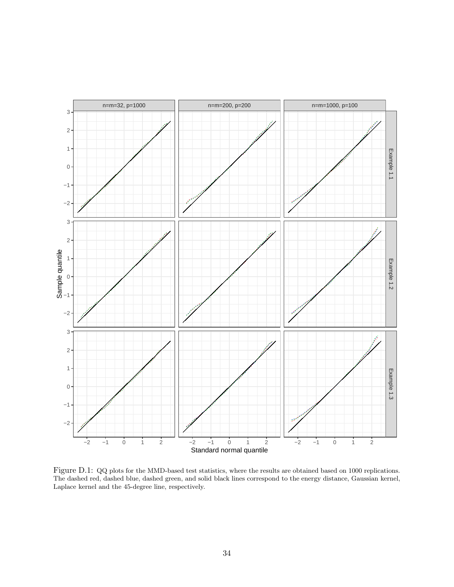

<span id="page-33-0"></span>Figure D.1: QQ plots for the MMD-based test statistics, where the results are obtained based on 1000 replications. The dashed red, dashed blue, dashed green, and solid black lines correspond to the energy distance, Gaussian kernel, Laplace kernel and the 45-degree line, respectively.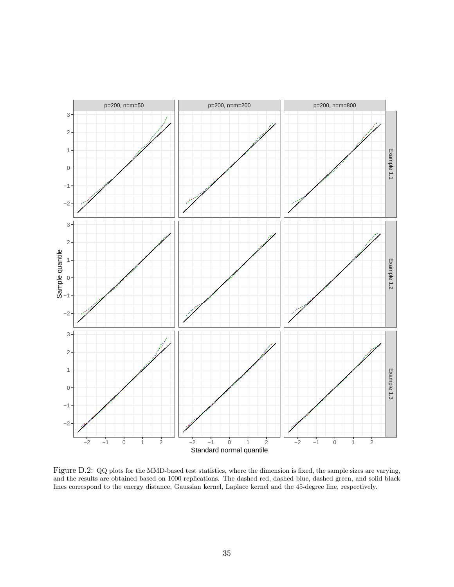

<span id="page-34-0"></span>Figure D.2: QQ plots for the MMD-based test statistics, where the dimension is fixed, the sample sizes are varying, and the results are obtained based on 1000 replications. The dashed red, dashed blue, dashed green, and solid black lines correspond to the energy distance, Gaussian kernel, Laplace kernel and the 45-degree line, respectively.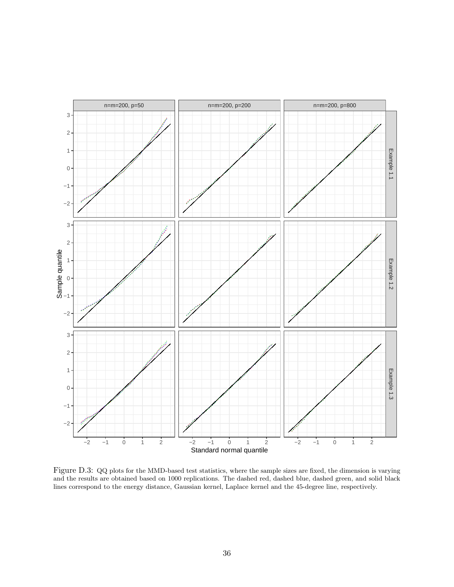

<span id="page-35-0"></span>Figure D.3: QQ plots for the MMD-based test statistics, where the sample sizes are fixed, the dimension is varying and the results are obtained based on 1000 replications. The dashed red, dashed blue, dashed green, and solid black lines correspond to the energy distance, Gaussian kernel, Laplace kernel and the 45-degree line, respectively.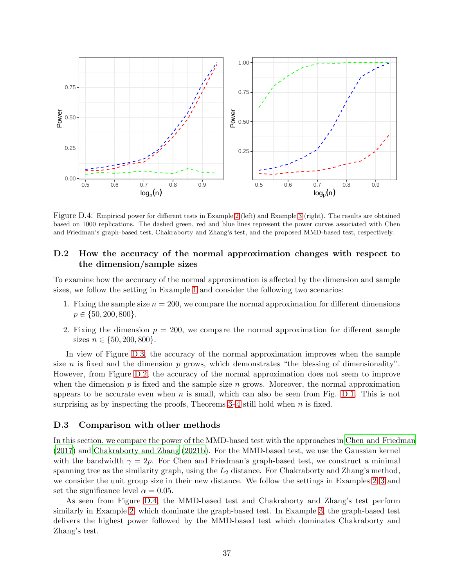

<span id="page-36-0"></span>Figure D.4: Empirical power for different tests in Example [2](#page-13-0) (left) and Example [3](#page-13-1) (right). The results are obtained based on 1000 replications. The dashed green, red and blue lines represent the power curves associated with Chen and Friedman's graph-based test, Chakraborty and Zhang's test, and the proposed MMD-based test, respectively.

### D.2 How the accuracy of the normal approximation changes with respect to the dimension/sample sizes

To examine how the accuracy of the normal approximation is affected by the dimension and sample sizes, we follow the setting in Example [1](#page-12-2) and consider the following two scenarios:

- 1. Fixing the sample size  $n = 200$ , we compare the normal approximation for different dimensions  $p \in \{50, 200, 800\}.$
- 2. Fixing the dimension  $p = 200$ , we compare the normal approximation for different sample sizes  $n \in \{50, 200, 800\}.$

In view of Figure [D.3,](#page-35-0) the accuracy of the normal approximation improves when the sample size n is fixed and the dimension p grows, which demonstrates "the blessing of dimensionality". However, from Figure [D.2,](#page-34-0) the accuracy of the normal approximation does not seem to improve when the dimension  $p$  is fixed and the sample size  $n$  grows. Moreover, the normal approximation appears to be accurate even when n is small, which can also be seen from Fig. [D.1.](#page-33-0) This is not surprising as by inspecting the proofs, Theorems  $3-4$  still hold when n is fixed.

#### D.3 Comparison with other methods

In this section, we compare the power of the MMD-based test with the approaches in [Chen and Friedman](#page-39-13) [\(2017](#page-39-13)) and [Chakraborty and Zhang \(2021b\)](#page-39-6). For the MMD-based test, we use the Gaussian kernel with the bandwidth  $\gamma = 2p$ . For Chen and Friedman's graph-based test, we construct a minimal spanning tree as the similarity graph, using the  $L_2$  distance. For Chakraborty and Zhang's method, we consider the unit group size in their new distance. We follow the settings in Examples [2](#page-13-0)[–3](#page-13-1) and set the significance level  $\alpha = 0.05$ .

As seen from Figure [D.4,](#page-36-0) the MMD-based test and Chakraborty and Zhang's test perform similarly in Example [2,](#page-13-0) which dominate the graph-based test. In Example [3,](#page-13-1) the graph-based test delivers the highest power followed by the MMD-based test which dominates Chakraborty and Zhang's test.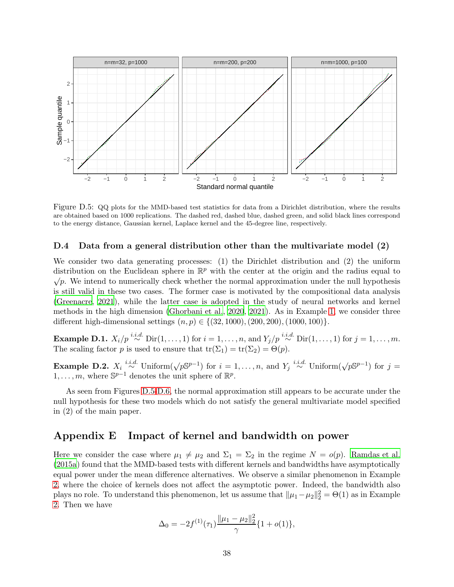

<span id="page-37-0"></span>Figure D.5: QQ plots for the MMD-based test statistics for data from a Dirichlet distribution, where the results are obtained based on 1000 replications. The dashed red, dashed blue, dashed green, and solid black lines correspond to the energy distance, Gaussian kernel, Laplace kernel and the 45-degree line, respectively.

### D.4 Data from a general distribution other than the multivariate model (2)

We consider two data generating processes: (1) the Dirichlet distribution and (2) the uniform distribution on the Euclidean sphere in  $\mathbb{R}^p$  with the center at the origin and the radius equal to  $\sqrt{p}$ . We intend to numerically check whether the normal approximation under the null hypothesis is still valid in these two cases. The former case is motivated by the compositional data analysis [\(Greenacre](#page-39-14), [2021](#page-39-14)), while the latter case is adopted in the study of neural networks and kernel methods in the high dimension [\(Ghorbani et al., 2020](#page-39-15), [2021\)](#page-39-16). As in Example [1,](#page-12-2) we consider three different high-dimensional settings  $(n, p) \in \{(32, 1000), (200, 200), (1000, 100)\}.$ 

**Example D.1.**  $X_i/p \stackrel{i.i.d.}{\sim} \text{Dir}(1,\ldots,1)$  for  $i=1,\ldots,n$ , and  $Y_j/p \stackrel{i.i.d.}{\sim} \text{Dir}(1,\ldots,1)$  for  $j=1,\ldots,m$ . The scaling factor p is used to ensure that  $tr(\Sigma_1) = tr(\Sigma_2) = \Theta(p)$ .

**Example D.2.**  $X_i \stackrel{i.i.d.}{\sim}$  Uniform $(\sqrt{pS^{p-1}})$  for  $i = 1, \ldots, n$ , and  $Y_j \stackrel{i.i.d.}{\sim}$  Uniform $(\sqrt{pS^{p-1}})$  for  $j =$  $1, \ldots, m$ , where  $\mathbb{S}^{p-1}$  denotes the unit sphere of  $\mathbb{R}^p$ .

As seen from Figures [D.5-](#page-37-0)[D.6,](#page-38-0) the normal approximation still appears to be accurate under the null hypothesis for these two models which do not satisfy the general multivariate model specified in (2) of the main paper.

# Appendix E Impact of kernel and bandwidth on power

Here we consider the case where  $\mu_1 \neq \mu_2$  and  $\Sigma_1 = \Sigma_2$  in the regime  $N = o(p)$ . [Ramdas et al.](#page-40-16) [\(2015a](#page-40-16)) found that the MMD-based tests with different kernels and bandwidths have asymptotically equal power under the mean difference alternatives. We observe a similar phenomenon in Example [2,](#page-13-0) where the choice of kernels does not affect the asymptotic power. Indeed, the bandwidth also plays no role. To understand this phenomenon, let us assume that  $\|\mu_1 - \mu_2\|_2^2 = \Theta(1)$  as in Example [2.](#page-13-0) Then we have

$$
\Delta_0 = -2f^{(1)}(\tau_1)\frac{\|\mu_1 - \mu_2\|_2^2}{\gamma} \{1 + o(1)\},\,
$$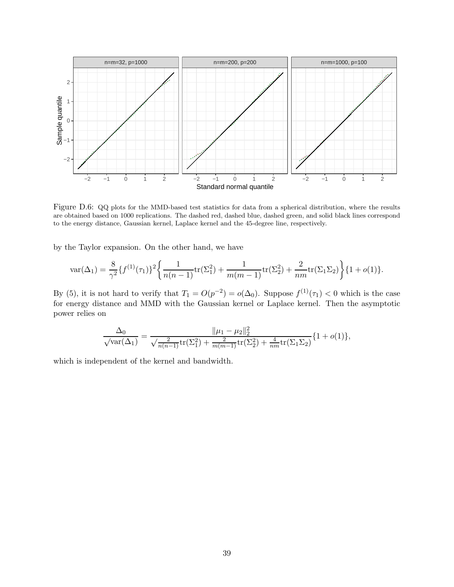

<span id="page-38-0"></span>Figure D.6: QQ plots for the MMD-based test statistics for data from a spherical distribution, where the results are obtained based on 1000 replications. The dashed red, dashed blue, dashed green, and solid black lines correspond to the energy distance, Gaussian kernel, Laplace kernel and the 45-degree line, respectively.

by the Taylor expansion. On the other hand, we have

$$
\text{var}(\Delta_1) = \frac{8}{\gamma^2} \{f^{(1)}(\tau_1)\}^2 \left\{ \frac{1}{n(n-1)} \text{tr}(\Sigma_1^2) + \frac{1}{m(m-1)} \text{tr}(\Sigma_2^2) + \frac{2}{nm} \text{tr}(\Sigma_1 \Sigma_2) \right\} \{1 + o(1)\}.
$$

By (5), it is not hard to verify that  $T_1 = O(p^{-2}) = o(\Delta_0)$ . Suppose  $f^{(1)}(\tau_1) < 0$  which is the case for energy distance and MMD with the Gaussian kernel or Laplace kernel. Then the asymptotic power relies on

$$
\frac{\Delta_0}{\sqrt{\text{var}(\Delta_1)}} = \frac{\|\mu_1 - \mu_2\|_2^2}{\sqrt{\frac{2}{n(n-1)} \text{tr}(\Sigma_1^2) + \frac{2}{m(m-1)} \text{tr}(\Sigma_2^2) + \frac{4}{nm} \text{tr}(\Sigma_1 \Sigma_2)}} \{1 + o(1)\},
$$

which is independent of the kernel and bandwidth.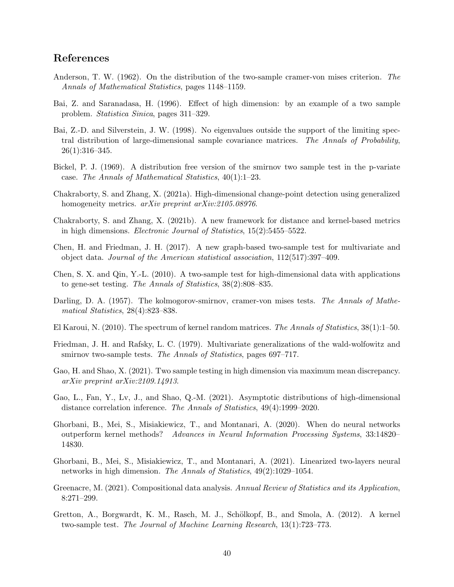# References

- <span id="page-39-0"></span>Anderson, T. W. (1962). On the distribution of the two-sample cramer-von mises criterion. *The Annals of Mathematical Statistics*, pages 1148–1159.
- <span id="page-39-11"></span>Bai, Z. and Saranadasa, H. (1996). Effect of high dimension: by an example of a two sample problem. *Statistica Sinica*, pages 311–329.
- <span id="page-39-12"></span>Bai, Z.-D. and Silverstein, J. W. (1998). No eigenvalues outside the support of the limiting spectral distribution of large-dimensional sample covariance matrices. *The Annals of Probability*, 26(1):316–345.
- <span id="page-39-2"></span>Bickel, P. J. (1969). A distribution free version of the smirnov two sample test in the p-variate case. *The Annals of Mathematical Statistics*, 40(1):1–23.
- <span id="page-39-5"></span>Chakraborty, S. and Zhang, X. (2021a). High-dimensional change-point detection using generalized homogeneity metrics. *arXiv preprint arXiv:2105.08976*.
- <span id="page-39-6"></span>Chakraborty, S. and Zhang, X. (2021b). A new framework for distance and kernel-based metrics in high dimensions. *Electronic Journal of Statistics*, 15(2):5455–5522.
- <span id="page-39-13"></span>Chen, H. and Friedman, J. H. (2017). A new graph-based two-sample test for multivariate and object data. *Journal of the American statistical association*, 112(517):397–409.
- <span id="page-39-10"></span>Chen, S. X. and Qin, Y.-L. (2010). A two-sample test for high-dimensional data with applications to gene-set testing. *The Annals of Statistics*, 38(2):808–835.
- <span id="page-39-1"></span>Darling, D. A. (1957). The kolmogorov-smirnov, cramer-von mises tests. *The Annals of Mathematical Statistics*, 28(4):823–838.
- <span id="page-39-9"></span>El Karoui, N. (2010). The spectrum of kernel random matrices. *The Annals of Statistics*, 38(1):1–50.
- <span id="page-39-3"></span>Friedman, J. H. and Rafsky, L. C. (1979). Multivariate generalizations of the wald-wolfowitz and smirnov two-sample tests. *The Annals of Statistics*, pages 697–717.
- <span id="page-39-7"></span>Gao, H. and Shao, X. (2021). Two sample testing in high dimension via maximum mean discrepancy. *arXiv preprint arXiv:2109.14913*.
- <span id="page-39-8"></span>Gao, L., Fan, Y., Lv, J., and Shao, Q.-M. (2021). Asymptotic distributions of high-dimensional distance correlation inference. *The Annals of Statistics*, 49(4):1999–2020.
- <span id="page-39-15"></span>Ghorbani, B., Mei, S., Misiakiewicz, T., and Montanari, A. (2020). When do neural networks outperform kernel methods? *Advances in Neural Information Processing Systems*, 33:14820– 14830.
- <span id="page-39-16"></span>Ghorbani, B., Mei, S., Misiakiewicz, T., and Montanari, A. (2021). Linearized two-layers neural networks in high dimension. *The Annals of Statistics*, 49(2):1029–1054.
- <span id="page-39-14"></span>Greenacre, M. (2021). Compositional data analysis. *Annual Review of Statistics and its Application*, 8:271–299.
- <span id="page-39-4"></span>Gretton, A., Borgwardt, K. M., Rasch, M. J., Schölkopf, B., and Smola, A. (2012). A kernel two-sample test. *The Journal of Machine Learning Research*, 13(1):723–773.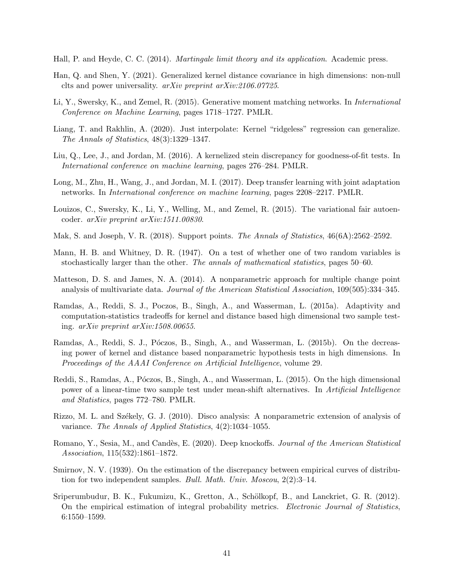<span id="page-40-15"></span>Hall, P. and Heyde, C. C. (2014). *Martingale limit theory and its application*. Academic press.

- <span id="page-40-11"></span>Han, Q. and Shen, Y. (2021). Generalized kernel distance covariance in high dimensions: non-null clts and power universality. *arXiv preprint arXiv:2106.07725*.
- <span id="page-40-7"></span>Li, Y., Swersky, K., and Zemel, R. (2015). Generative moment matching networks. In *International Conference on Machine Learning*, pages 1718–1727. PMLR.
- <span id="page-40-13"></span>Liang, T. and Rakhlin, A. (2020). Just interpolate: Kernel "ridgeless" regression can generalize. *The Annals of Statistics*, 48(3):1329–1347.
- <span id="page-40-14"></span>Liu, Q., Lee, J., and Jordan, M. (2016). A kernelized stein discrepancy for goodness-of-fit tests. In *International conference on machine learning*, pages 276–284. PMLR.
- <span id="page-40-8"></span>Long, M., Zhu, H., Wang, J., and Jordan, M. I. (2017). Deep transfer learning with joint adaptation networks. In *International conference on machine learning*, pages 2208–2217. PMLR.
- <span id="page-40-9"></span>Louizos, C., Swersky, K., Li, Y., Welling, M., and Zemel, R. (2015). The variational fair autoencoder. *arXiv preprint arXiv:1511.00830*.
- <span id="page-40-5"></span>Mak, S. and Joseph, V. R. (2018). Support points. *The Annals of Statistics*, 46(6A):2562–2592.
- <span id="page-40-1"></span>Mann, H. B. and Whitney, D. R. (1947). On a test of whether one of two random variables is stochastically larger than the other. *The annals of mathematical statistics*, pages 50–60.
- <span id="page-40-4"></span>Matteson, D. S. and James, N. A. (2014). A nonparametric approach for multiple change point analysis of multivariate data. *Journal of the American Statistical Association*, 109(505):334–345.
- <span id="page-40-16"></span>Ramdas, A., Reddi, S. J., Poczos, B., Singh, A., and Wasserman, L. (2015a). Adaptivity and computation-statistics tradeoffs for kernel and distance based high dimensional two sample testing. *arXiv preprint arXiv:1508.00655*.
- <span id="page-40-10"></span>Ramdas, A., Reddi, S. J., Póczos, B., Singh, A., and Wasserman, L. (2015b). On the decreasing power of kernel and distance based nonparametric hypothesis tests in high dimensions. In *Proceedings of the AAAI Conference on Artificial Intelligence*, volume 29.
- <span id="page-40-12"></span>Reddi, S., Ramdas, A., Póczos, B., Singh, A., and Wasserman, L. (2015). On the high dimensional power of a linear-time two sample test under mean-shift alternatives. In *Artificial Intelligence and Statistics*, pages 772–780. PMLR.
- <span id="page-40-3"></span>Rizzo, M. L. and Székely, G. J. (2010). Disco analysis: A nonparametric extension of analysis of variance. *The Annals of Applied Statistics*, 4(2):1034–1055.
- <span id="page-40-6"></span>Romano, Y., Sesia, M., and Cand`es, E. (2020). Deep knockoffs. *Journal of the American Statistical Association*, 115(532):1861–1872.
- <span id="page-40-0"></span>Smirnov, N. V. (1939). On the estimation of the discrepancy between empirical curves of distribution for two independent samples. *Bull. Math. Univ. Moscou*, 2(2):3–14.
- <span id="page-40-2"></span>Sriperumbudur, B. K., Fukumizu, K., Gretton, A., Schölkopf, B., and Lanckriet, G. R. (2012). On the empirical estimation of integral probability metrics. *Electronic Journal of Statistics*, 6:1550–1599.